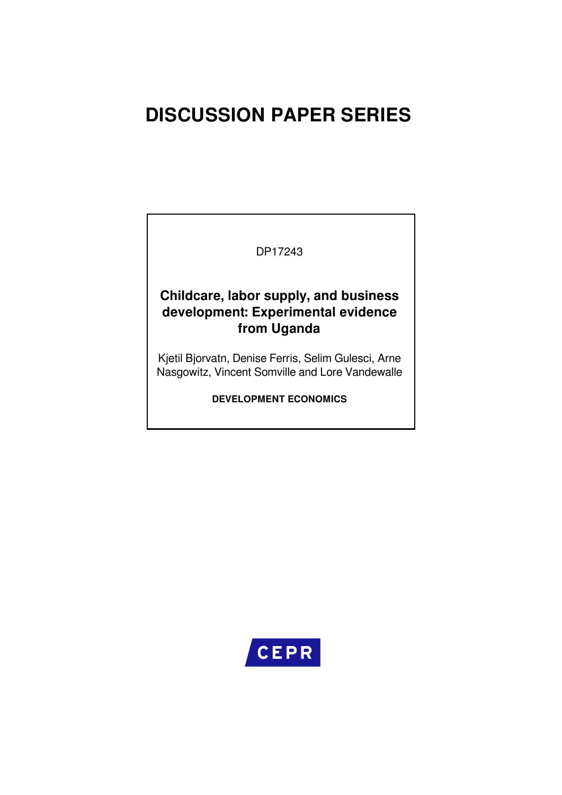# **DISCUSSION PAPER SERIES**

### DP17243

### **Childcare, labor supply, and business development: Experimental evidence from Uganda**

Kjetil Bjorvatn, Denise Ferris, Selim Gulesci, Arne Nasgowitz, Vincent Somville and Lore Vandewalle

**DEVELOPMENT ECONOMICS**

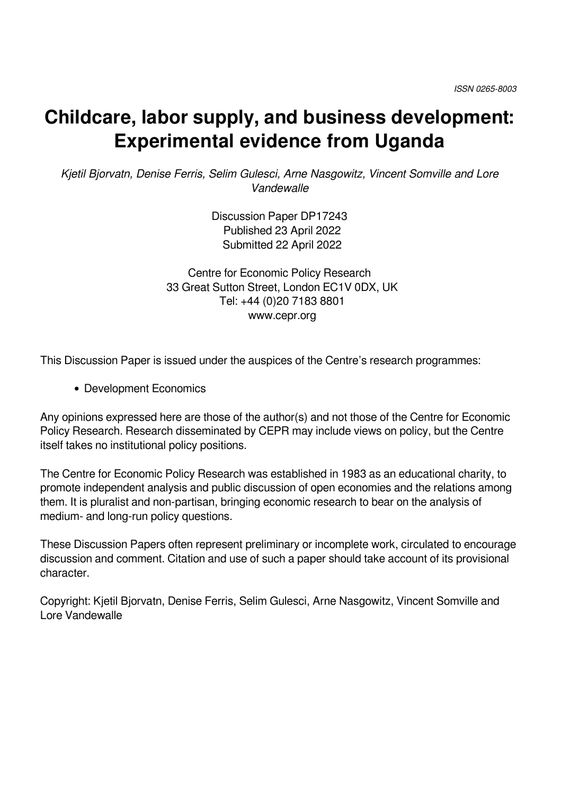# **Childcare, labor supply, and business development: Experimental evidence from Uganda**

*Kjetil Bjorvatn, Denise Ferris, Selim Gulesci, Arne Nasgowitz, Vincent Somville and Lore Vandewalle*

> Discussion Paper DP17243 Published 23 April 2022 Submitted 22 April 2022

Centre for Economic Policy Research 33 Great Sutton Street, London EC1V 0DX, UK Tel: +44 (0)20 7183 8801 www.cepr.org

This Discussion Paper is issued under the auspices of the Centre's research programmes:

Development Economics

Any opinions expressed here are those of the author(s) and not those of the Centre for Economic Policy Research. Research disseminated by CEPR may include views on policy, but the Centre itself takes no institutional policy positions.

The Centre for Economic Policy Research was established in 1983 as an educational charity, to promote independent analysis and public discussion of open economies and the relations among them. It is pluralist and non-partisan, bringing economic research to bear on the analysis of medium- and long-run policy questions.

These Discussion Papers often represent preliminary or incomplete work, circulated to encourage discussion and comment. Citation and use of such a paper should take account of its provisional character.

Copyright: Kjetil Bjorvatn, Denise Ferris, Selim Gulesci, Arne Nasgowitz, Vincent Somville and Lore Vandewalle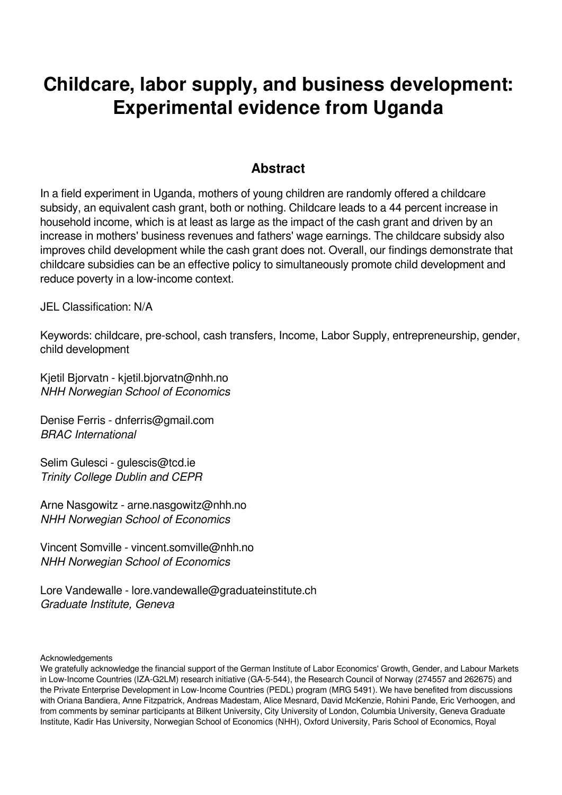# **Childcare, labor supply, and business development: Experimental evidence from Uganda**

### **Abstract**

In a field experiment in Uganda, mothers of young children are randomly offered a childcare subsidy, an equivalent cash grant, both or nothing. Childcare leads to a 44 percent increase in household income, which is at least as large as the impact of the cash grant and driven by an increase in mothers' business revenues and fathers' wage earnings. The childcare subsidy also improves child development while the cash grant does not. Overall, our findings demonstrate that childcare subsidies can be an effective policy to simultaneously promote child development and reduce poverty in a low-income context.

JEL Classification: N/A

Keywords: childcare, pre-school, cash transfers, Income, Labor Supply, entrepreneurship, gender, child development

Kjetil Bjorvatn - kjetil.bjorvatn@nhh.no *NHH Norwegian School of Economics*

Denise Ferris - dnferris@gmail.com *BRAC International*

Selim Gulesci - gulescis@tcd.ie *Trinity College Dublin and CEPR*

Arne Nasgowitz - arne.nasgowitz@nhh.no *NHH Norwegian School of Economics*

Vincent Somville - vincent.somville@nhh.no *NHH Norwegian School of Economics*

Lore Vandewalle - lore.vandewalle@graduateinstitute.ch *Graduate Institute, Geneva*

Acknowledgements

We gratefully acknowledge the financial support of the German Institute of Labor Economics' Growth, Gender, and Labour Markets in Low-Income Countries (IZA-G2LM) research initiative (GA-5-544), the Research Council of Norway (274557 and 262675) and the Private Enterprise Development in Low-Income Countries (PEDL) program (MRG 5491). We have benefited from discussions with Oriana Bandiera, Anne Fitzpatrick, Andreas Madestam, Alice Mesnard, David McKenzie, Rohini Pande, Eric Verhoogen, and from comments by seminar participants at Bilkent University, City University of London, Columbia University, Geneva Graduate Institute, Kadir Has University, Norwegian School of Economics (NHH), Oxford University, Paris School of Economics, Royal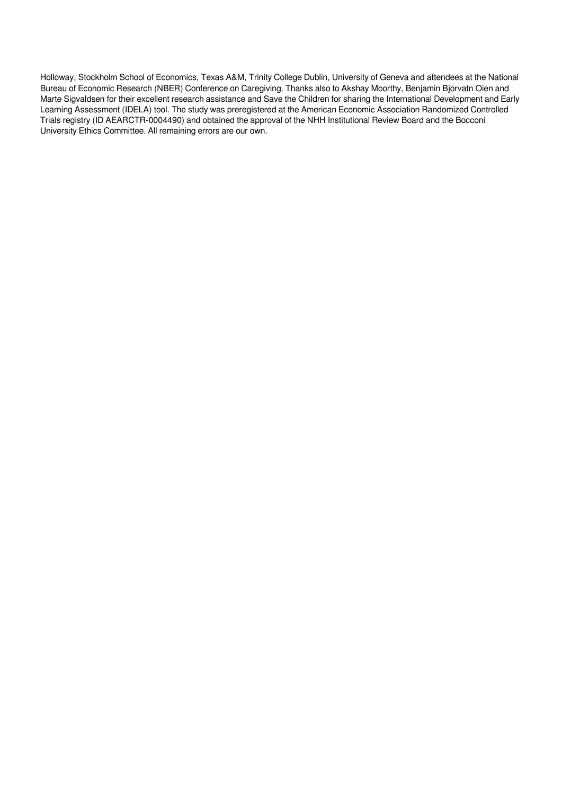Holloway, Stockholm School of Economics, Texas A&M, Trinity College Dublin, University of Geneva and attendees at the National Bureau of Economic Research (NBER) Conference on Caregiving. Thanks also to Akshay Moorthy, Benjamin Bjorvatn Oien and Marte Sigvaldsen for their excellent research assistance and Save the Children for sharing the International Development and Early Learning Assessment (IDELA) tool. The study was preregistered at the American Economic Association Randomized Controlled Trials registry (ID AEARCTR-0004490) and obtained the approval of the NHH Institutional Review Board and the Bocconi University Ethics Committee. All remaining errors are our own.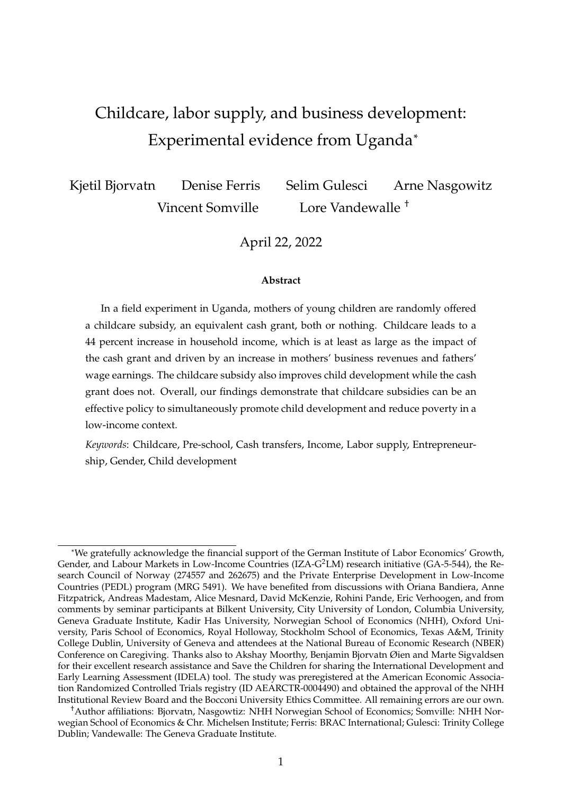# Childcare, labor supply, and business development: Experimental evidence from Uganda\*

Kjetil Bjorvatn Denise Ferris Selim Gulesci Arne Nasgowitz Vincent Somville Lore Vandewalle <sup>†</sup>

April 22, 2022

#### **Abstract**

In a field experiment in Uganda, mothers of young children are randomly offered a childcare subsidy, an equivalent cash grant, both or nothing. Childcare leads to a 44 percent increase in household income, which is at least as large as the impact of the cash grant and driven by an increase in mothers' business revenues and fathers' wage earnings. The childcare subsidy also improves child development while the cash grant does not. Overall, our findings demonstrate that childcare subsidies can be an effective policy to simultaneously promote child development and reduce poverty in a low-income context.

*Keywords*: Childcare, Pre-school, Cash transfers, Income, Labor supply, Entrepreneurship, Gender, Child development

<sup>\*</sup>We gratefully acknowledge the financial support of the German Institute of Labor Economics' Growth, Gender, and Labour Markets in Low-Income Countries (IZA- $G^2LM$ ) research initiative (GA-5-544), the Research Council of Norway (274557 and 262675) and the Private Enterprise Development in Low-Income Countries (PEDL) program (MRG 5491). We have benefited from discussions with Oriana Bandiera, Anne Fitzpatrick, Andreas Madestam, Alice Mesnard, David McKenzie, Rohini Pande, Eric Verhoogen, and from comments by seminar participants at Bilkent University, City University of London, Columbia University, Geneva Graduate Institute, Kadir Has University, Norwegian School of Economics (NHH), Oxford University, Paris School of Economics, Royal Holloway, Stockholm School of Economics, Texas A&M, Trinity College Dublin, University of Geneva and attendees at the National Bureau of Economic Research (NBER) Conference on Caregiving. Thanks also to Akshay Moorthy, Benjamin Bjorvatn Øien and Marte Sigvaldsen for their excellent research assistance and Save the Children for sharing the International Development and Early Learning Assessment (IDELA) tool. The study was preregistered at the American Economic Association Randomized Controlled Trials registry (ID AEARCTR-0004490) and obtained the approval of the NHH Institutional Review Board and the Bocconi University Ethics Committee. All remaining errors are our own.

<sup>†</sup>Author affiliations: Bjorvatn, Nasgowtiz: NHH Norwegian School of Economics; Somville: NHH Norwegian School of Economics & Chr. Michelsen Institute; Ferris: BRAC International; Gulesci: Trinity College Dublin; Vandewalle: The Geneva Graduate Institute.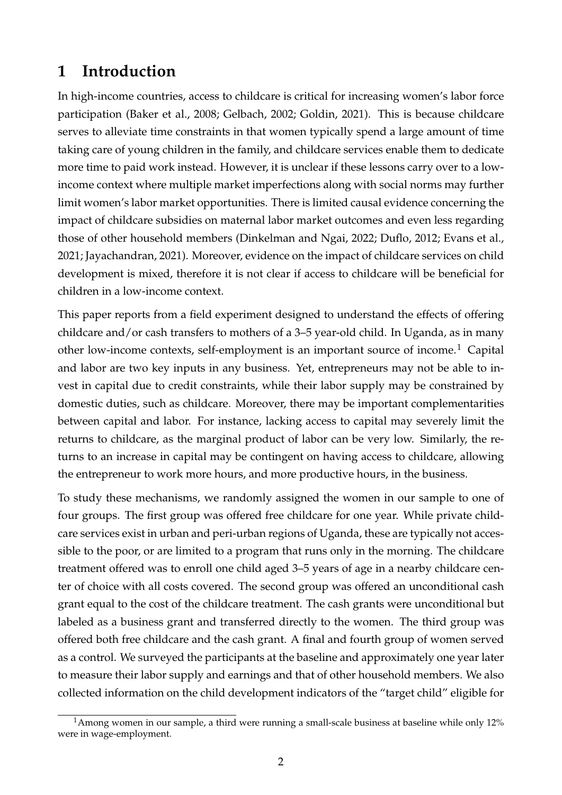## **1 Introduction**

In high-income countries, access to childcare is critical for increasing women's labor force participation (Baker et al., 2008; Gelbach, 2002; Goldin, 2021). This is because childcare serves to alleviate time constraints in that women typically spend a large amount of time taking care of young children in the family, and childcare services enable them to dedicate more time to paid work instead. However, it is unclear if these lessons carry over to a lowincome context where multiple market imperfections along with social norms may further limit women's labor market opportunities. There is limited causal evidence concerning the impact of childcare subsidies on maternal labor market outcomes and even less regarding those of other household members (Dinkelman and Ngai, 2022; Duflo, 2012; Evans et al., 2021; Jayachandran, 2021). Moreover, evidence on the impact of childcare services on child development is mixed, therefore it is not clear if access to childcare will be beneficial for children in a low-income context.

This paper reports from a field experiment designed to understand the effects of offering childcare and/or cash transfers to mothers of a 3–5 year-old child. In Uganda, as in many other low-income contexts, self-employment is an important source of income.<sup>1</sup> Capital and labor are two key inputs in any business. Yet, entrepreneurs may not be able to invest in capital due to credit constraints, while their labor supply may be constrained by domestic duties, such as childcare. Moreover, there may be important complementarities between capital and labor. For instance, lacking access to capital may severely limit the returns to childcare, as the marginal product of labor can be very low. Similarly, the returns to an increase in capital may be contingent on having access to childcare, allowing the entrepreneur to work more hours, and more productive hours, in the business.

To study these mechanisms, we randomly assigned the women in our sample to one of four groups. The first group was offered free childcare for one year. While private childcare services exist in urban and peri-urban regions of Uganda, these are typically not accessible to the poor, or are limited to a program that runs only in the morning. The childcare treatment offered was to enroll one child aged 3–5 years of age in a nearby childcare center of choice with all costs covered. The second group was offered an unconditional cash grant equal to the cost of the childcare treatment. The cash grants were unconditional but labeled as a business grant and transferred directly to the women. The third group was offered both free childcare and the cash grant. A final and fourth group of women served as a control. We surveyed the participants at the baseline and approximately one year later to measure their labor supply and earnings and that of other household members. We also collected information on the child development indicators of the "target child" eligible for

<sup>&</sup>lt;sup>1</sup>Among women in our sample, a third were running a small-scale business at baseline while only 12% were in wage-employment.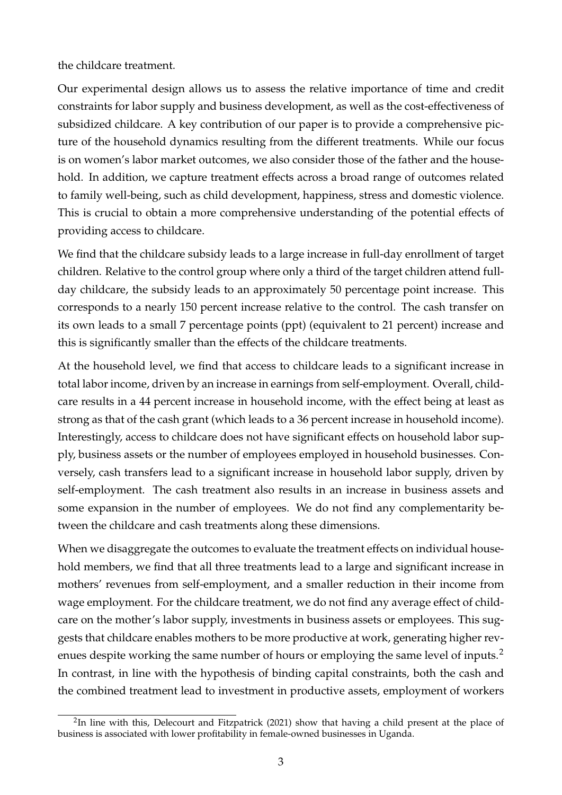#### the childcare treatment.

Our experimental design allows us to assess the relative importance of time and credit constraints for labor supply and business development, as well as the cost-effectiveness of subsidized childcare. A key contribution of our paper is to provide a comprehensive picture of the household dynamics resulting from the different treatments. While our focus is on women's labor market outcomes, we also consider those of the father and the household. In addition, we capture treatment effects across a broad range of outcomes related to family well-being, such as child development, happiness, stress and domestic violence. This is crucial to obtain a more comprehensive understanding of the potential effects of providing access to childcare.

We find that the childcare subsidy leads to a large increase in full-day enrollment of target children. Relative to the control group where only a third of the target children attend fullday childcare, the subsidy leads to an approximately 50 percentage point increase. This corresponds to a nearly 150 percent increase relative to the control. The cash transfer on its own leads to a small 7 percentage points (ppt) (equivalent to 21 percent) increase and this is significantly smaller than the effects of the childcare treatments.

At the household level, we find that access to childcare leads to a significant increase in total labor income, driven by an increase in earnings from self-employment. Overall, childcare results in a 44 percent increase in household income, with the effect being at least as strong as that of the cash grant (which leads to a 36 percent increase in household income). Interestingly, access to childcare does not have significant effects on household labor supply, business assets or the number of employees employed in household businesses. Conversely, cash transfers lead to a significant increase in household labor supply, driven by self-employment. The cash treatment also results in an increase in business assets and some expansion in the number of employees. We do not find any complementarity between the childcare and cash treatments along these dimensions.

When we disaggregate the outcomes to evaluate the treatment effects on individual household members, we find that all three treatments lead to a large and significant increase in mothers' revenues from self-employment, and a smaller reduction in their income from wage employment. For the childcare treatment, we do not find any average effect of childcare on the mother's labor supply, investments in business assets or employees. This suggests that childcare enables mothers to be more productive at work, generating higher revenues despite working the same number of hours or employing the same level of inputs.<sup>2</sup> In contrast, in line with the hypothesis of binding capital constraints, both the cash and the combined treatment lead to investment in productive assets, employment of workers

<sup>&</sup>lt;sup>2</sup>In line with this, Delecourt and Fitzpatrick (2021) show that having a child present at the place of business is associated with lower profitability in female-owned businesses in Uganda.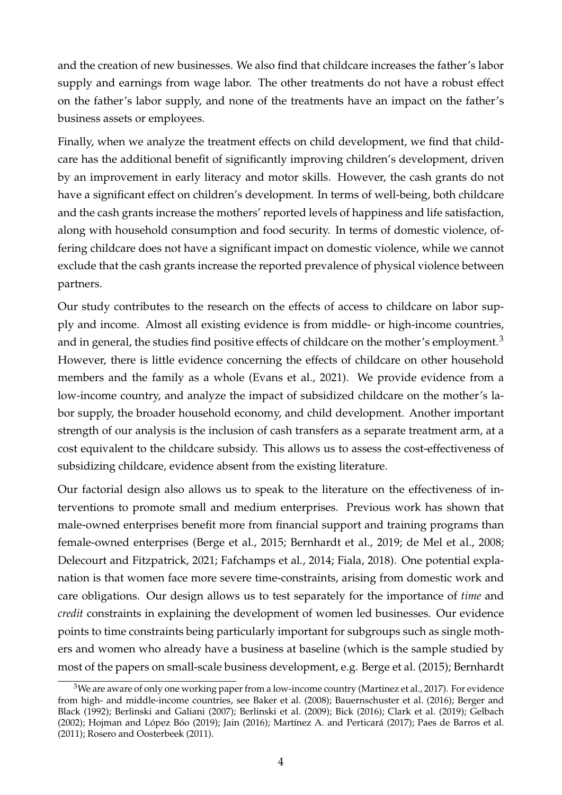and the creation of new businesses. We also find that childcare increases the father's labor supply and earnings from wage labor. The other treatments do not have a robust effect on the father's labor supply, and none of the treatments have an impact on the father's business assets or employees.

Finally, when we analyze the treatment effects on child development, we find that childcare has the additional benefit of significantly improving children's development, driven by an improvement in early literacy and motor skills. However, the cash grants do not have a significant effect on children's development. In terms of well-being, both childcare and the cash grants increase the mothers' reported levels of happiness and life satisfaction, along with household consumption and food security. In terms of domestic violence, offering childcare does not have a significant impact on domestic violence, while we cannot exclude that the cash grants increase the reported prevalence of physical violence between partners.

Our study contributes to the research on the effects of access to childcare on labor supply and income. Almost all existing evidence is from middle- or high-income countries, and in general, the studies find positive effects of childcare on the mother's employment.<sup>3</sup> However, there is little evidence concerning the effects of childcare on other household members and the family as a whole (Evans et al., 2021). We provide evidence from a low-income country, and analyze the impact of subsidized childcare on the mother's labor supply, the broader household economy, and child development. Another important strength of our analysis is the inclusion of cash transfers as a separate treatment arm, at a cost equivalent to the childcare subsidy. This allows us to assess the cost-effectiveness of subsidizing childcare, evidence absent from the existing literature.

Our factorial design also allows us to speak to the literature on the effectiveness of interventions to promote small and medium enterprises. Previous work has shown that male-owned enterprises benefit more from financial support and training programs than female-owned enterprises (Berge et al., 2015; Bernhardt et al., 2019; de Mel et al., 2008; Delecourt and Fitzpatrick, 2021; Fafchamps et al., 2014; Fiala, 2018). One potential explanation is that women face more severe time-constraints, arising from domestic work and care obligations. Our design allows us to test separately for the importance of *time* and *credit* constraints in explaining the development of women led businesses. Our evidence points to time constraints being particularly important for subgroups such as single mothers and women who already have a business at baseline (which is the sample studied by most of the papers on small-scale business development, e.g. Berge et al. (2015); Bernhardt

<sup>&</sup>lt;sup>3</sup>We are aware of only one working paper from a low-income country (Martinez et al., 2017). For evidence from high- and middle-income countries, see Baker et al. (2008); Bauernschuster et al. (2016); Berger and Black (1992); Berlinski and Galiani (2007); Berlinski et al. (2009); Bick (2016); Clark et al. (2019); Gelbach (2002); Hojman and López Bóo (2019); Jain (2016); Martínez A. and Perticará (2017); Paes de Barros et al. (2011); Rosero and Oosterbeek (2011).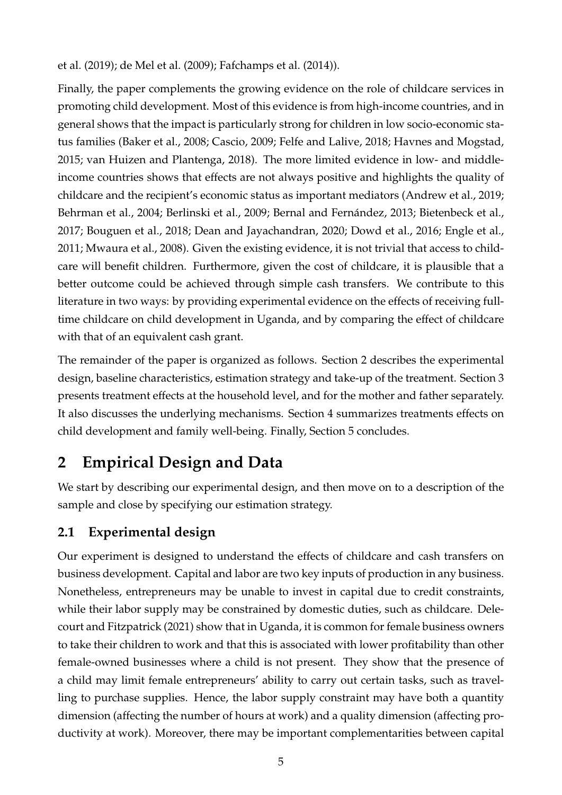et al. (2019); de Mel et al. (2009); Fafchamps et al. (2014)).

Finally, the paper complements the growing evidence on the role of childcare services in promoting child development. Most of this evidence is from high-income countries, and in general shows that the impact is particularly strong for children in low socio-economic status families (Baker et al., 2008; Cascio, 2009; Felfe and Lalive, 2018; Havnes and Mogstad, 2015; van Huizen and Plantenga, 2018). The more limited evidence in low- and middleincome countries shows that effects are not always positive and highlights the quality of childcare and the recipient's economic status as important mediators (Andrew et al., 2019; Behrman et al., 2004; Berlinski et al., 2009; Bernal and Fernández, 2013; Bietenbeck et al., 2017; Bouguen et al., 2018; Dean and Jayachandran, 2020; Dowd et al., 2016; Engle et al., 2011; Mwaura et al., 2008). Given the existing evidence, it is not trivial that access to childcare will benefit children. Furthermore, given the cost of childcare, it is plausible that a better outcome could be achieved through simple cash transfers. We contribute to this literature in two ways: by providing experimental evidence on the effects of receiving fulltime childcare on child development in Uganda, and by comparing the effect of childcare with that of an equivalent cash grant.

The remainder of the paper is organized as follows. Section 2 describes the experimental design, baseline characteristics, estimation strategy and take-up of the treatment. Section 3 presents treatment effects at the household level, and for the mother and father separately. It also discusses the underlying mechanisms. Section 4 summarizes treatments effects on child development and family well-being. Finally, Section 5 concludes.

## **2 Empirical Design and Data**

We start by describing our experimental design, and then move on to a description of the sample and close by specifying our estimation strategy.

### **2.1 Experimental design**

Our experiment is designed to understand the effects of childcare and cash transfers on business development. Capital and labor are two key inputs of production in any business. Nonetheless, entrepreneurs may be unable to invest in capital due to credit constraints, while their labor supply may be constrained by domestic duties, such as childcare. Delecourt and Fitzpatrick (2021) show that in Uganda, it is common for female business owners to take their children to work and that this is associated with lower profitability than other female-owned businesses where a child is not present. They show that the presence of a child may limit female entrepreneurs' ability to carry out certain tasks, such as travelling to purchase supplies. Hence, the labor supply constraint may have both a quantity dimension (affecting the number of hours at work) and a quality dimension (affecting productivity at work). Moreover, there may be important complementarities between capital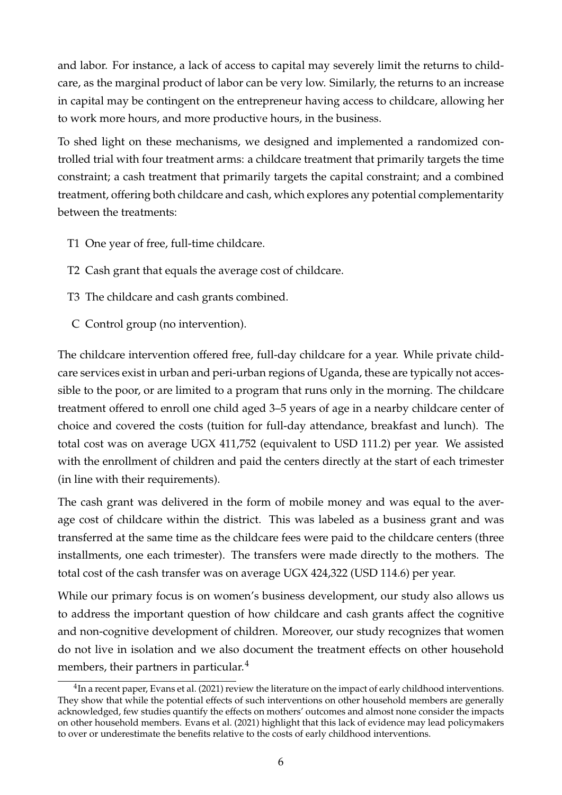and labor. For instance, a lack of access to capital may severely limit the returns to childcare, as the marginal product of labor can be very low. Similarly, the returns to an increase in capital may be contingent on the entrepreneur having access to childcare, allowing her to work more hours, and more productive hours, in the business.

To shed light on these mechanisms, we designed and implemented a randomized controlled trial with four treatment arms: a childcare treatment that primarily targets the time constraint; a cash treatment that primarily targets the capital constraint; and a combined treatment, offering both childcare and cash, which explores any potential complementarity between the treatments:

- T1 One year of free, full-time childcare.
- T2 Cash grant that equals the average cost of childcare.
- T3 The childcare and cash grants combined.
- C Control group (no intervention).

The childcare intervention offered free, full-day childcare for a year. While private childcare services exist in urban and peri-urban regions of Uganda, these are typically not accessible to the poor, or are limited to a program that runs only in the morning. The childcare treatment offered to enroll one child aged 3–5 years of age in a nearby childcare center of choice and covered the costs (tuition for full-day attendance, breakfast and lunch). The total cost was on average UGX 411,752 (equivalent to USD 111.2) per year. We assisted with the enrollment of children and paid the centers directly at the start of each trimester (in line with their requirements).

The cash grant was delivered in the form of mobile money and was equal to the average cost of childcare within the district. This was labeled as a business grant and was transferred at the same time as the childcare fees were paid to the childcare centers (three installments, one each trimester). The transfers were made directly to the mothers. The total cost of the cash transfer was on average UGX 424,322 (USD 114.6) per year.

While our primary focus is on women's business development, our study also allows us to address the important question of how childcare and cash grants affect the cognitive and non-cognitive development of children. Moreover, our study recognizes that women do not live in isolation and we also document the treatment effects on other household members, their partners in particular.<sup>4</sup>

 $^4$ In a recent paper, Evans et al. (2021) review the literature on the impact of early childhood interventions. They show that while the potential effects of such interventions on other household members are generally acknowledged, few studies quantify the effects on mothers' outcomes and almost none consider the impacts on other household members. Evans et al. (2021) highlight that this lack of evidence may lead policymakers to over or underestimate the benefits relative to the costs of early childhood interventions.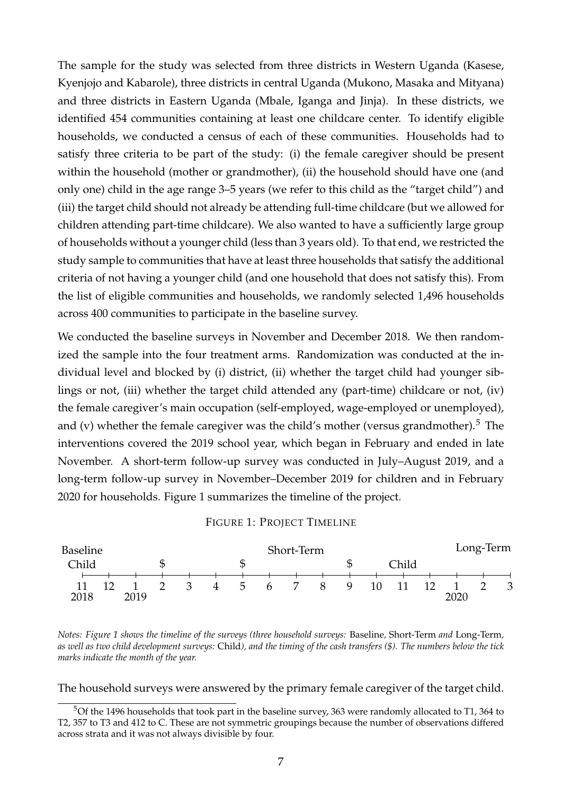The sample for the study was selected from three districts in Western Uganda (Kasese, Kyenjojo and Kabarole), three districts in central Uganda (Mukono, Masaka and Mityana) and three districts in Eastern Uganda (Mbale, Iganga and Jinja). In these districts, we identified 454 communities containing at least one childcare center. To identify eligible households, we conducted a census of each of these communities. Households had to satisfy three criteria to be part of the study: (i) the female caregiver should be present within the household (mother or grandmother), (ii) the household should have one (and only one) child in the age range 3–5 years (we refer to this child as the "target child") and (iii) the target child should not already be attending full-time childcare (but we allowed for children attending part-time childcare). We also wanted to have a sufficiently large group of households without a younger child (less than 3 years old). To that end, we restricted the study sample to communities that have at least three households that satisfy the additional criteria of not having a younger child (and one household that does not satisfy this). From the list of eligible communities and households, we randomly selected 1,496 households across 400 communities to participate in the baseline survey.

We conducted the baseline surveys in November and December 2018. We then randomized the sample into the four treatment arms. Randomization was conducted at the individual level and blocked by (i) district, (ii) whether the target child had younger siblings or not, (iii) whether the target child attended any (part-time) childcare or not, (iv) the female caregiver's main occupation (self-employed, wage-employed or unemployed), and (v) whether the female caregiver was the child's mother (versus grandmother).<sup>5</sup> The interventions covered the 2019 school year, which began in February and ended in late November. A short-term follow-up survey was conducted in July–August 2019, and a long-term follow-up survey in November–December 2019 for children and in February 2020 for households. Figure 1 summarizes the timeline of the project.

#### FIGURE 1: PROJECT TIMELINE



*Notes: Figure 1 shows the timeline of the surveys (three household surveys:* Baseline*,* Short-Term *and* Long-Term*, as well as two child development surveys:* Child*), and the timing of the cash transfers (\$). The numbers below the tick marks indicate the month of the year.*

The household surveys were answered by the primary female caregiver of the target child.

<sup>5</sup>Of the 1496 households that took part in the baseline survey, 363 were randomly allocated to T1, 364 to T2, 357 to T3 and 412 to C. These are not symmetric groupings because the number of observations differed across strata and it was not always divisible by four.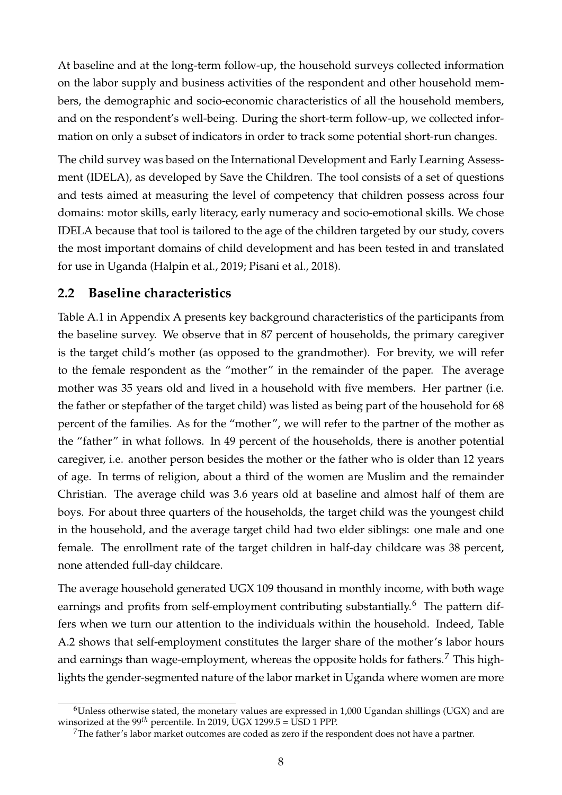At baseline and at the long-term follow-up, the household surveys collected information on the labor supply and business activities of the respondent and other household members, the demographic and socio-economic characteristics of all the household members, and on the respondent's well-being. During the short-term follow-up, we collected information on only a subset of indicators in order to track some potential short-run changes.

The child survey was based on the International Development and Early Learning Assessment (IDELA), as developed by Save the Children. The tool consists of a set of questions and tests aimed at measuring the level of competency that children possess across four domains: motor skills, early literacy, early numeracy and socio-emotional skills. We chose IDELA because that tool is tailored to the age of the children targeted by our study, covers the most important domains of child development and has been tested in and translated for use in Uganda (Halpin et al., 2019; Pisani et al., 2018).

### **2.2 Baseline characteristics**

Table A.1 in Appendix A presents key background characteristics of the participants from the baseline survey. We observe that in 87 percent of households, the primary caregiver is the target child's mother (as opposed to the grandmother). For brevity, we will refer to the female respondent as the "mother" in the remainder of the paper. The average mother was 35 years old and lived in a household with five members. Her partner (i.e. the father or stepfather of the target child) was listed as being part of the household for 68 percent of the families. As for the "mother", we will refer to the partner of the mother as the "father" in what follows. In 49 percent of the households, there is another potential caregiver, i.e. another person besides the mother or the father who is older than 12 years of age. In terms of religion, about a third of the women are Muslim and the remainder Christian. The average child was 3.6 years old at baseline and almost half of them are boys. For about three quarters of the households, the target child was the youngest child in the household, and the average target child had two elder siblings: one male and one female. The enrollment rate of the target children in half-day childcare was 38 percent, none attended full-day childcare.

The average household generated UGX 109 thousand in monthly income, with both wage earnings and profits from self-employment contributing substantially.<sup>6</sup> The pattern differs when we turn our attention to the individuals within the household. Indeed, Table A.2 shows that self-employment constitutes the larger share of the mother's labor hours and earnings than wage-employment, whereas the opposite holds for fathers.<sup>7</sup> This highlights the gender-segmented nature of the labor market in Uganda where women are more

 $6$ Unless otherwise stated, the monetary values are expressed in 1,000 Ugandan shillings (UGX) and are winsorized at the 99<sup>th</sup> percentile. In 2019, UGX 1299.5 = USD 1 PPP.

 $7$ The father's labor market outcomes are coded as zero if the respondent does not have a partner.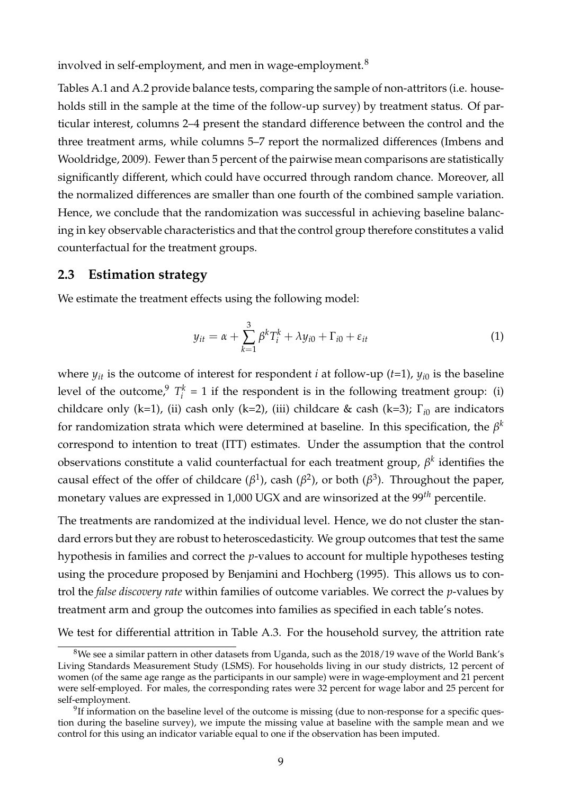involved in self-employment, and men in wage-employment.<sup>8</sup>

Tables A.1 and A.2 provide balance tests, comparing the sample of non-attritors (i.e. households still in the sample at the time of the follow-up survey) by treatment status. Of particular interest, columns 2–4 present the standard difference between the control and the three treatment arms, while columns 5–7 report the normalized differences (Imbens and Wooldridge, 2009). Fewer than 5 percent of the pairwise mean comparisons are statistically significantly different, which could have occurred through random chance. Moreover, all the normalized differences are smaller than one fourth of the combined sample variation. Hence, we conclude that the randomization was successful in achieving baseline balancing in key observable characteristics and that the control group therefore constitutes a valid counterfactual for the treatment groups.

#### **2.3 Estimation strategy**

We estimate the treatment effects using the following model:

$$
y_{it} = \alpha + \sum_{k=1}^{3} \beta^k T_i^k + \lambda y_{i0} + \Gamma_{i0} + \varepsilon_{it}
$$
 (1)

where  $y_{it}$  is the outcome of interest for respondent *i* at follow-up (*t*=1),  $y_{i0}$  is the baseline level of the outcome,  $T_i^k$  $i<sub>i</sub><sup>k</sup> = 1$  if the respondent is in the following treatment group: (i) childcare only (k=1), (ii) cash only (k=2), (iii) childcare & cash (k=3); Γ*i*<sup>0</sup> are indicators for randomization strata which were determined at baseline. In this specification, the  $\beta^k$ correspond to intention to treat (ITT) estimates. Under the assumption that the control observations constitute a valid counterfactual for each treatment group, *β k* identifies the causal effect of the offer of childcare ( $\beta$ <sup>1</sup>), cash ( $\beta$ <sup>2</sup>), or both ( $\beta$ <sup>3</sup>). Throughout the paper, monetary values are expressed in 1,000 UGX and are winsorized at the 99*th* percentile.

The treatments are randomized at the individual level. Hence, we do not cluster the standard errors but they are robust to heteroscedasticity. We group outcomes that test the same hypothesis in families and correct the *p*-values to account for multiple hypotheses testing using the procedure proposed by Benjamini and Hochberg (1995). This allows us to control the *false discovery rate* within families of outcome variables. We correct the *p*-values by treatment arm and group the outcomes into families as specified in each table's notes.

We test for differential attrition in Table A.3. For the household survey, the attrition rate

 $8$ We see a similar pattern in other datasets from Uganda, such as the 2018/19 wave of the World Bank's Living Standards Measurement Study (LSMS). For households living in our study districts, 12 percent of women (of the same age range as the participants in our sample) were in wage-employment and 21 percent were self-employed. For males, the corresponding rates were 32 percent for wage labor and 25 percent for self-employment.

 $9$ If information on the baseline level of the outcome is missing (due to non-response for a specific question during the baseline survey), we impute the missing value at baseline with the sample mean and we control for this using an indicator variable equal to one if the observation has been imputed.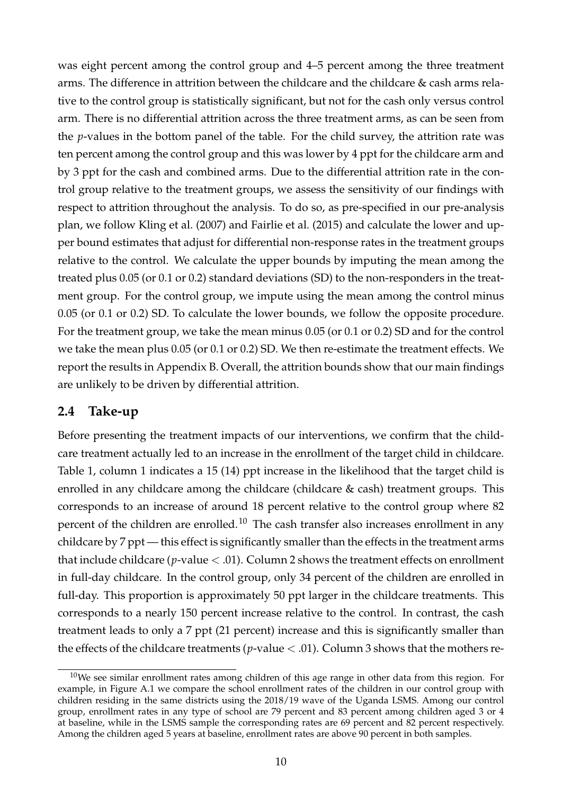was eight percent among the control group and 4–5 percent among the three treatment arms. The difference in attrition between the childcare and the childcare & cash arms relative to the control group is statistically significant, but not for the cash only versus control arm. There is no differential attrition across the three treatment arms, as can be seen from the *p*-values in the bottom panel of the table. For the child survey, the attrition rate was ten percent among the control group and this was lower by 4 ppt for the childcare arm and by 3 ppt for the cash and combined arms. Due to the differential attrition rate in the control group relative to the treatment groups, we assess the sensitivity of our findings with respect to attrition throughout the analysis. To do so, as pre-specified in our pre-analysis plan, we follow Kling et al. (2007) and Fairlie et al. (2015) and calculate the lower and upper bound estimates that adjust for differential non-response rates in the treatment groups relative to the control. We calculate the upper bounds by imputing the mean among the treated plus 0.05 (or 0.1 or 0.2) standard deviations (SD) to the non-responders in the treatment group. For the control group, we impute using the mean among the control minus 0.05 (or 0.1 or 0.2) SD. To calculate the lower bounds, we follow the opposite procedure. For the treatment group, we take the mean minus 0.05 (or 0.1 or 0.2) SD and for the control we take the mean plus 0.05 (or 0.1 or 0.2) SD. We then re-estimate the treatment effects. We report the results in Appendix B. Overall, the attrition bounds show that our main findings are unlikely to be driven by differential attrition.

#### **2.4 Take-up**

Before presenting the treatment impacts of our interventions, we confirm that the childcare treatment actually led to an increase in the enrollment of the target child in childcare. Table 1, column 1 indicates a 15 (14) ppt increase in the likelihood that the target child is enrolled in any childcare among the childcare (childcare & cash) treatment groups. This corresponds to an increase of around 18 percent relative to the control group where 82 percent of the children are enrolled.<sup>10</sup> The cash transfer also increases enrollment in any childcare by 7 ppt — this effect is significantly smaller than the effects in the treatment arms that include childcare ( $p$ -value  $<$  .01). Column 2 shows the treatment effects on enrollment in full-day childcare. In the control group, only 34 percent of the children are enrolled in full-day. This proportion is approximately 50 ppt larger in the childcare treatments. This corresponds to a nearly 150 percent increase relative to the control. In contrast, the cash treatment leads to only a 7 ppt (21 percent) increase and this is significantly smaller than the effects of the childcare treatments ( $p$ -value  $<$  .01). Column 3 shows that the mothers re-

 $10$ We see similar enrollment rates among children of this age range in other data from this region. For example, in Figure A.1 we compare the school enrollment rates of the children in our control group with children residing in the same districts using the 2018/19 wave of the Uganda LSMS. Among our control group, enrollment rates in any type of school are 79 percent and 83 percent among children aged 3 or 4 at baseline, while in the LSMS sample the corresponding rates are 69 percent and 82 percent respectively. Among the children aged 5 years at baseline, enrollment rates are above 90 percent in both samples.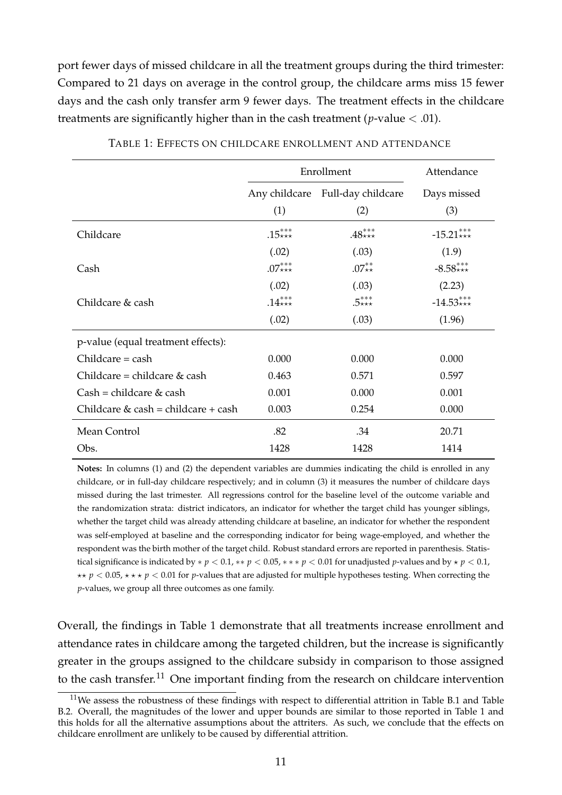port fewer days of missed childcare in all the treatment groups during the third trimester: Compared to 21 days on average in the control group, the childcare arms miss 15 fewer days and the cash only transfer arm 9 fewer days. The treatment effects in the childcare treatments are significantly higher than in the cash treatment ( $p$ -value  $<$  .01).

|                                     |          | Enrollment                              | Attendance         |
|-------------------------------------|----------|-----------------------------------------|--------------------|
|                                     | (1)      | Any childcare Full-day childcare<br>(2) | Days missed<br>(3) |
| Childcare                           | $.15***$ | $.48***$                                | $-15.21***$        |
|                                     | (.02)    | (.03)                                   | (1.9)              |
| Cash                                | $.07***$ | $.07^{**}_{**}$                         | $-8.58***$         |
|                                     | (.02)    | (.03)                                   | (2.23)             |
| Childcare & cash                    | $.14***$ | $.5***$                                 | $-14.53***$        |
|                                     | (.02)    | (.03)                                   | (1.96)             |
| p-value (equal treatment effects):  |          |                                         |                    |
| $Children = cash$                   | 0.000    | 0.000                                   | 0.000              |
| Childcare = childcare $&$ cash      | 0.463    | 0.571                                   | 0.597              |
| $Cash = children & cash$            | 0.001    | 0.000                                   | 0.001              |
| Childcare & cash = childcare + cash | 0.003    | 0.254                                   | 0.000              |
| Mean Control                        | .82      | .34                                     | 20.71              |
| Obs.                                | 1428     | 1428                                    | 1414               |

TABLE 1: EFFECTS ON CHILDCARE ENROLLMENT AND ATTENDANCE

**Notes:** In columns (1) and (2) the dependent variables are dummies indicating the child is enrolled in any childcare, or in full-day childcare respectively; and in column (3) it measures the number of childcare days missed during the last trimester. All regressions control for the baseline level of the outcome variable and the randomization strata: district indicators, an indicator for whether the target child has younger siblings, whether the target child was already attending childcare at baseline, an indicator for whether the respondent was self-employed at baseline and the corresponding indicator for being wage-employed, and whether the respondent was the birth mother of the target child. Robust standard errors are reported in parenthesis. Statistical significance is indicated by  $* p < 0.1, ** p < 0.05, ** p < 0.01$  for unadjusted *p*-values and by  $* p < 0.1$ , ⋆⋆ *p* < 0.05, ⋆ ⋆ ⋆ *p* < 0.01 for *p*-values that are adjusted for multiple hypotheses testing. When correcting the *p*-values, we group all three outcomes as one family.

Overall, the findings in Table 1 demonstrate that all treatments increase enrollment and attendance rates in childcare among the targeted children, but the increase is significantly greater in the groups assigned to the childcare subsidy in comparison to those assigned to the cash transfer.<sup>11</sup> One important finding from the research on childcare intervention

 $11$ We assess the robustness of these findings with respect to differential attrition in Table B.1 and Table B.2. Overall, the magnitudes of the lower and upper bounds are similar to those reported in Table 1 and this holds for all the alternative assumptions about the attriters. As such, we conclude that the effects on childcare enrollment are unlikely to be caused by differential attrition.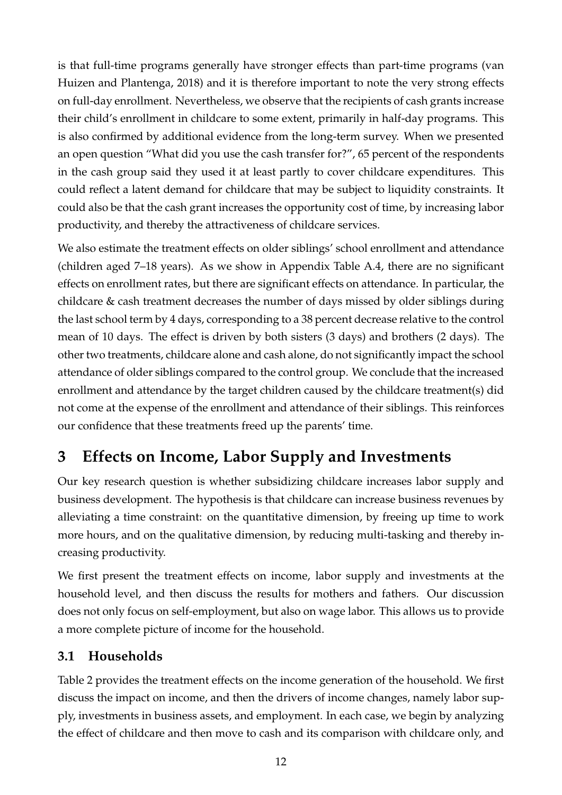is that full-time programs generally have stronger effects than part-time programs (van Huizen and Plantenga, 2018) and it is therefore important to note the very strong effects on full-day enrollment. Nevertheless, we observe that the recipients of cash grants increase their child's enrollment in childcare to some extent, primarily in half-day programs. This is also confirmed by additional evidence from the long-term survey. When we presented an open question "What did you use the cash transfer for?", 65 percent of the respondents in the cash group said they used it at least partly to cover childcare expenditures. This could reflect a latent demand for childcare that may be subject to liquidity constraints. It could also be that the cash grant increases the opportunity cost of time, by increasing labor productivity, and thereby the attractiveness of childcare services.

We also estimate the treatment effects on older siblings' school enrollment and attendance (children aged 7–18 years). As we show in Appendix Table A.4, there are no significant effects on enrollment rates, but there are significant effects on attendance. In particular, the childcare & cash treatment decreases the number of days missed by older siblings during the last school term by 4 days, corresponding to a 38 percent decrease relative to the control mean of 10 days. The effect is driven by both sisters (3 days) and brothers (2 days). The other two treatments, childcare alone and cash alone, do not significantly impact the school attendance of older siblings compared to the control group. We conclude that the increased enrollment and attendance by the target children caused by the childcare treatment(s) did not come at the expense of the enrollment and attendance of their siblings. This reinforces our confidence that these treatments freed up the parents' time.

## **3 Effects on Income, Labor Supply and Investments**

Our key research question is whether subsidizing childcare increases labor supply and business development. The hypothesis is that childcare can increase business revenues by alleviating a time constraint: on the quantitative dimension, by freeing up time to work more hours, and on the qualitative dimension, by reducing multi-tasking and thereby increasing productivity.

We first present the treatment effects on income, labor supply and investments at the household level, and then discuss the results for mothers and fathers. Our discussion does not only focus on self-employment, but also on wage labor. This allows us to provide a more complete picture of income for the household.

### **3.1 Households**

Table 2 provides the treatment effects on the income generation of the household. We first discuss the impact on income, and then the drivers of income changes, namely labor supply, investments in business assets, and employment. In each case, we begin by analyzing the effect of childcare and then move to cash and its comparison with childcare only, and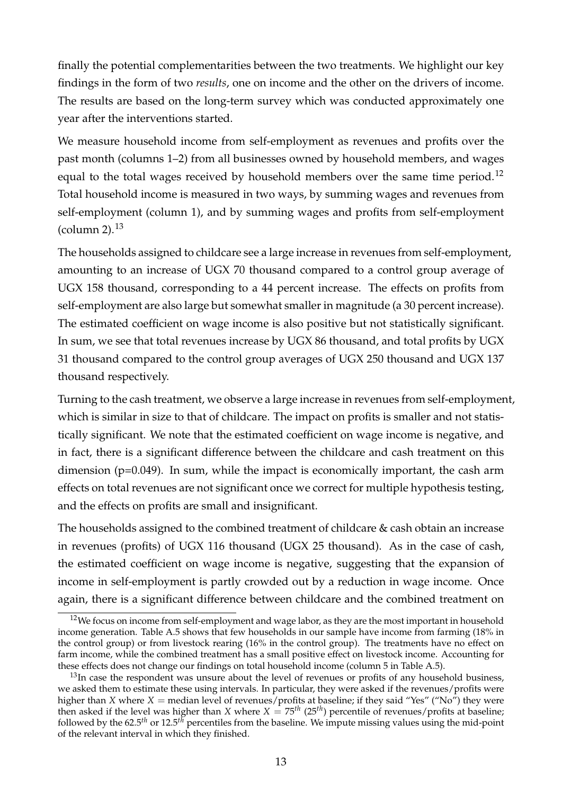finally the potential complementarities between the two treatments. We highlight our key findings in the form of two *results*, one on income and the other on the drivers of income. The results are based on the long-term survey which was conducted approximately one year after the interventions started.

We measure household income from self-employment as revenues and profits over the past month (columns 1–2) from all businesses owned by household members, and wages equal to the total wages received by household members over the same time period.<sup>12</sup> Total household income is measured in two ways, by summing wages and revenues from self-employment (column 1), and by summing wages and profits from self-employment (column 2). $^{13}$ 

The households assigned to childcare see a large increase in revenues from self-employment, amounting to an increase of UGX 70 thousand compared to a control group average of UGX 158 thousand, corresponding to a 44 percent increase. The effects on profits from self-employment are also large but somewhat smaller in magnitude (a 30 percent increase). The estimated coefficient on wage income is also positive but not statistically significant. In sum, we see that total revenues increase by UGX 86 thousand, and total profits by UGX 31 thousand compared to the control group averages of UGX 250 thousand and UGX 137 thousand respectively.

Turning to the cash treatment, we observe a large increase in revenues from self-employment, which is similar in size to that of childcare. The impact on profits is smaller and not statistically significant. We note that the estimated coefficient on wage income is negative, and in fact, there is a significant difference between the childcare and cash treatment on this dimension (p=0.049). In sum, while the impact is economically important, the cash arm effects on total revenues are not significant once we correct for multiple hypothesis testing, and the effects on profits are small and insignificant.

The households assigned to the combined treatment of childcare & cash obtain an increase in revenues (profits) of UGX 116 thousand (UGX 25 thousand). As in the case of cash, the estimated coefficient on wage income is negative, suggesting that the expansion of income in self-employment is partly crowded out by a reduction in wage income. Once again, there is a significant difference between childcare and the combined treatment on

<sup>&</sup>lt;sup>12</sup>We focus on income from self-employment and wage labor, as they are the most important in household income generation. Table A.5 shows that few households in our sample have income from farming (18% in the control group) or from livestock rearing (16% in the control group). The treatments have no effect on farm income, while the combined treatment has a small positive effect on livestock income. Accounting for these effects does not change our findings on total household income (column 5 in Table A.5).

<sup>&</sup>lt;sup>13</sup>In case the respondent was unsure about the level of revenues or profits of any household business, we asked them to estimate these using intervals. In particular, they were asked if the revenues/profits were higher than *X* where *X* = median level of revenues/profits at baseline; if they said "Yes" ("No") they were then asked if the level was higher than *X* where *X* = 75*th* (25*th*) percentile of revenues/profits at baseline; followed by the 62.5*th* or 12.5*th* percentiles from the baseline. We impute missing values using the mid-point of the relevant interval in which they finished.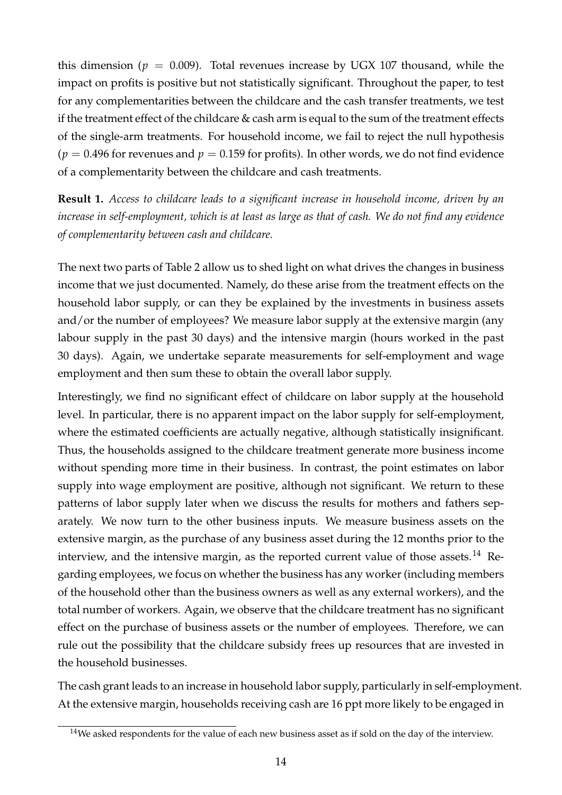this dimension ( $p = 0.009$ ). Total revenues increase by UGX 107 thousand, while the impact on profits is positive but not statistically significant. Throughout the paper, to test for any complementarities between the childcare and the cash transfer treatments, we test if the treatment effect of the childcare  $&$  cash arm is equal to the sum of the treatment effects of the single-arm treatments. For household income, we fail to reject the null hypothesis  $(p = 0.496$  for revenues and  $p = 0.159$  for profits). In other words, we do not find evidence of a complementarity between the childcare and cash treatments.

**Result 1.** *Access to childcare leads to a significant increase in household income, driven by an increase in self-employment, which is at least as large as that of cash. We do not find any evidence of complementarity between cash and childcare.*

The next two parts of Table 2 allow us to shed light on what drives the changes in business income that we just documented. Namely, do these arise from the treatment effects on the household labor supply, or can they be explained by the investments in business assets and/or the number of employees? We measure labor supply at the extensive margin (any labour supply in the past 30 days) and the intensive margin (hours worked in the past 30 days). Again, we undertake separate measurements for self-employment and wage employment and then sum these to obtain the overall labor supply.

Interestingly, we find no significant effect of childcare on labor supply at the household level. In particular, there is no apparent impact on the labor supply for self-employment, where the estimated coefficients are actually negative, although statistically insignificant. Thus, the households assigned to the childcare treatment generate more business income without spending more time in their business. In contrast, the point estimates on labor supply into wage employment are positive, although not significant. We return to these patterns of labor supply later when we discuss the results for mothers and fathers separately. We now turn to the other business inputs. We measure business assets on the extensive margin, as the purchase of any business asset during the 12 months prior to the interview, and the intensive margin, as the reported current value of those assets.<sup>14</sup> Regarding employees, we focus on whether the business has any worker (including members of the household other than the business owners as well as any external workers), and the total number of workers. Again, we observe that the childcare treatment has no significant effect on the purchase of business assets or the number of employees. Therefore, we can rule out the possibility that the childcare subsidy frees up resources that are invested in the household businesses.

The cash grant leads to an increase in household labor supply, particularly in self-employment. At the extensive margin, households receiving cash are 16 ppt more likely to be engaged in

 $14$ We asked respondents for the value of each new business asset as if sold on the day of the interview.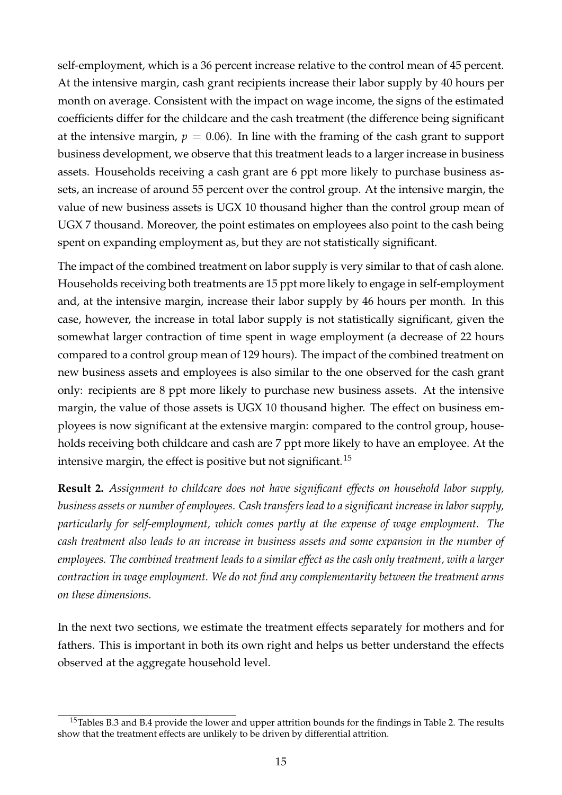self-employment, which is a 36 percent increase relative to the control mean of 45 percent. At the intensive margin, cash grant recipients increase their labor supply by 40 hours per month on average. Consistent with the impact on wage income, the signs of the estimated coefficients differ for the childcare and the cash treatment (the difference being significant at the intensive margin,  $p = 0.06$ ). In line with the framing of the cash grant to support business development, we observe that this treatment leads to a larger increase in business assets. Households receiving a cash grant are 6 ppt more likely to purchase business assets, an increase of around 55 percent over the control group. At the intensive margin, the value of new business assets is UGX 10 thousand higher than the control group mean of UGX 7 thousand. Moreover, the point estimates on employees also point to the cash being spent on expanding employment as, but they are not statistically significant.

The impact of the combined treatment on labor supply is very similar to that of cash alone. Households receiving both treatments are 15 ppt more likely to engage in self-employment and, at the intensive margin, increase their labor supply by 46 hours per month. In this case, however, the increase in total labor supply is not statistically significant, given the somewhat larger contraction of time spent in wage employment (a decrease of 22 hours compared to a control group mean of 129 hours). The impact of the combined treatment on new business assets and employees is also similar to the one observed for the cash grant only: recipients are 8 ppt more likely to purchase new business assets. At the intensive margin, the value of those assets is UGX 10 thousand higher. The effect on business employees is now significant at the extensive margin: compared to the control group, households receiving both childcare and cash are 7 ppt more likely to have an employee. At the intensive margin, the effect is positive but not significant.<sup>15</sup>

**Result 2.** *Assignment to childcare does not have significant effects on household labor supply, business assets or number of employees. Cash transfers lead to a significant increase in labor supply, particularly for self-employment, which comes partly at the expense of wage employment. The cash treatment also leads to an increase in business assets and some expansion in the number of employees. The combined treatment leads to a similar effect as the cash only treatment, with a larger contraction in wage employment. We do not find any complementarity between the treatment arms on these dimensions.*

In the next two sections, we estimate the treatment effects separately for mothers and for fathers. This is important in both its own right and helps us better understand the effects observed at the aggregate household level.

 $15$ Tables B.3 and B.4 provide the lower and upper attrition bounds for the findings in Table 2. The results show that the treatment effects are unlikely to be driven by differential attrition.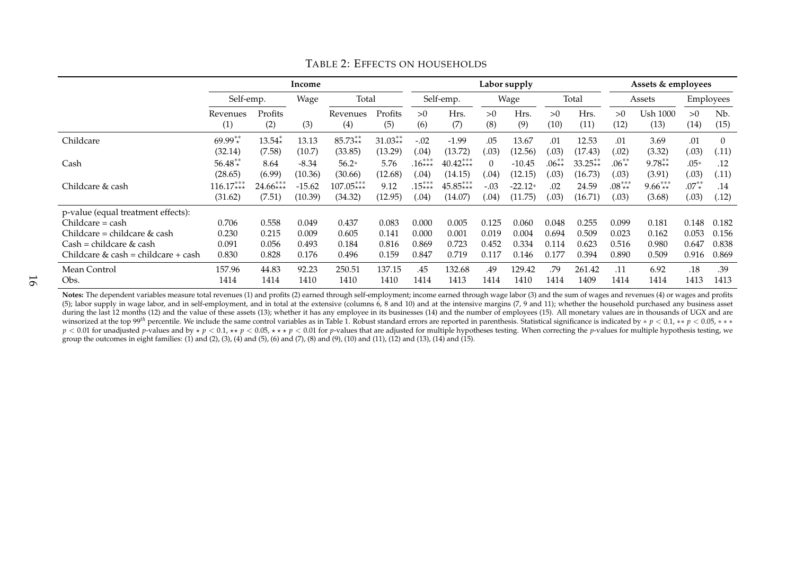|                                                         | Income          |                   |          |                 | Labor supply   |           |             |           |             |            | Assets & employees |            |                  |            |                          |
|---------------------------------------------------------|-----------------|-------------------|----------|-----------------|----------------|-----------|-------------|-----------|-------------|------------|--------------------|------------|------------------|------------|--------------------------|
|                                                         |                 | Self-emp.<br>Wage |          | Total           |                |           | Self-emp.   |           | Wage        |            | Total              | Assets     |                  | Employees  |                          |
|                                                         | Revenues<br>(1) | Profits<br>(2)    | (3)      | Revenues<br>(4) | Profits<br>(5) | >0<br>(6) | Hrs.<br>(7) | >0<br>(8) | Hrs.<br>(9) | >0<br>(10) | Hrs.<br>(11)       | >0<br>(12) | Ush 1000<br>(13) | >0<br>(14) | N <sub>b</sub> .<br>(15) |
| Childcare                                               | $69.99**$       | $13.54*$          | 13.13    | $85.73**$       | $31.03**$      | $-.02$    | $-1.99$     | .05       | 13.67       | .01        | 12.53              | .01        | 3.69             | .01        | $\Omega$                 |
|                                                         | (32.14)         | (7.58)            | (10.7)   | (33.85)         | (13.29)        | (.04)     | (13.72)     | (0.03)    | (12.56)     | 03         | (17.43)            | (0.02)     | (3.32)           | (.03)      | (.11)                    |
| Cash                                                    | $56.48**$       | 8.64              | $-8.34$  | $56.2*$         | 5.76           | $16***$   | $40.42***$  | $\Omega$  | $-10.45$    | $.06**$    | $33.25**$          | $.06^{**}$ | $9.78**$         | $.05*$     | .12                      |
|                                                         | (28.65)         | (6.99)            | (10.36)  | (30.66)         | (12.68)        | (.04)     | (14.15)     | (0.04)    | (12.15)     | 03         | (16.73)            | (0.03)     | (3.91)           | (.03)      | (.11)                    |
| Childcare & cash                                        | $116.17***$     | $24.66***$        | $-15.62$ | $107.05***$     | 9.12           | $15***$   | $45.85***$  | $-.03$    | $-22.12*$   | 02         | 24.59              | $.08***$   | $9.66***$        | $.07^{**}$ | .14                      |
|                                                         | (31.62)         | (7.51)            | (10.39)  | (34.32)         | (12.95)        | (.04)     | (14.07)     | (0.04)    | (11.75)     | .03        | (16.71)            | (.03)      | (3.68)           | (.03)      | (.12)                    |
| p-value (equal treatment effects):<br>$Children = cash$ | 0.706           | 0.558             | 0.049    | 0.437           | 0.083          | 0.000     | 0.005       | 0.125     | 0.060       | 0.048      | 0.255              | 0.099      | 0.181            | 0.148      | 0.182                    |
| Childcare = childcare $&$ cash                          | 0.230           | 0.215             | 0.009    | 0.605           | 0.141          | 0.000     | 0.001       | 0.019     | 0.004       | 0.694      | 0.509              | 0.023      | 0.162            | 0.053      | 0.156                    |
| $Cash = children & cash$                                | 0.091           | 0.056             | 0.493    | 0.184           | 0.816          | 0.869     | 0.723       | 0.452     | 0.334       | 0.114      | 0.623              | 0.516      | 0.980            | 0.647      | 0.838                    |
| Childcare & cash = childcare + cash                     | 0.830           | 0.828             | 0.176    | 0.496           | 0.159          | 0.847     | 0.719       | 0.117     | 0.146       | 0.177      | 0.394              | 0.890      | 0.509            | 0.916      | 0.869                    |
| Mean Control                                            | 157.96          | 44.83             | 92.23    | 250.51          | 137.15         | .45       | 132.68      | .49       | 129.42      | .79        | 261.42             | .11        | 6.92             | .18        | .39                      |
| Obs.                                                    | 1414            | 1414              | 1410     | 1410            | 1410           | 1414      | 1413        | 1414      | 1410        | 1414       | 1409               | 1414       | 1414             | 1413       | 1413                     |

#### TABLE 2: EFFECTS ON HOUSEHOLDS

**Notes:** The dependent variables measure total revenues (1) and profits (2) earned through self-employment; income earned through wage labor (3) and the sum of wages and revenues (4) or wages and profits (5); labor supply in wage labor, and in self-employment, and in total at the extensive (columns 6, 8 and 10) and at the intensive margins (7, 9 and 11); whether the household purchased any business asset during the last 12 months (12) and the value of these assets (13); whether it has any employee in its businesses (14) and the number of employees (15). All monetary values are in thousands of UGX and are in thousands of UG winsorized at the top 99<sup>th</sup> percentile. We include the same control variables as in Table 1. Robust standard errors are reported in parenthesis. Statistical significance is indicated by  $* p < 0.1, ** p < 0.05, **$  $p < 0.01$  for unadjusted p-values and by  $\star p < 0.1$ ,  $\star \star p < 0.05$ ,  $\star \star \star p < 0.01$  for p-values that are adjusted for multiple hypotheses testing. When correcting the p-values for multiple hypothesis testing, we group the outcomes in eight families: (1) and (2), (3), (4) and (5), (6) and (7), (8) and (9), (10) and (11), (12) and (13), (14) and (15).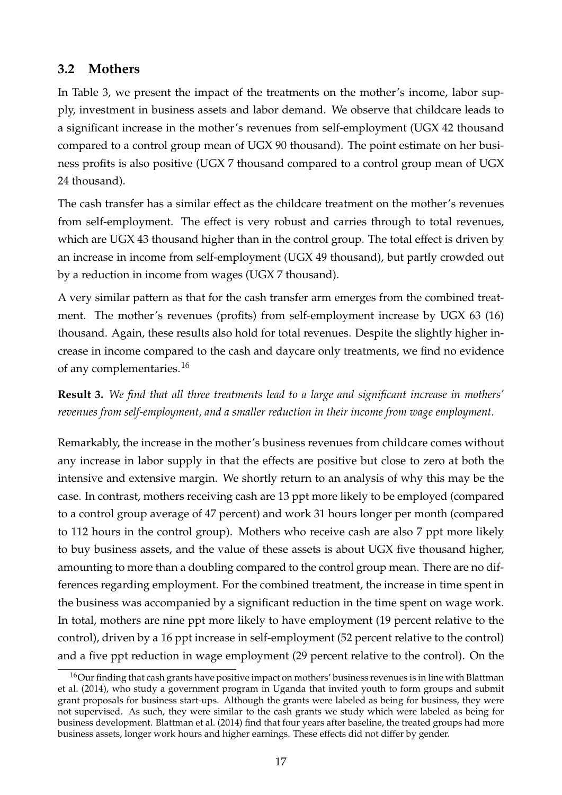### **3.2 Mothers**

In Table 3, we present the impact of the treatments on the mother's income, labor supply, investment in business assets and labor demand. We observe that childcare leads to a significant increase in the mother's revenues from self-employment (UGX 42 thousand compared to a control group mean of UGX 90 thousand). The point estimate on her business profits is also positive (UGX 7 thousand compared to a control group mean of UGX 24 thousand).

The cash transfer has a similar effect as the childcare treatment on the mother's revenues from self-employment. The effect is very robust and carries through to total revenues, which are UGX 43 thousand higher than in the control group. The total effect is driven by an increase in income from self-employment (UGX 49 thousand), but partly crowded out by a reduction in income from wages (UGX 7 thousand).

A very similar pattern as that for the cash transfer arm emerges from the combined treatment. The mother's revenues (profits) from self-employment increase by UGX 63 (16) thousand. Again, these results also hold for total revenues. Despite the slightly higher increase in income compared to the cash and daycare only treatments, we find no evidence of any complementaries.<sup>16</sup>

**Result 3.** *We find that all three treatments lead to a large and significant increase in mothers' revenues from self-employment, and a smaller reduction in their income from wage employment.*

Remarkably, the increase in the mother's business revenues from childcare comes without any increase in labor supply in that the effects are positive but close to zero at both the intensive and extensive margin. We shortly return to an analysis of why this may be the case. In contrast, mothers receiving cash are 13 ppt more likely to be employed (compared to a control group average of 47 percent) and work 31 hours longer per month (compared to 112 hours in the control group). Mothers who receive cash are also 7 ppt more likely to buy business assets, and the value of these assets is about UGX five thousand higher, amounting to more than a doubling compared to the control group mean. There are no differences regarding employment. For the combined treatment, the increase in time spent in the business was accompanied by a significant reduction in the time spent on wage work. In total, mothers are nine ppt more likely to have employment (19 percent relative to the control), driven by a 16 ppt increase in self-employment (52 percent relative to the control) and a five ppt reduction in wage employment (29 percent relative to the control). On the

<sup>&</sup>lt;sup>16</sup>Our finding that cash grants have positive impact on mothers' business revenues is in line with Blattman et al. (2014), who study a government program in Uganda that invited youth to form groups and submit grant proposals for business start-ups. Although the grants were labeled as being for business, they were not supervised. As such, they were similar to the cash grants we study which were labeled as being for business development. Blattman et al. (2014) find that four years after baseline, the treated groups had more business assets, longer work hours and higher earnings. These effects did not differ by gender.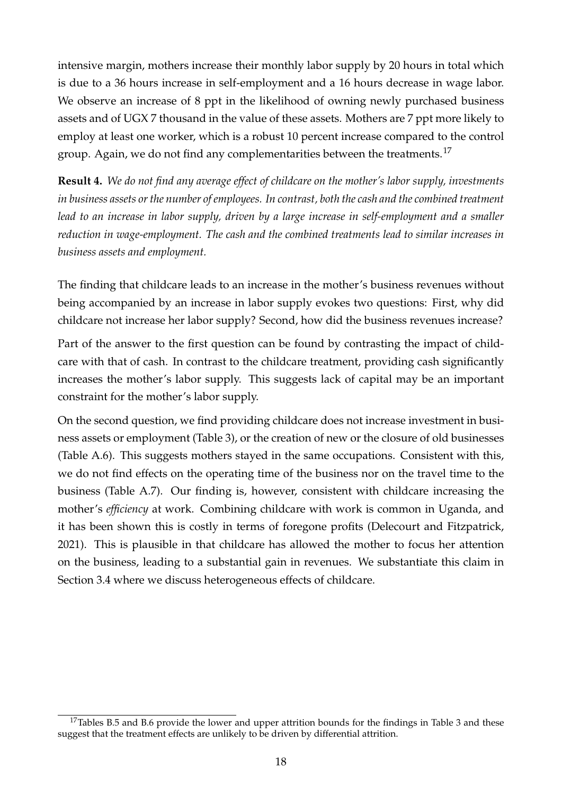intensive margin, mothers increase their monthly labor supply by 20 hours in total which is due to a 36 hours increase in self-employment and a 16 hours decrease in wage labor. We observe an increase of 8 ppt in the likelihood of owning newly purchased business assets and of UGX 7 thousand in the value of these assets. Mothers are 7 ppt more likely to employ at least one worker, which is a robust 10 percent increase compared to the control group. Again, we do not find any complementarities between the treatments.<sup>17</sup>

**Result 4.** *We do not find any average effect of childcare on the mother's labor supply, investments in business assets or the number of employees. In contrast, both the cash and the combined treatment lead to an increase in labor supply, driven by a large increase in self-employment and a smaller reduction in wage-employment. The cash and the combined treatments lead to similar increases in business assets and employment.*

The finding that childcare leads to an increase in the mother's business revenues without being accompanied by an increase in labor supply evokes two questions: First, why did childcare not increase her labor supply? Second, how did the business revenues increase?

Part of the answer to the first question can be found by contrasting the impact of childcare with that of cash. In contrast to the childcare treatment, providing cash significantly increases the mother's labor supply. This suggests lack of capital may be an important constraint for the mother's labor supply.

On the second question, we find providing childcare does not increase investment in business assets or employment (Table 3), or the creation of new or the closure of old businesses (Table A.6). This suggests mothers stayed in the same occupations. Consistent with this, we do not find effects on the operating time of the business nor on the travel time to the business (Table A.7). Our finding is, however, consistent with childcare increasing the mother's *efficiency* at work. Combining childcare with work is common in Uganda, and it has been shown this is costly in terms of foregone profits (Delecourt and Fitzpatrick, 2021). This is plausible in that childcare has allowed the mother to focus her attention on the business, leading to a substantial gain in revenues. We substantiate this claim in Section 3.4 where we discuss heterogeneous effects of childcare.

 $17$ Tables B.5 and B.6 provide the lower and upper attrition bounds for the findings in Table 3 and these suggest that the treatment effects are unlikely to be driven by differential attrition.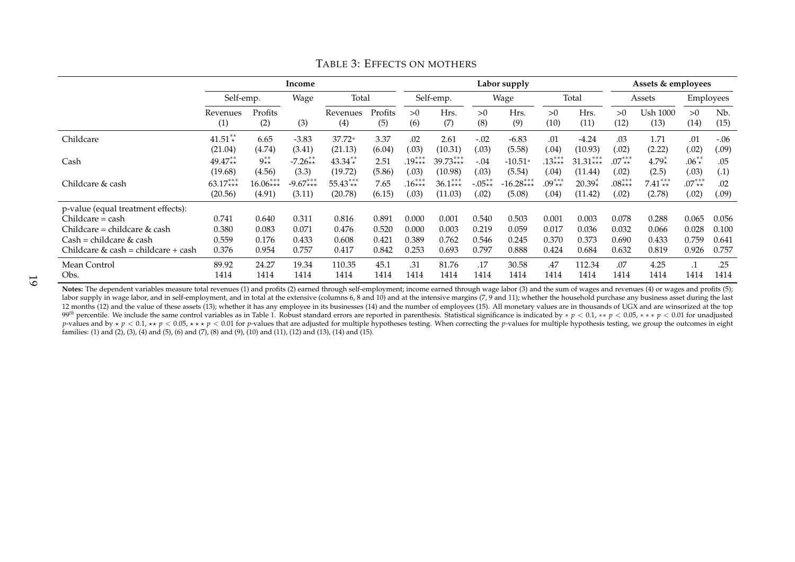|                                       | Income          |                |            |                 |                | Labor supply     |             |           |             |            |              | Assets & employees |                  |                  |                          |
|---------------------------------------|-----------------|----------------|------------|-----------------|----------------|------------------|-------------|-----------|-------------|------------|--------------|--------------------|------------------|------------------|--------------------------|
|                                       | Self-emp.       |                | Wage       | Total           |                |                  | Self-emp.   |           | Wage        |            | Total        | Assets             |                  | Employees        |                          |
|                                       | Revenues<br>(1) | Profits<br>(2) | (3)        | Revenues<br>(4) | Profits<br>(5) | >0<br>(6)        | Hrs.<br>(7) | >0<br>(8) | Hrs.<br>(9) | >0<br>(10) | Hrs.<br>(11) | >0<br>(12)         | Ush 1000<br>(13) | >0<br>(14)       | N <sub>b</sub> .<br>(15) |
| Childcare                             | $41.51**$       | 6.65           | $-3.83$    | 37.72*          | 3.37           | .02              | 2.61        | $-.02$    | $-6.83$     | .01        | $-4.24$      | .03                | 1.71             | .01              | $-.06$                   |
|                                       | (21.04)         | (4.74)         | (3.41)     | (21.13)         | (6.04)         | (0.03)           | (10.31)     | (.03)     | (5.58)      | (.04)      | (10.93)      | (.02)              | (2.22)           | (.02)            | (.09)                    |
| Cash                                  | $49.47**$       | $9^{**}_{**}$  | $-7.26**$  | $43.34**$       | 2.51           | $19^{***}_{***}$ | $39.73***$  | $-.04$    | $-10.51*$   | $13***$    | $31.31***$   | $.07^{***}_{**}$   | $4.79*$          | $.06^{**}$       | .05                      |
|                                       | (19.68)         | (4.56)         | (3.3)      | (19.72)         | (5.86)         | (.03)            | (10.98)     | (.03)     | (5.54)      | (.04)      | (11.44)      | (.02)              | (2.5)            | (.03)            | (.1)                     |
| Childcare & cash                      | $63.17***$      | $16.06***$     | $-9.67***$ | $55.43***$      | 7.65           | $16***$          | $36.1***$   | $-.05**$  | $16.28***$  | $.09***$   | $20.39*$     | $.08***$           | $7.41***$        | $.07^{***}_{**}$ | .02                      |
|                                       | (20.56)         | (4.91)         | (3.11)     | (20.78)         | (6.15)         | (.03)            | (11.03)     | (.02)     | (5.08)      | (.04)      | (11.42)      | (.02)              | (2.78)           | (.02)            | (.09)                    |
| p-value (equal treatment effects):    |                 |                |            |                 |                |                  |             |           |             |            |              |                    |                  |                  |                          |
| $Children = cash$                     | 0.741           | 0.640          | 0.311      | 0.816           | 0.891          | 0.000            | 0.001       | 0.540     | 0.503       | 0.001      | 0.003        | 0.078              | 0.288            | 0.065            | 0.056                    |
| Childcare = childcare $\&$ cash       | 0.380           | 0.083          | 0.071      | 0.476           | 0.520          | 0.000            | 0.003       | 0.219     | 0.059       | 0.017      | 0.036        | 0.032              | 0.066            | 0.028            | 0.100                    |
| $Cash = children \& cash$             | 0.559           | 0.176          | 0.433      | 0.608           | 0.421          | 0.389            | 0.762       | 0.546     | 0.245       | 0.370      | 0.373        | 0.690              | 0.433            | 0.759            | 0.641                    |
| Childcare $&$ cash = childcare + cash | 0.376           | 0.954          | 0.757      | 0.417           | 0.842          | 0.253            | 0.693       | 0.797     | 0.888       | 0.424      | 0.684        | 0.632              | 0.819            | 0.926            | 0.757                    |
| Mean Control                          | 89.92           | 24.27          | 19.34      | 110.35          | 45.1           | .31              | 81.76       | .17       | 30.58       | .47        | 112.34       | .07                | 4.25             | $\cdot$ 1        | .25                      |
| Obs.                                  | 1414            | 1414           | 1414       | 1414            | 1414           | 1414             | 1414        | 1414      | 1414        | 1414       | 1414         | 1414               | 1414             | 1414             | 1414                     |

#### TABLE 3: EFFECTS ON MOTHERS

19

Notes: The dependent variables measure total revenues (1) and profits (2) earned through self-employment; income earned through wage labor (3) and the sum of wages and revenues (4) or wages and profits (5); labor supply in wage labor, and in self-employment, and in total at the extensive (columns 6, 8 and 10) and at the intensive margins (7, 9 and 11); whether the household purchase any business asset during the last 12 months (12) and the value of these assets (13); whether it has any employee in its businesses (14) and the number of employees (15). All monetary values are in thousands of UGX and are winsorized at the top 99<sup>th</sup> percentile. We include the same control variables as in Table 1. Robust standard errors are reported in parenthesis. Statistical significance is indicated by  $* p < 0.1, ** p < 0.05, *** p < 0.01$  for unadjusted p-values and by  $\star p < 0.1$ ,  $\star \star p < 0.05$ ,  $\star \star \star p < 0.01$  for p-values that are adjusted for multiple hypotheses testing. When correcting the p-values for multiple hypothesis testing, we group the outcomes in eight families: (1) and (2), (3), (4) and (5), (6) and (7), (8) and (9), (10) and (11), (12) and (13), (14) and (15).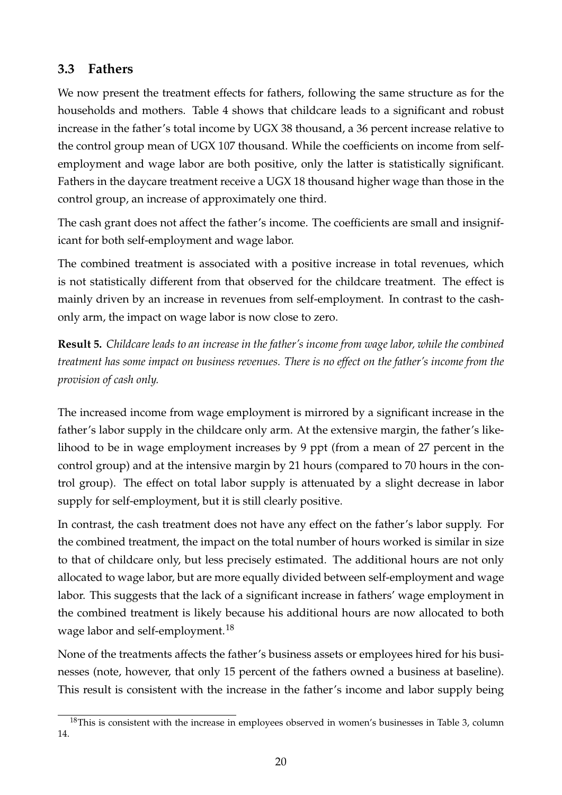### **3.3 Fathers**

We now present the treatment effects for fathers, following the same structure as for the households and mothers. Table 4 shows that childcare leads to a significant and robust increase in the father's total income by UGX 38 thousand, a 36 percent increase relative to the control group mean of UGX 107 thousand. While the coefficients on income from selfemployment and wage labor are both positive, only the latter is statistically significant. Fathers in the daycare treatment receive a UGX 18 thousand higher wage than those in the control group, an increase of approximately one third.

The cash grant does not affect the father's income. The coefficients are small and insignificant for both self-employment and wage labor.

The combined treatment is associated with a positive increase in total revenues, which is not statistically different from that observed for the childcare treatment. The effect is mainly driven by an increase in revenues from self-employment. In contrast to the cashonly arm, the impact on wage labor is now close to zero.

**Result 5.** *Childcare leads to an increase in the father's income from wage labor, while the combined treatment has some impact on business revenues. There is no effect on the father's income from the provision of cash only.*

The increased income from wage employment is mirrored by a significant increase in the father's labor supply in the childcare only arm. At the extensive margin, the father's likelihood to be in wage employment increases by 9 ppt (from a mean of 27 percent in the control group) and at the intensive margin by 21 hours (compared to 70 hours in the control group). The effect on total labor supply is attenuated by a slight decrease in labor supply for self-employment, but it is still clearly positive.

In contrast, the cash treatment does not have any effect on the father's labor supply. For the combined treatment, the impact on the total number of hours worked is similar in size to that of childcare only, but less precisely estimated. The additional hours are not only allocated to wage labor, but are more equally divided between self-employment and wage labor. This suggests that the lack of a significant increase in fathers' wage employment in the combined treatment is likely because his additional hours are now allocated to both wage labor and self-employment.<sup>18</sup>

None of the treatments affects the father's business assets or employees hired for his businesses (note, however, that only 15 percent of the fathers owned a business at baseline). This result is consistent with the increase in the father's income and labor supply being

 $18$ This is consistent with the increase in employees observed in women's businesses in Table 3, column 14.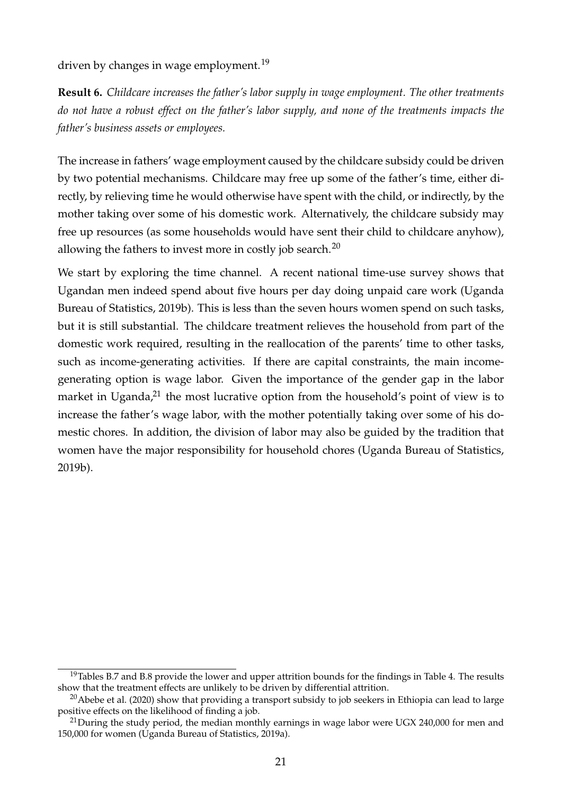driven by changes in wage employment.<sup>19</sup>

**Result 6.** *Childcare increases the father's labor supply in wage employment. The other treatments do not have a robust effect on the father's labor supply, and none of the treatments impacts the father's business assets or employees.*

The increase in fathers' wage employment caused by the childcare subsidy could be driven by two potential mechanisms. Childcare may free up some of the father's time, either directly, by relieving time he would otherwise have spent with the child, or indirectly, by the mother taking over some of his domestic work. Alternatively, the childcare subsidy may free up resources (as some households would have sent their child to childcare anyhow), allowing the fathers to invest more in costly job search.<sup>20</sup>

We start by exploring the time channel. A recent national time-use survey shows that Ugandan men indeed spend about five hours per day doing unpaid care work (Uganda Bureau of Statistics, 2019b). This is less than the seven hours women spend on such tasks, but it is still substantial. The childcare treatment relieves the household from part of the domestic work required, resulting in the reallocation of the parents' time to other tasks, such as income-generating activities. If there are capital constraints, the main incomegenerating option is wage labor. Given the importance of the gender gap in the labor market in Uganda,<sup>21</sup> the most lucrative option from the household's point of view is to increase the father's wage labor, with the mother potentially taking over some of his domestic chores. In addition, the division of labor may also be guided by the tradition that women have the major responsibility for household chores (Uganda Bureau of Statistics, 2019b).

 $19$ Tables B.7 and B.8 provide the lower and upper attrition bounds for the findings in Table 4. The results show that the treatment effects are unlikely to be driven by differential attrition.

<sup>&</sup>lt;sup>20</sup>Abebe et al. (2020) show that providing a transport subsidy to job seekers in Ethiopia can lead to large positive effects on the likelihood of finding a job.

 $^{21}$ During the study period, the median monthly earnings in wage labor were UGX 240,000 for men and 150,000 for women (Uganda Bureau of Statistics, 2019a).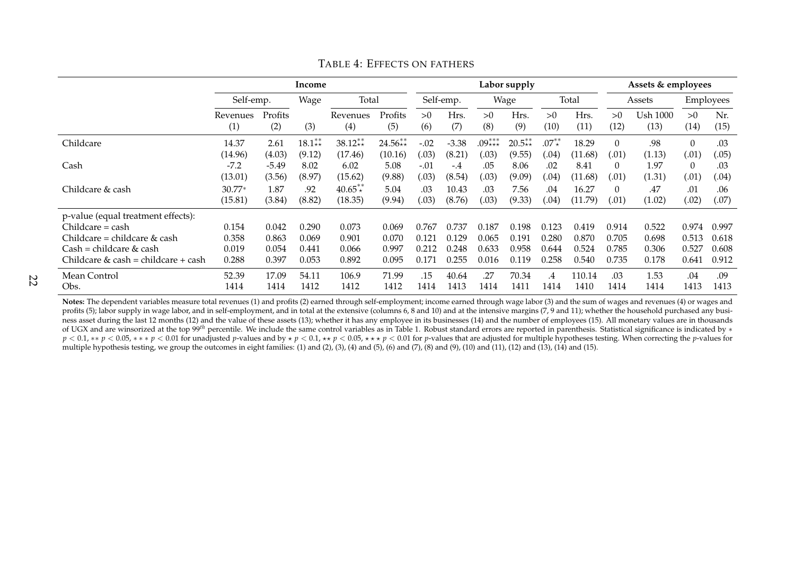|                                                                                                                                                                | Income                           |                                  |                                  |                                  |                                  |                                  | Labor supply                     |                                  |                                  |                                  |                                  | Assets & employees               |                                  |                                  |                                  |
|----------------------------------------------------------------------------------------------------------------------------------------------------------------|----------------------------------|----------------------------------|----------------------------------|----------------------------------|----------------------------------|----------------------------------|----------------------------------|----------------------------------|----------------------------------|----------------------------------|----------------------------------|----------------------------------|----------------------------------|----------------------------------|----------------------------------|
|                                                                                                                                                                | Self-emp.                        |                                  | Wage                             |                                  | Total                            |                                  | Self-emp.                        |                                  | Wage                             |                                  | Total                            | Assets                           |                                  | Employees                        |                                  |
|                                                                                                                                                                | Revenues<br>(1)                  | Profits<br>(2)                   | (3)                              | Revenues<br>(4)                  | Profits<br>(5)                   | >0<br>(6)                        | Hrs.<br>(7)                      | >0<br>(8)                        | Hrs.<br>(9)                      | >0<br>(10)                       | Hrs.<br>(11)                     | >0<br>(12)                       | <b>Ush 1000</b><br>(13)          | >0<br>(14)                       | Nr.<br>(15)                      |
| Childcare                                                                                                                                                      | 14.37                            | 2.61                             | $18.1**$                         | $38.12**$                        | $24.56**$                        | $-.02$                           | $-3.38$                          | $.09***$                         | $20.5**$                         | $.07^{**}$                       | 18.29                            | $\Omega$                         | .98                              | $\theta$                         | .03                              |
|                                                                                                                                                                | (14.96)                          | (4.03)                           | (9.12)                           | (17.46)                          | (10.16)                          | (.03)                            | (8.21)                           | (.03)                            | (9.55)                           | (0.04)                           | (11.68)                          | (.01)                            | (1.13)                           | (.01)                            | (.05)                            |
| Cash                                                                                                                                                           | $-7.2$                           | $-5.49$                          | 8.02                             | 6.02                             | 5.08                             | $-.01$                           | -.4                              | .05                              | 8.06                             | .02                              | 8.41                             | $\Omega$                         | 1.97                             | $\theta$                         | .03                              |
|                                                                                                                                                                | (13.01)                          | (3.56)                           | (8.97)                           | (15.62)                          | (9.88)                           | (.03)                            | (8.54)                           | (.03)                            | (9.09)                           | (.04)                            | (11.68)                          | (.01)                            | (1.31)                           | (.01)                            | (.04)                            |
| Childcare & cash                                                                                                                                               | $30.77*$                         | 1.87                             | .92                              | $40.65**$                        | 5.04                             | .03                              | 10.43                            | .03                              | 7.56                             | .04                              | 16.27                            | $\Omega$                         | .47                              | .01                              | .06                              |
|                                                                                                                                                                | (15.81)                          | (3.84)                           | (8.82)                           | (18.35)                          | (9.94)                           | (.03)                            | (8.76)                           | (.03)                            | (9.33)                           | (.04)                            | (11.79)                          | (.01)                            | (1.02)                           | (.02)                            | (.07)                            |
| p-value (equal treatment effects):<br>$Childcare = cash$<br>Childcare = childcare $&$ cash<br>$Cash = children \& cash$<br>Childcare & cash = childcare + cash | 0.154<br>0.358<br>0.019<br>0.288 | 0.042<br>0.863<br>0.054<br>0.397 | 0.290<br>0.069<br>0.441<br>0.053 | 0.073<br>0.901<br>0.066<br>0.892 | 0.069<br>0.070<br>0.997<br>0.095 | 0.767<br>0.121<br>0.212<br>0.171 | 0.737<br>0.129<br>0.248<br>0.255 | 0.187<br>0.065<br>0.633<br>0.016 | 0.198<br>0.191<br>0.958<br>0.119 | 0.123<br>0.280<br>0.644<br>0.258 | 0.419<br>0.870<br>0.524<br>0.540 | 0.914<br>0.705<br>0.785<br>0.735 | 0.522<br>0.698<br>0.306<br>0.178 | 0.974<br>0.513<br>0.527<br>0.641 | 0.997<br>0.618<br>0.608<br>0.912 |
| Mean Control                                                                                                                                                   | 52.39                            | 17.09                            | 54.11                            | 106.9                            | 71.99                            | .15                              | 40.64                            | .27                              | 70.34                            | $\cdot$                          | 110.14                           | .03                              | 1.53                             | .04                              | .09                              |
| Obs.                                                                                                                                                           | 1414                             | 1414                             | 1412                             | 1412                             | 1412                             | 1414                             | 1413                             | 1414                             | 1411                             | 1414                             | 1410                             | 1414                             | 1414                             | 1413                             | 1413                             |

TABLE 4: EFFECTS ON FATHERS

**Notes:** The dependent variables measure total revenues (1) and profits (2) earned through self-employment; income earned through wage labor (3) and the sum of wages and revenues (4) or wages and profits (5); labor supply in wage labor, and in self-employment, and in total at the extensive (columns 6, 8 and 10) and at the intensive margins (7, 9 and 11); whether the household purchased any business asset during the last 12 months (12) and the value of these assets (13); whether it has any employee in its businesses (14) and the number of employees (15). All monetary values are in thousands of UGX and are winsorized at the top 99<sup>th</sup> percentile. We include the same control variables as in Table 1. Robust standard errors are reported in parenthesis. Statistical significance is indicated by ∗  $p < 0.1$ , \*\*  $p < 0.05$ , \*\* \*  $p < 0.01$  for unadjusted p-values and by  $\star p < 0.1$ ,  $\star \star p < 0.05$ ,  $\star \star \star p < 0.01$  for p-values that are adjusted for multiple hypotheses testing. When correcting the p-values for multiple hypothesis testing, we group the outcomes in eight families: (1) and (2), (3), (4) and (5), (6) and (7), (8) and (9), (10) and (11), (12) and (13), (14) and (15).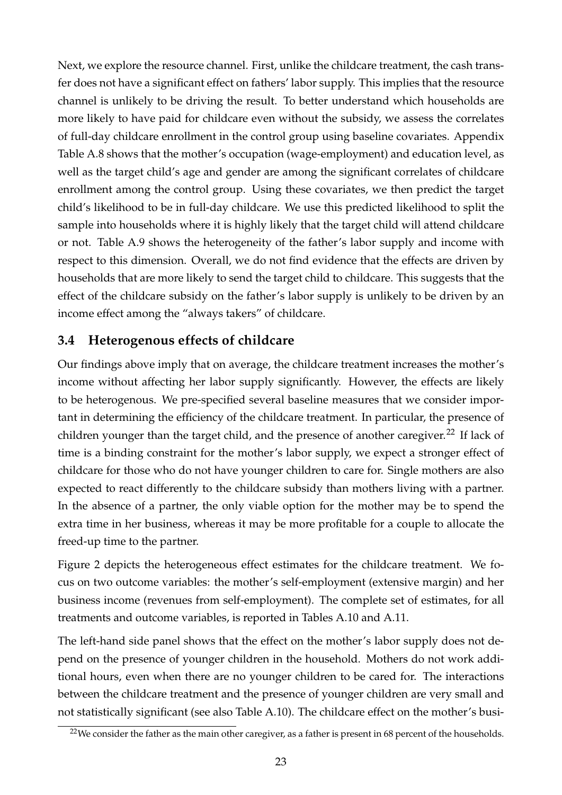Next, we explore the resource channel. First, unlike the childcare treatment, the cash transfer does not have a significant effect on fathers' labor supply. This implies that the resource channel is unlikely to be driving the result. To better understand which households are more likely to have paid for childcare even without the subsidy, we assess the correlates of full-day childcare enrollment in the control group using baseline covariates. Appendix Table A.8 shows that the mother's occupation (wage-employment) and education level, as well as the target child's age and gender are among the significant correlates of childcare enrollment among the control group. Using these covariates, we then predict the target child's likelihood to be in full-day childcare. We use this predicted likelihood to split the sample into households where it is highly likely that the target child will attend childcare or not. Table A.9 shows the heterogeneity of the father's labor supply and income with respect to this dimension. Overall, we do not find evidence that the effects are driven by households that are more likely to send the target child to childcare. This suggests that the effect of the childcare subsidy on the father's labor supply is unlikely to be driven by an income effect among the "always takers" of childcare.

### **3.4 Heterogenous effects of childcare**

Our findings above imply that on average, the childcare treatment increases the mother's income without affecting her labor supply significantly. However, the effects are likely to be heterogenous. We pre-specified several baseline measures that we consider important in determining the efficiency of the childcare treatment. In particular, the presence of children younger than the target child, and the presence of another caregiver.<sup>22</sup> If lack of time is a binding constraint for the mother's labor supply, we expect a stronger effect of childcare for those who do not have younger children to care for. Single mothers are also expected to react differently to the childcare subsidy than mothers living with a partner. In the absence of a partner, the only viable option for the mother may be to spend the extra time in her business, whereas it may be more profitable for a couple to allocate the freed-up time to the partner.

Figure 2 depicts the heterogeneous effect estimates for the childcare treatment. We focus on two outcome variables: the mother's self-employment (extensive margin) and her business income (revenues from self-employment). The complete set of estimates, for all treatments and outcome variables, is reported in Tables A.10 and A.11.

The left-hand side panel shows that the effect on the mother's labor supply does not depend on the presence of younger children in the household. Mothers do not work additional hours, even when there are no younger children to be cared for. The interactions between the childcare treatment and the presence of younger children are very small and not statistically significant (see also Table A.10). The childcare effect on the mother's busi-

 $22$ We consider the father as the main other caregiver, as a father is present in 68 percent of the households.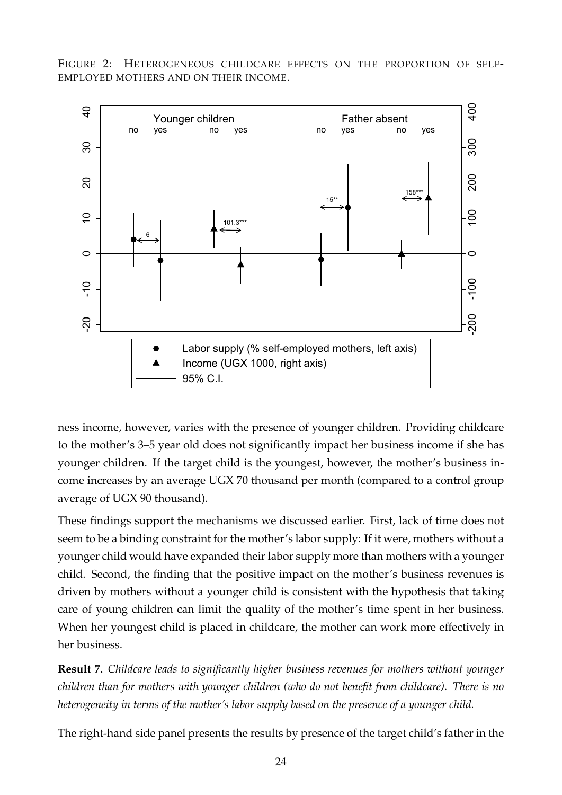FIGURE 2: HETEROGENEOUS CHILDCARE EFFECTS ON THE PROPORTION OF SELF-EMPLOYED MOTHERS AND ON THEIR INCOME.



ness income, however, varies with the presence of younger children. Providing childcare to the mother's 3–5 year old does not significantly impact her business income if she has younger children. If the target child is the youngest, however, the mother's business income increases by an average UGX 70 thousand per month (compared to a control group average of UGX 90 thousand).

These findings support the mechanisms we discussed earlier. First, lack of time does not seem to be a binding constraint for the mother's labor supply: If it were, mothers without a younger child would have expanded their labor supply more than mothers with a younger child. Second, the finding that the positive impact on the mother's business revenues is driven by mothers without a younger child is consistent with the hypothesis that taking care of young children can limit the quality of the mother's time spent in her business. When her youngest child is placed in childcare, the mother can work more effectively in her business.

**Result 7.** *Childcare leads to significantly higher business revenues for mothers without younger children than for mothers with younger children (who do not benefit from childcare). There is no heterogeneity in terms of the mother's labor supply based on the presence of a younger child.*

The right-hand side panel presents the results by presence of the target child's father in the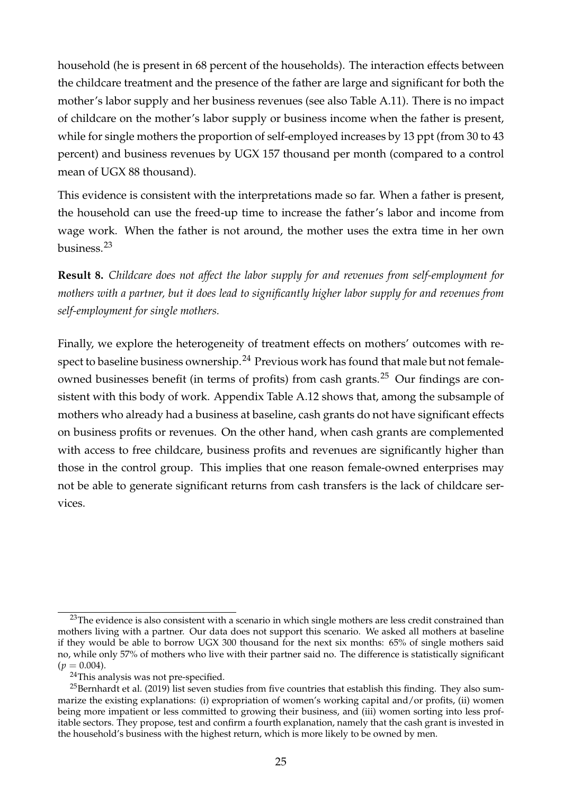household (he is present in 68 percent of the households). The interaction effects between the childcare treatment and the presence of the father are large and significant for both the mother's labor supply and her business revenues (see also Table A.11). There is no impact of childcare on the mother's labor supply or business income when the father is present, while for single mothers the proportion of self-employed increases by 13 ppt (from 30 to 43 percent) and business revenues by UGX 157 thousand per month (compared to a control mean of UGX 88 thousand).

This evidence is consistent with the interpretations made so far. When a father is present, the household can use the freed-up time to increase the father's labor and income from wage work. When the father is not around, the mother uses the extra time in her own business.<sup>23</sup>

**Result 8.** *Childcare does not affect the labor supply for and revenues from self-employment for mothers with a partner, but it does lead to significantly higher labor supply for and revenues from self-employment for single mothers.*

Finally, we explore the heterogeneity of treatment effects on mothers' outcomes with respect to baseline business ownership.<sup>24</sup> Previous work has found that male but not femaleowned businesses benefit (in terms of profits) from cash grants.<sup>25</sup> Our findings are consistent with this body of work. Appendix Table A.12 shows that, among the subsample of mothers who already had a business at baseline, cash grants do not have significant effects on business profits or revenues. On the other hand, when cash grants are complemented with access to free childcare, business profits and revenues are significantly higher than those in the control group. This implies that one reason female-owned enterprises may not be able to generate significant returns from cash transfers is the lack of childcare services.

<sup>&</sup>lt;sup>23</sup>The evidence is also consistent with a scenario in which single mothers are less credit constrained than mothers living with a partner. Our data does not support this scenario. We asked all mothers at baseline if they would be able to borrow UGX 300 thousand for the next six months: 65% of single mothers said no, while only 57% of mothers who live with their partner said no. The difference is statistically significant  $(p = 0.004)$ .

<sup>&</sup>lt;sup>24</sup>This analysis was not pre-specified.

<sup>&</sup>lt;sup>25</sup>Bernhardt et al. (2019) list seven studies from five countries that establish this finding. They also summarize the existing explanations: (i) expropriation of women's working capital and/or profits, (ii) women being more impatient or less committed to growing their business, and (iii) women sorting into less profitable sectors. They propose, test and confirm a fourth explanation, namely that the cash grant is invested in the household's business with the highest return, which is more likely to be owned by men.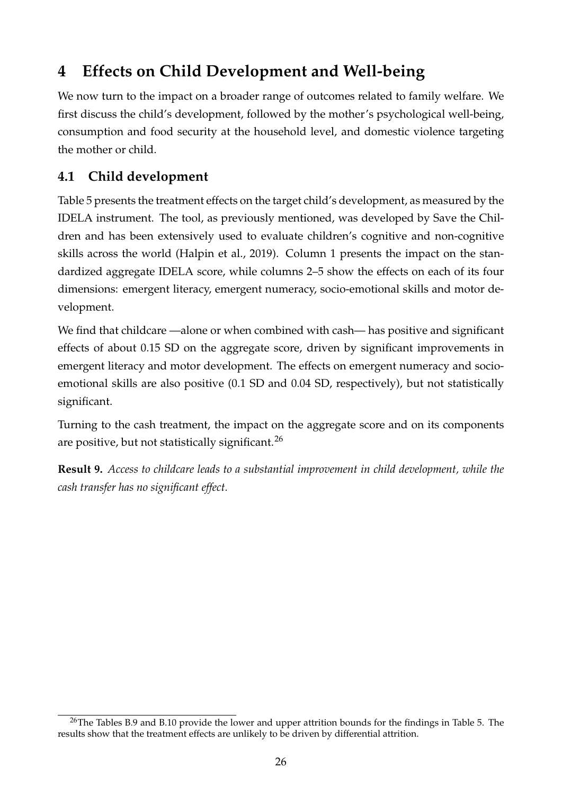# **4 Effects on Child Development and Well-being**

We now turn to the impact on a broader range of outcomes related to family welfare. We first discuss the child's development, followed by the mother's psychological well-being, consumption and food security at the household level, and domestic violence targeting the mother or child.

### **4.1 Child development**

Table 5 presents the treatment effects on the target child's development, as measured by the IDELA instrument. The tool, as previously mentioned, was developed by Save the Children and has been extensively used to evaluate children's cognitive and non-cognitive skills across the world (Halpin et al., 2019). Column 1 presents the impact on the standardized aggregate IDELA score, while columns 2–5 show the effects on each of its four dimensions: emergent literacy, emergent numeracy, socio-emotional skills and motor development.

We find that childcare —alone or when combined with cash— has positive and significant effects of about 0.15 SD on the aggregate score, driven by significant improvements in emergent literacy and motor development. The effects on emergent numeracy and socioemotional skills are also positive (0.1 SD and 0.04 SD, respectively), but not statistically significant.

Turning to the cash treatment, the impact on the aggregate score and on its components are positive, but not statistically significant.<sup>26</sup>

**Result 9.** *Access to childcare leads to a substantial improvement in child development, while the cash transfer has no significant effect.*

 $^{26}$ The Tables B.9 and B.10 provide the lower and upper attrition bounds for the findings in Table 5. The results show that the treatment effects are unlikely to be driven by differential attrition.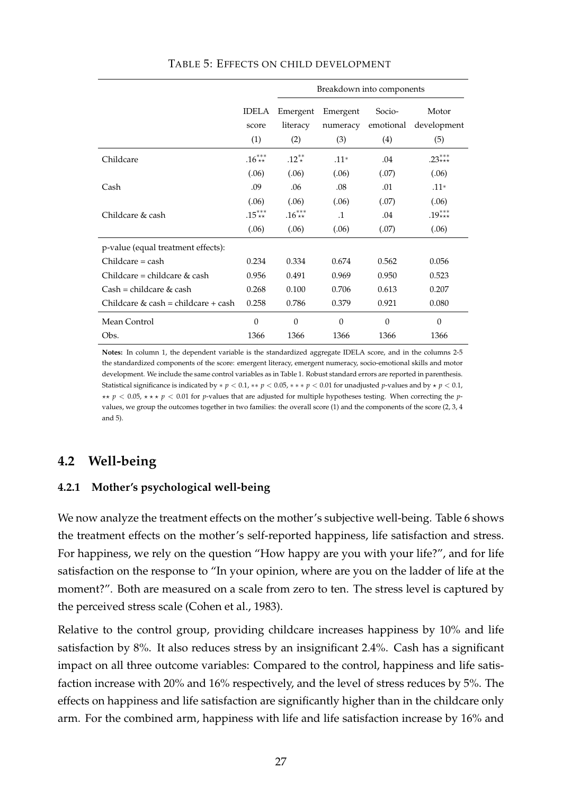|                                     |                              | Breakdown into components   |                             |                            |                             |  |  |  |  |  |
|-------------------------------------|------------------------------|-----------------------------|-----------------------------|----------------------------|-----------------------------|--|--|--|--|--|
|                                     | <b>IDELA</b><br>score<br>(1) | Emergent<br>literacy<br>(2) | Emergent<br>numeracy<br>(3) | Socio-<br>emotional<br>(4) | Motor<br>development<br>(5) |  |  |  |  |  |
| Childcare                           | $.16^{***}_{**}$             | $.12^{**}$                  | $.11*$                      | .04                        | .23***                      |  |  |  |  |  |
|                                     | (.06)                        | (.06)                       | (.06)                       | (.07)                      | (.06)                       |  |  |  |  |  |
| Cash                                | .09                          | .06                         | .08                         | .01                        | $.11*$                      |  |  |  |  |  |
|                                     | (.06)                        | (.06)                       | (.06)                       | (.07)                      | (.06)                       |  |  |  |  |  |
| Childcare & cash                    | $.15***$                     | $.16^{***}_{**}$            | $\cdot$ 1                   | .04                        | $.19***$                    |  |  |  |  |  |
|                                     | (.06)                        | (.06)                       | (.06)                       | (.07)                      | (.06)                       |  |  |  |  |  |
| p-value (equal treatment effects):  |                              |                             |                             |                            |                             |  |  |  |  |  |
| $Childcare = cash$                  | 0.234                        | 0.334                       | 0.674                       | 0.562                      | 0.056                       |  |  |  |  |  |
| Childcare = childcare $&$ cash      | 0.956                        | 0.491                       | 0.969                       | 0.950                      | 0.523                       |  |  |  |  |  |
| $Cash = children \& cash$           | 0.268                        | 0.100                       | 0.706                       | 0.613                      | 0.207                       |  |  |  |  |  |
| Childcare & cash = childcare + cash | 0.258                        | 0.786                       | 0.379                       | 0.921                      | 0.080                       |  |  |  |  |  |
| Mean Control                        | $\theta$                     | $\theta$                    | $\theta$                    | $\theta$                   | $\Omega$                    |  |  |  |  |  |
| Obs.                                | 1366                         | 1366                        | 1366                        | 1366                       | 1366                        |  |  |  |  |  |

TABLE 5: EFFECTS ON CHILD DEVELOPMENT

**Notes:** In column 1, the dependent variable is the standardized aggregate IDELA score, and in the columns 2-5 the standardized components of the score: emergent literacy, emergent numeracy, socio-emotional skills and motor development. We include the same control variables as in Table 1. Robust standard errors are reported in parenthesis. Statistical significance is indicated by  $* p < 0.1, ** p < 0.05, *** p < 0.01$  for unadjusted *p*-values and by  $* p < 0.1,$ ⋆⋆ *<sup>p</sup>* < 0.05, ⋆ ⋆ ⋆ *<sup>p</sup>* < 0.01 for *<sup>p</sup>*-values that are adjusted for multiple hypotheses testing. When correcting the *<sup>p</sup>*values, we group the outcomes together in two families: the overall score (1) and the components of the score (2, 3, 4 and 5).

#### **4.2 Well-being**

#### **4.2.1 Mother's psychological well-being**

We now analyze the treatment effects on the mother's subjective well-being. Table 6 shows the treatment effects on the mother's self-reported happiness, life satisfaction and stress. For happiness, we rely on the question "How happy are you with your life?", and for life satisfaction on the response to "In your opinion, where are you on the ladder of life at the moment?". Both are measured on a scale from zero to ten. The stress level is captured by the perceived stress scale (Cohen et al., 1983).

Relative to the control group, providing childcare increases happiness by 10% and life satisfaction by 8%. It also reduces stress by an insignificant 2.4%. Cash has a significant impact on all three outcome variables: Compared to the control, happiness and life satisfaction increase with 20% and 16% respectively, and the level of stress reduces by 5%. The effects on happiness and life satisfaction are significantly higher than in the childcare only arm. For the combined arm, happiness with life and life satisfaction increase by 16% and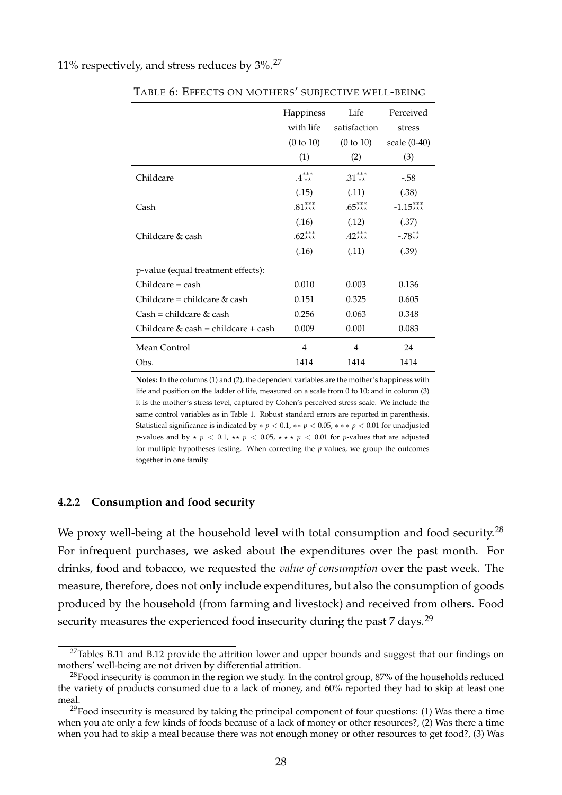#### 11% respectively, and stress reduces by 3%.<sup>27</sup>

|                                     | Happiness<br>with life | Life<br>satisfaction | Perceived<br>stress |
|-------------------------------------|------------------------|----------------------|---------------------|
|                                     | (0 to 10)              | (0 to 10)            | scale (0-40)        |
|                                     | (1)                    | (2)                  | (3)                 |
| Childcare                           | $.4***$                | .31***               | $-.58$              |
|                                     | (.15)                  | (.11)                | (.38)               |
| Cash                                | $.81***$               | $.65***$             | $-1.15***$          |
|                                     | (.16)                  | (.12)                | (.37)               |
| Childcare & cash                    | $.62***$               | $.42***$             | $-.78**$            |
|                                     | (.16)                  | (.11)                | (.39)               |
| p-value (equal treatment effects):  |                        |                      |                     |
| $Childcare = cash$                  | 0.010                  | 0.003                | 0.136               |
| Childcare = childcare $\&$ cash     | 0.151                  | 0.325                | 0.605               |
| $Cash = children & cash$            | 0.256                  | 0.063                | 0.348               |
| Childcare & cash = childcare + cash | 0.009                  | 0.001                | 0.083               |
| Mean Control                        | 4                      | 4                    | 24                  |
| Obs.                                | 1414                   | 1414                 | 1414                |

TABLE 6: EFFECTS ON MOTHERS' SUBJECTIVE WELL-BEING

**Notes:** In the columns (1) and (2), the dependent variables are the mother's happiness with life and position on the ladder of life, measured on a scale from 0 to 10; and in column (3) it is the mother's stress level, captured by Cohen's perceived stress scale. We include the same control variables as in Table 1. Robust standard errors are reported in parenthesis. Statistical significance is indicated by  $* p < 0.1$ ,  $** p < 0.05$ ,  $** p < 0.01$  for unadjusted *p*-values and by  $\star$  *p* < 0.1,  $\star\star$  *p* < 0.05,  $\star\star\star$  *p* < 0.01 for *p*-values that are adjusted for multiple hypotheses testing. When correcting the *p*-values, we group the outcomes together in one family.

#### **4.2.2 Consumption and food security**

We proxy well-being at the household level with total consumption and food security.<sup>28</sup> For infrequent purchases, we asked about the expenditures over the past month. For drinks, food and tobacco, we requested the *value of consumption* over the past week. The measure, therefore, does not only include expenditures, but also the consumption of goods produced by the household (from farming and livestock) and received from others. Food security measures the experienced food insecurity during the past 7 days.<sup>29</sup>

 $27$ Tables B.11 and B.12 provide the attrition lower and upper bounds and suggest that our findings on mothers' well-being are not driven by differential attrition.

<sup>&</sup>lt;sup>28</sup>Food insecurity is common in the region we study. In the control group, 87% of the households reduced the variety of products consumed due to a lack of money, and 60% reported they had to skip at least one meal.

 $^{29}$ Food insecurity is measured by taking the principal component of four questions: (1) Was there a time when you ate only a few kinds of foods because of a lack of money or other resources?, (2) Was there a time when you had to skip a meal because there was not enough money or other resources to get food?, (3) Was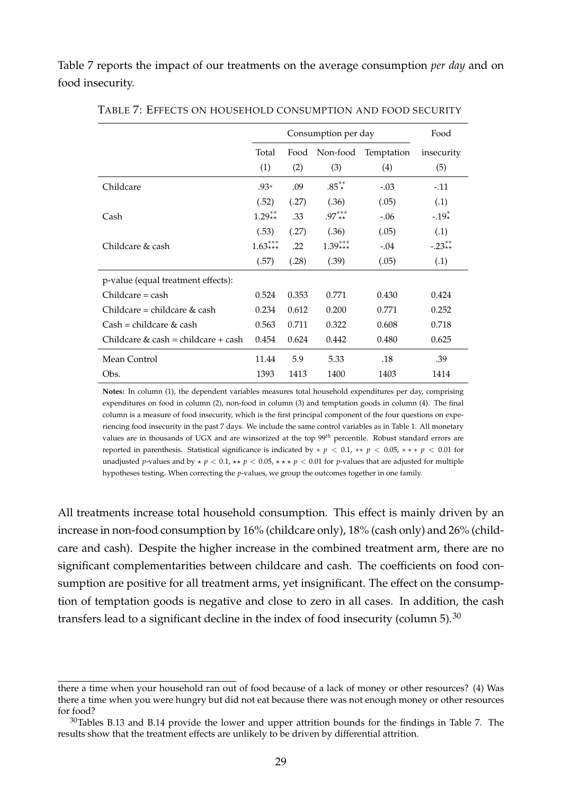Table 7 reports the impact of our treatments on the average consumption *per day* and on food insecurity.

|                                     |           |       | Consumption per day |            | Food       |
|-------------------------------------|-----------|-------|---------------------|------------|------------|
|                                     | Total     | Food  | Non-food            | Temptation | insecurity |
|                                     | (1)       | (2)   | (3)                 | (4)        | (5)        |
| Childcare                           | $.93*$    | .09   | $.85^{**}$          | $-.03$     | $-.11$     |
|                                     | (.52)     | (.27) | (.36)               | (.05)      | (.1)       |
| Cash                                | $1.29**$  | .33   | $.97***$            | $-.06$     | $-.19*$    |
|                                     | (.53)     | (.27) | (.36)               | (.05)      | (.1)       |
| Childcare & cash                    | $1.63***$ | .22   | $1.39***$           | $-.04$     | $-.23**$   |
|                                     | (.57)     | (.28) | (.39)               | (.05)      | (.1)       |
| p-value (equal treatment effects):  |           |       |                     |            |            |
| $Childcare = cash$                  | 0.524     | 0.353 | 0.771               | 0.430      | 0.424      |
| Childcare = childcare $\&$ cash     | 0.234     | 0.612 | 0.200               | 0.771      | 0.252      |
| $Cash = children \& cash$           | 0.563     | 0.711 | 0.322               | 0.608      | 0.718      |
| Childcare & cash = childcare + cash | 0.454     | 0.624 | 0.442               | 0.480      | 0.625      |
| Mean Control                        | 11.44     | 5.9   | 5.33                | .18        | .39        |
| Obs.                                | 1393      | 1413  | 1400                | 1403       | 1414       |

TABLE 7: EFFECTS ON HOUSEHOLD CONSUMPTION AND FOOD SECURITY

**Notes:** In column (1), the dependent variables measures total household expenditures per day, comprising expenditures on food in column (2), non-food in column (3) and temptation goods in column (4). The final column is a measure of food insecurity, which is the first principal component of the four questions on experiencing food insecurity in the past 7 days. We include the same control variables as in Table 1. All monetary values are in thousands of UGX and are winsorized at the top 99*th* percentile. Robust standard errors are reported in parenthesis. Statistical significance is indicated by ∗ *p* < 0.1, ∗∗ *p* < 0.05, ∗ ∗ ∗ *p* < 0.01 for unadjusted *p*-values and by  $\star$  *p* < 0.1,  $\star\star$  *p* < 0.05,  $\star\star\star$  *p* < 0.01 for *p*-values that are adjusted for multiple hypotheses testing. When correcting the *p*-values, we group the outcomes together in one family.

All treatments increase total household consumption. This effect is mainly driven by an increase in non-food consumption by 16% (childcare only), 18% (cash only) and 26% (childcare and cash). Despite the higher increase in the combined treatment arm, there are no significant complementarities between childcare and cash. The coefficients on food consumption are positive for all treatment arms, yet insignificant. The effect on the consumption of temptation goods is negative and close to zero in all cases. In addition, the cash transfers lead to a significant decline in the index of food insecurity (column 5).  $30$ 

there a time when your household ran out of food because of a lack of money or other resources? (4) Was there a time when you were hungry but did not eat because there was not enough money or other resources for food?

 $30$ Tables B.13 and B.14 provide the lower and upper attrition bounds for the findings in Table 7. The results show that the treatment effects are unlikely to be driven by differential attrition.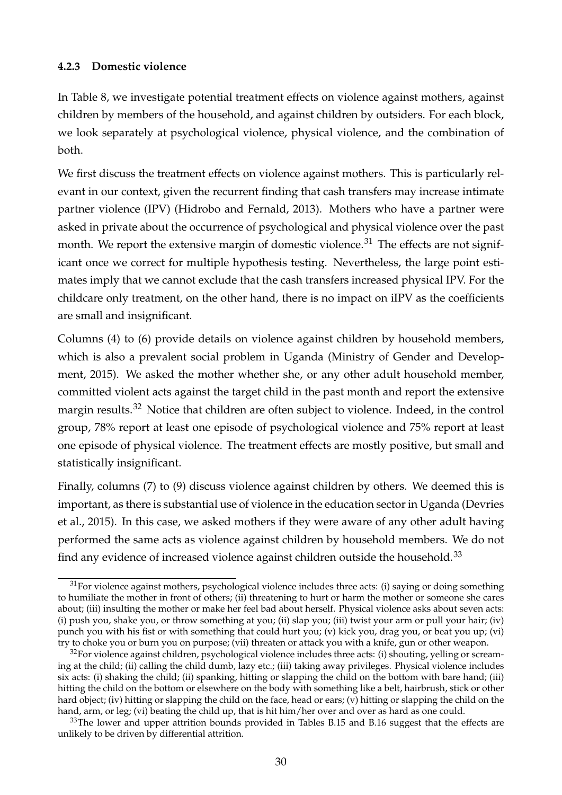#### **4.2.3 Domestic violence**

In Table 8, we investigate potential treatment effects on violence against mothers, against children by members of the household, and against children by outsiders. For each block, we look separately at psychological violence, physical violence, and the combination of both.

We first discuss the treatment effects on violence against mothers. This is particularly relevant in our context, given the recurrent finding that cash transfers may increase intimate partner violence (IPV) (Hidrobo and Fernald, 2013). Mothers who have a partner were asked in private about the occurrence of psychological and physical violence over the past month. We report the extensive margin of domestic violence.<sup>31</sup> The effects are not significant once we correct for multiple hypothesis testing. Nevertheless, the large point estimates imply that we cannot exclude that the cash transfers increased physical IPV. For the childcare only treatment, on the other hand, there is no impact on iIPV as the coefficients are small and insignificant.

Columns (4) to (6) provide details on violence against children by household members, which is also a prevalent social problem in Uganda (Ministry of Gender and Development, 2015). We asked the mother whether she, or any other adult household member, committed violent acts against the target child in the past month and report the extensive margin results.<sup>32</sup> Notice that children are often subject to violence. Indeed, in the control group, 78% report at least one episode of psychological violence and 75% report at least one episode of physical violence. The treatment effects are mostly positive, but small and statistically insignificant.

Finally, columns (7) to (9) discuss violence against children by others. We deemed this is important, as there is substantial use of violence in the education sector in Uganda (Devries et al., 2015). In this case, we asked mothers if they were aware of any other adult having performed the same acts as violence against children by household members. We do not find any evidence of increased violence against children outside the household.<sup>33</sup>

 $31$  For violence against mothers, psychological violence includes three acts: (i) saying or doing something to humiliate the mother in front of others; (ii) threatening to hurt or harm the mother or someone she cares about; (iii) insulting the mother or make her feel bad about herself. Physical violence asks about seven acts: (i) push you, shake you, or throw something at you; (ii) slap you; (iii) twist your arm or pull your hair; (iv) punch you with his fist or with something that could hurt you; (v) kick you, drag you, or beat you up; (vi) try to choke you or burn you on purpose; (vii) threaten or attack you with a knife, gun or other weapon.

 $32$  For violence against children, psychological violence includes three acts: (i) shouting, yelling or screaming at the child; (ii) calling the child dumb, lazy etc.; (iii) taking away privileges. Physical violence includes six acts: (i) shaking the child; (ii) spanking, hitting or slapping the child on the bottom with bare hand; (iii) hitting the child on the bottom or elsewhere on the body with something like a belt, hairbrush, stick or other hard object; (iv) hitting or slapping the child on the face, head or ears; (v) hitting or slapping the child on the hand, arm, or leg; (vi) beating the child up, that is hit him/her over and over as hard as one could.

 $33$ The lower and upper attrition bounds provided in Tables B.15 and B.16 suggest that the effects are unlikely to be driven by differential attrition.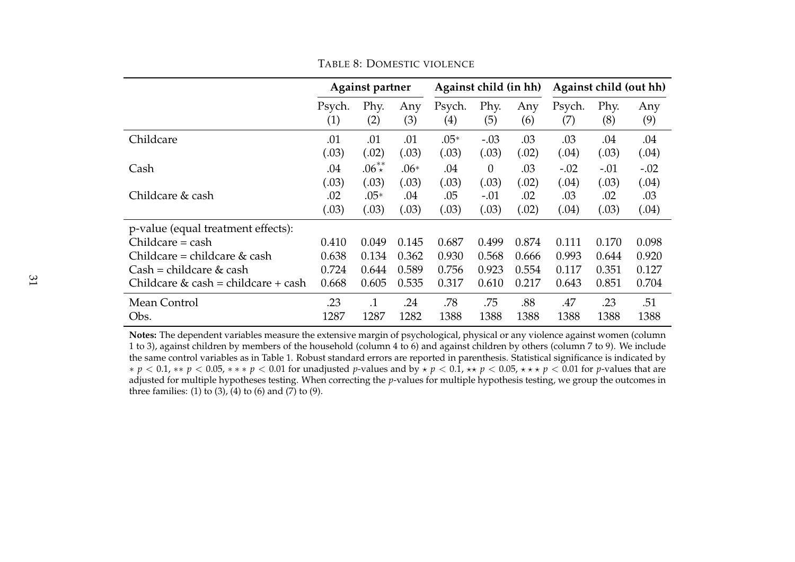|                                       |               | <b>Against partner</b> |            |                             | Against child (in hh) |            | Against child (out hh) |             |            |  |
|---------------------------------------|---------------|------------------------|------------|-----------------------------|-----------------------|------------|------------------------|-------------|------------|--|
|                                       | Psych.<br>(1) | Phy.<br>(2)            | Any<br>(3) | Psych.<br>$\left( 4\right)$ | Phy.<br>(5)           | Any<br>(6) | Psych.<br>(7)          | Phy.<br>(8) | Any<br>(9) |  |
| Childcare                             | .01           | .01                    | .01        | $.05*$                      | $-.03$                | .03        | .03                    | .04         | .04        |  |
|                                       | (.03)         | (.02)                  | (.03)      | (.03)                       | (.03)                 | (.02)      | (.04)                  | (.03)       | (.04)      |  |
| Cash                                  | .04           | $.06^{**}$             | $.06*$     | .04                         | $\theta$              | .03        | $-.02$                 | $-.01$      | $-.02$     |  |
|                                       | (.03)         | (.03)                  | (.03)      | (.03)                       | (.03)                 | (.02)      | (.04)                  | (.03)       | (.04)      |  |
| Childcare & cash                      | .02           | $.05*$                 | .04        | .05                         | $-.01$                | .02        | .03                    | .02         | .03        |  |
|                                       | (.03)         | (.03)                  | (.03)      | (.03)                       | (.03)                 | (.02)      | (.04)                  | (.03)       | (.04)      |  |
| p-value (equal treatment effects):    |               |                        |            |                             |                       |            |                        |             |            |  |
| $Childcare = cash$                    | 0.410         | 0.049                  | 0.145      | 0.687                       | 0.499                 | 0.874      | 0.111                  | 0.170       | 0.098      |  |
| Childcare = childcare & cash          | 0.638         | 0.134                  | 0.362      | 0.930                       | 0.568                 | 0.666      | 0.993                  | 0.644       | 0.920      |  |
| $Cash = children \& cash$             | 0.724         | 0.644                  | 0.589      | 0.756                       | 0.923                 | 0.554      | 0.117                  | 0.351       | 0.127      |  |
| Childcare $&$ cash = childcare + cash | 0.668         | 0.605                  | 0.535      | 0.317                       | 0.610                 | 0.217      | 0.643                  | 0.851       | 0.704      |  |
| Mean Control                          | .23           | $\cdot$ 1              | .24        | .78                         | .75                   | .88        | .47                    | .23         | .51        |  |
| Obs.                                  | 1287          | 1287                   | 1282       | 1388                        | 1388                  | 1388       | 1388                   | 1388        | 1388       |  |

TABLE 8: DOMESTIC VIOLENCE

**Notes:** The dependent variables measure the extensive margin of psychological, physical or any violence against women (column 1 to 3), against children by members of the household (column 4 to 6) and against children by others (column 7 to 9). We include the same control variables as in Table 1. Robust standard errors are reported in parenthesis. Statistical significance is indicated by ∗ *p* < 0.1, ∗∗ *p* < 0.05, ∗ ∗ ∗ *p* < 0.01 for unadjusted *p*-values and by ⋆ *p* < 0.1, ⋆⋆ *p* < 0.05, ⋆ ⋆ ⋆ *p* < 0.01 for *p*-values that are adjusted for multiple hypotheses testing. When correcting the *p*-values for multiple hypothesis testing, we group the outcomes in three families: (1) to (3), (4) to (6) and (7) to (9).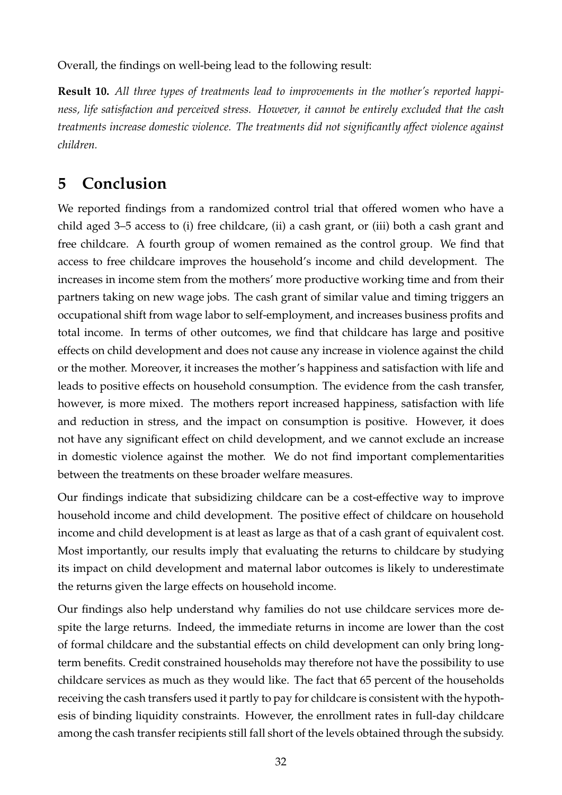Overall, the findings on well-being lead to the following result:

**Result 10.** *All three types of treatments lead to improvements in the mother's reported happiness, life satisfaction and perceived stress. However, it cannot be entirely excluded that the cash treatments increase domestic violence. The treatments did not significantly affect violence against children.*

## **5 Conclusion**

We reported findings from a randomized control trial that offered women who have a child aged 3–5 access to (i) free childcare, (ii) a cash grant, or (iii) both a cash grant and free childcare. A fourth group of women remained as the control group. We find that access to free childcare improves the household's income and child development. The increases in income stem from the mothers' more productive working time and from their partners taking on new wage jobs. The cash grant of similar value and timing triggers an occupational shift from wage labor to self-employment, and increases business profits and total income. In terms of other outcomes, we find that childcare has large and positive effects on child development and does not cause any increase in violence against the child or the mother. Moreover, it increases the mother's happiness and satisfaction with life and leads to positive effects on household consumption. The evidence from the cash transfer, however, is more mixed. The mothers report increased happiness, satisfaction with life and reduction in stress, and the impact on consumption is positive. However, it does not have any significant effect on child development, and we cannot exclude an increase in domestic violence against the mother. We do not find important complementarities between the treatments on these broader welfare measures.

Our findings indicate that subsidizing childcare can be a cost-effective way to improve household income and child development. The positive effect of childcare on household income and child development is at least as large as that of a cash grant of equivalent cost. Most importantly, our results imply that evaluating the returns to childcare by studying its impact on child development and maternal labor outcomes is likely to underestimate the returns given the large effects on household income.

Our findings also help understand why families do not use childcare services more despite the large returns. Indeed, the immediate returns in income are lower than the cost of formal childcare and the substantial effects on child development can only bring longterm benefits. Credit constrained households may therefore not have the possibility to use childcare services as much as they would like. The fact that 65 percent of the households receiving the cash transfers used it partly to pay for childcare is consistent with the hypothesis of binding liquidity constraints. However, the enrollment rates in full-day childcare among the cash transfer recipients still fall short of the levels obtained through the subsidy.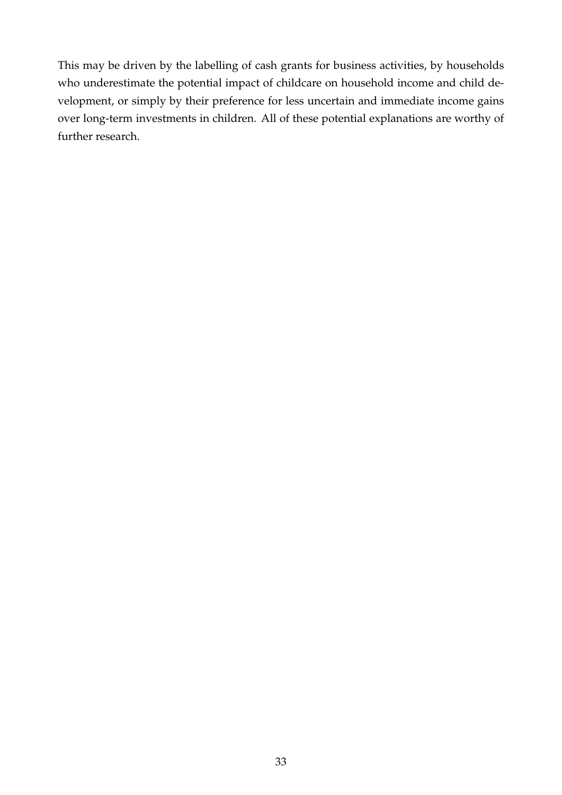This may be driven by the labelling of cash grants for business activities, by households who underestimate the potential impact of childcare on household income and child development, or simply by their preference for less uncertain and immediate income gains over long-term investments in children. All of these potential explanations are worthy of further research.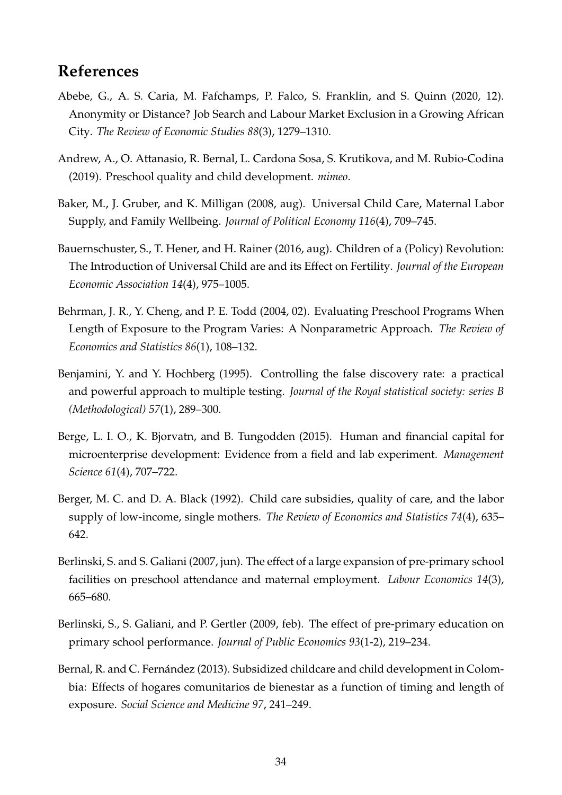# **References**

- Abebe, G., A. S. Caria, M. Fafchamps, P. Falco, S. Franklin, and S. Quinn (2020, 12). Anonymity or Distance? Job Search and Labour Market Exclusion in a Growing African City. *The Review of Economic Studies 88*(3), 1279–1310.
- Andrew, A., O. Attanasio, R. Bernal, L. Cardona Sosa, S. Krutikova, and M. Rubio-Codina (2019). Preschool quality and child development. *mimeo*.
- Baker, M., J. Gruber, and K. Milligan (2008, aug). Universal Child Care, Maternal Labor Supply, and Family Wellbeing. *Journal of Political Economy 116*(4), 709–745.
- Bauernschuster, S., T. Hener, and H. Rainer (2016, aug). Children of a (Policy) Revolution: The Introduction of Universal Child are and its Effect on Fertility. *Journal of the European Economic Association 14*(4), 975–1005.
- Behrman, J. R., Y. Cheng, and P. E. Todd (2004, 02). Evaluating Preschool Programs When Length of Exposure to the Program Varies: A Nonparametric Approach. *The Review of Economics and Statistics 86*(1), 108–132.
- Benjamini, Y. and Y. Hochberg (1995). Controlling the false discovery rate: a practical and powerful approach to multiple testing. *Journal of the Royal statistical society: series B (Methodological) 57*(1), 289–300.
- Berge, L. I. O., K. Bjorvatn, and B. Tungodden (2015). Human and financial capital for microenterprise development: Evidence from a field and lab experiment. *Management Science 61*(4), 707–722.
- Berger, M. C. and D. A. Black (1992). Child care subsidies, quality of care, and the labor supply of low-income, single mothers. *The Review of Economics and Statistics 74*(4), 635– 642.
- Berlinski, S. and S. Galiani (2007, jun). The effect of a large expansion of pre-primary school facilities on preschool attendance and maternal employment. *Labour Economics 14*(3), 665–680.
- Berlinski, S., S. Galiani, and P. Gertler (2009, feb). The effect of pre-primary education on primary school performance. *Journal of Public Economics 93*(1-2), 219–234.
- Bernal, R. and C. Fernández (2013). Subsidized childcare and child development in Colombia: Effects of hogares comunitarios de bienestar as a function of timing and length of exposure. *Social Science and Medicine 97*, 241–249.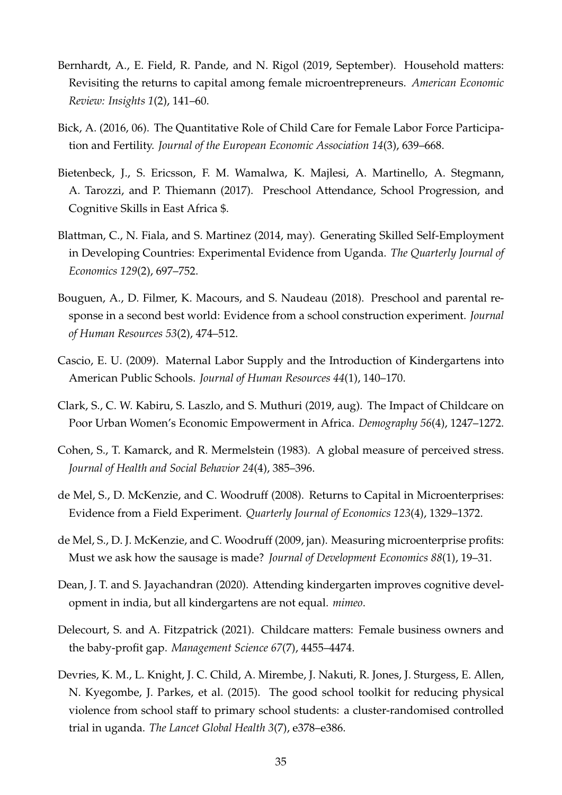- Bernhardt, A., E. Field, R. Pande, and N. Rigol (2019, September). Household matters: Revisiting the returns to capital among female microentrepreneurs. *American Economic Review: Insights 1*(2), 141–60.
- Bick, A. (2016, 06). The Quantitative Role of Child Care for Female Labor Force Participation and Fertility. *Journal of the European Economic Association 14*(3), 639–668.
- Bietenbeck, J., S. Ericsson, F. M. Wamalwa, K. Majlesi, A. Martinello, A. Stegmann, A. Tarozzi, and P. Thiemann (2017). Preschool Attendance, School Progression, and Cognitive Skills in East Africa \$.
- Blattman, C., N. Fiala, and S. Martinez (2014, may). Generating Skilled Self-Employment in Developing Countries: Experimental Evidence from Uganda. *The Quarterly Journal of Economics 129*(2), 697–752.
- Bouguen, A., D. Filmer, K. Macours, and S. Naudeau (2018). Preschool and parental response in a second best world: Evidence from a school construction experiment. *Journal of Human Resources 53*(2), 474–512.
- Cascio, E. U. (2009). Maternal Labor Supply and the Introduction of Kindergartens into American Public Schools. *Journal of Human Resources 44*(1), 140–170.
- Clark, S., C. W. Kabiru, S. Laszlo, and S. Muthuri (2019, aug). The Impact of Childcare on Poor Urban Women's Economic Empowerment in Africa. *Demography 56*(4), 1247–1272.
- Cohen, S., T. Kamarck, and R. Mermelstein (1983). A global measure of perceived stress. *Journal of Health and Social Behavior 24*(4), 385–396.
- de Mel, S., D. McKenzie, and C. Woodruff (2008). Returns to Capital in Microenterprises: Evidence from a Field Experiment. *Quarterly Journal of Economics 123*(4), 1329–1372.
- de Mel, S., D. J. McKenzie, and C. Woodruff (2009, jan). Measuring microenterprise profits: Must we ask how the sausage is made? *Journal of Development Economics 88*(1), 19–31.
- Dean, J. T. and S. Jayachandran (2020). Attending kindergarten improves cognitive development in india, but all kindergartens are not equal. *mimeo*.
- Delecourt, S. and A. Fitzpatrick (2021). Childcare matters: Female business owners and the baby-profit gap. *Management Science 67*(7), 4455–4474.
- Devries, K. M., L. Knight, J. C. Child, A. Mirembe, J. Nakuti, R. Jones, J. Sturgess, E. Allen, N. Kyegombe, J. Parkes, et al. (2015). The good school toolkit for reducing physical violence from school staff to primary school students: a cluster-randomised controlled trial in uganda. *The Lancet Global Health 3*(7), e378–e386.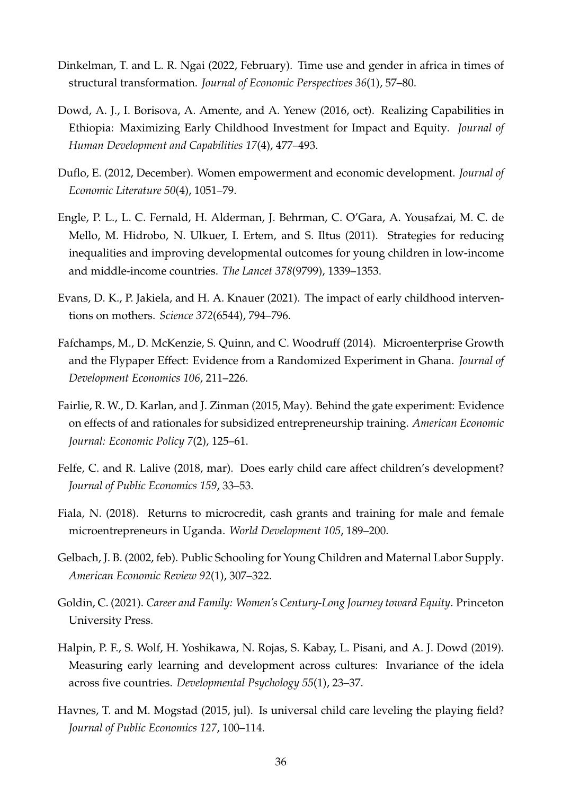- Dinkelman, T. and L. R. Ngai (2022, February). Time use and gender in africa in times of structural transformation. *Journal of Economic Perspectives 36*(1), 57–80.
- Dowd, A. J., I. Borisova, A. Amente, and A. Yenew (2016, oct). Realizing Capabilities in Ethiopia: Maximizing Early Childhood Investment for Impact and Equity. *Journal of Human Development and Capabilities 17*(4), 477–493.
- Duflo, E. (2012, December). Women empowerment and economic development. *Journal of Economic Literature 50*(4), 1051–79.
- Engle, P. L., L. C. Fernald, H. Alderman, J. Behrman, C. O'Gara, A. Yousafzai, M. C. de Mello, M. Hidrobo, N. Ulkuer, I. Ertem, and S. Iltus (2011). Strategies for reducing inequalities and improving developmental outcomes for young children in low-income and middle-income countries. *The Lancet 378*(9799), 1339–1353.
- Evans, D. K., P. Jakiela, and H. A. Knauer (2021). The impact of early childhood interventions on mothers. *Science 372*(6544), 794–796.
- Fafchamps, M., D. McKenzie, S. Quinn, and C. Woodruff (2014). Microenterprise Growth and the Flypaper Effect: Evidence from a Randomized Experiment in Ghana. *Journal of Development Economics 106*, 211–226.
- Fairlie, R. W., D. Karlan, and J. Zinman (2015, May). Behind the gate experiment: Evidence on effects of and rationales for subsidized entrepreneurship training. *American Economic Journal: Economic Policy 7*(2), 125–61.
- Felfe, C. and R. Lalive (2018, mar). Does early child care affect children's development? *Journal of Public Economics 159*, 33–53.
- Fiala, N. (2018). Returns to microcredit, cash grants and training for male and female microentrepreneurs in Uganda. *World Development 105*, 189–200.
- Gelbach, J. B. (2002, feb). Public Schooling for Young Children and Maternal Labor Supply. *American Economic Review 92*(1), 307–322.
- Goldin, C. (2021). *Career and Family: Women's Century-Long Journey toward Equity*. Princeton University Press.
- Halpin, P. F., S. Wolf, H. Yoshikawa, N. Rojas, S. Kabay, L. Pisani, and A. J. Dowd (2019). Measuring early learning and development across cultures: Invariance of the idela across five countries. *Developmental Psychology 55*(1), 23–37.
- Havnes, T. and M. Mogstad (2015, jul). Is universal child care leveling the playing field? *Journal of Public Economics 127*, 100–114.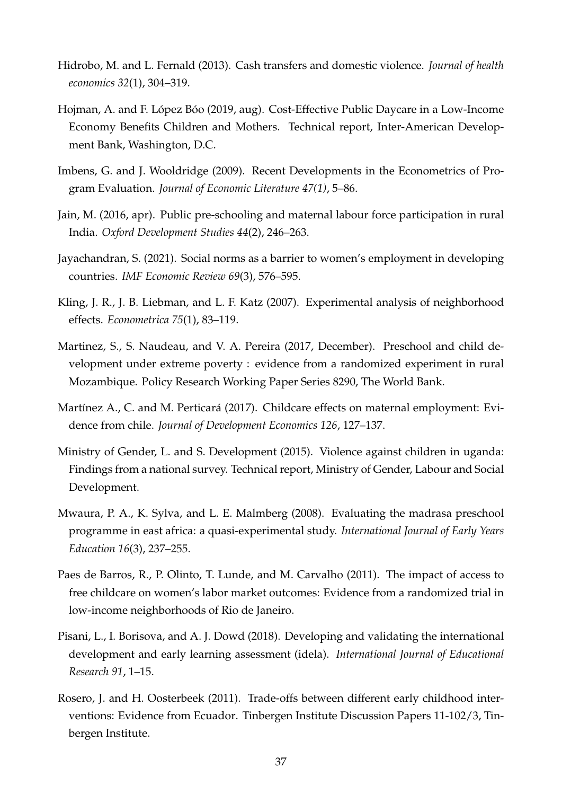- Hidrobo, M. and L. Fernald (2013). Cash transfers and domestic violence. *Journal of health economics 32*(1), 304–319.
- Hojman, A. and F. López Bóo (2019, aug). Cost-Effective Public Daycare in a Low-Income Economy Benefits Children and Mothers. Technical report, Inter-American Development Bank, Washington, D.C.
- Imbens, G. and J. Wooldridge (2009). Recent Developments in the Econometrics of Program Evaluation. *Journal of Economic Literature 47(1)*, 5–86.
- Jain, M. (2016, apr). Public pre-schooling and maternal labour force participation in rural India. *Oxford Development Studies 44*(2), 246–263.
- Jayachandran, S. (2021). Social norms as a barrier to women's employment in developing countries. *IMF Economic Review 69*(3), 576–595.
- Kling, J. R., J. B. Liebman, and L. F. Katz (2007). Experimental analysis of neighborhood effects. *Econometrica 75*(1), 83–119.
- Martinez, S., S. Naudeau, and V. A. Pereira (2017, December). Preschool and child development under extreme poverty : evidence from a randomized experiment in rural Mozambique. Policy Research Working Paper Series 8290, The World Bank.
- Martínez A., C. and M. Perticará (2017). Childcare effects on maternal employment: Evidence from chile. *Journal of Development Economics 126*, 127–137.
- Ministry of Gender, L. and S. Development (2015). Violence against children in uganda: Findings from a national survey. Technical report, Ministry of Gender, Labour and Social Development.
- Mwaura, P. A., K. Sylva, and L. E. Malmberg (2008). Evaluating the madrasa preschool programme in east africa: a quasi-experimental study. *International Journal of Early Years Education 16*(3), 237–255.
- Paes de Barros, R., P. Olinto, T. Lunde, and M. Carvalho (2011). The impact of access to free childcare on women's labor market outcomes: Evidence from a randomized trial in low-income neighborhoods of Rio de Janeiro.
- Pisani, L., I. Borisova, and A. J. Dowd (2018). Developing and validating the international development and early learning assessment (idela). *International Journal of Educational Research 91*, 1–15.
- Rosero, J. and H. Oosterbeek (2011). Trade-offs between different early childhood interventions: Evidence from Ecuador. Tinbergen Institute Discussion Papers 11-102/3, Tinbergen Institute.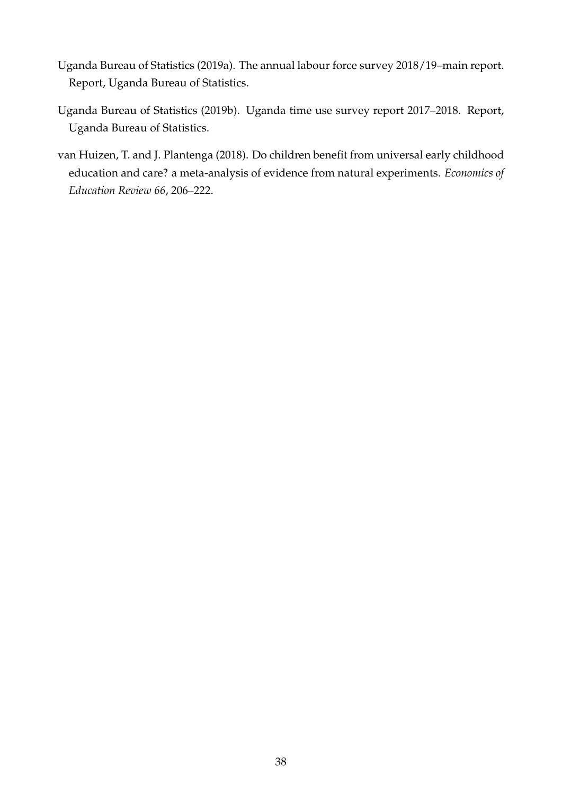- Uganda Bureau of Statistics (2019a). The annual labour force survey 2018/19–main report. Report, Uganda Bureau of Statistics.
- Uganda Bureau of Statistics (2019b). Uganda time use survey report 2017–2018. Report, Uganda Bureau of Statistics.
- van Huizen, T. and J. Plantenga (2018). Do children benefit from universal early childhood education and care? a meta-analysis of evidence from natural experiments. *Economics of Education Review 66*, 206–222.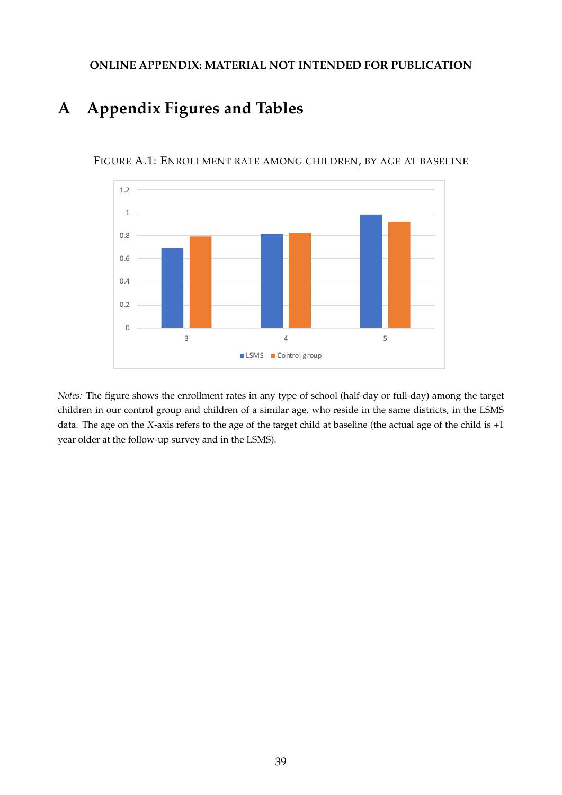## **ONLINE APPENDIX: MATERIAL NOT INTENDED FOR PUBLICATION**

# **A Appendix Figures and Tables**



FIGURE A.1: ENROLLMENT RATE AMONG CHILDREN, BY AGE AT BASELINE

*Notes:* The figure shows the enrollment rates in any type of school (half-day or full-day) among the target children in our control group and children of a similar age, who reside in the same districts, in the LSMS data. The age on the *X*-axis refers to the age of the target child at baseline (the actual age of the child is +1 year older at the follow-up survey and in the LSMS).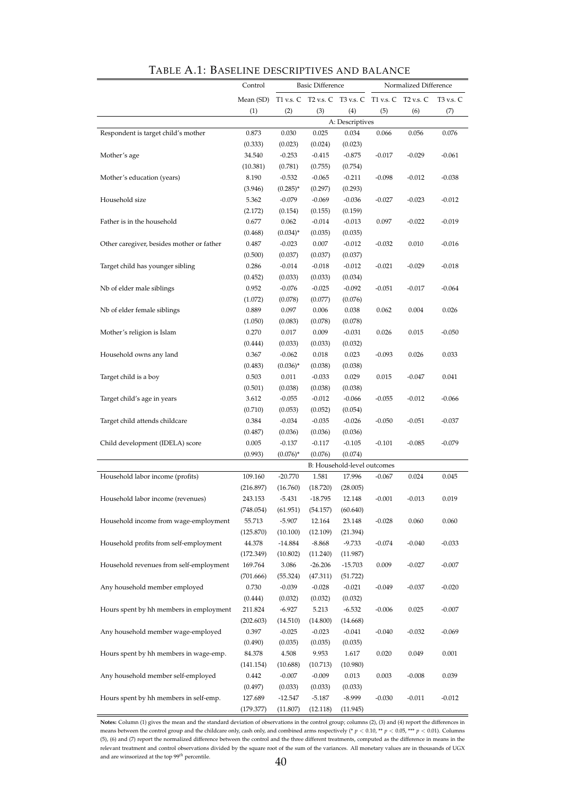|                                           | Control            |                      | <b>Basic Difference</b> |                             |                                                   | Normalized Difference |           |
|-------------------------------------------|--------------------|----------------------|-------------------------|-----------------------------|---------------------------------------------------|-----------------------|-----------|
|                                           | Mean (SD)          |                      |                         |                             | T1 v.s. C T2 v.s. C T3 v.s. C T1 v.s. C T2 v.s. C |                       | T3 v.s. C |
|                                           | (1)                | (2)                  | (3)                     | (4)                         | (5)                                               | (6)                   | (7)       |
|                                           |                    |                      |                         | A: Descriptives             |                                                   |                       |           |
| Respondent is target child's mother       | 0.873              | 0.030                | 0.025                   | 0.034                       | 0.066                                             | 0.056                 | 0.076     |
|                                           | (0.333)            | (0.023)              | (0.024)                 | (0.023)                     |                                                   |                       |           |
| Mother's age                              | 34.540             | $-0.253$             | $-0.415$                | $-0.875$                    | $-0.017$                                          | $-0.029$              | $-0.061$  |
|                                           | (10.381)           | (0.781)              | (0.755)                 | (0.754)                     |                                                   |                       |           |
| Mother's education (years)                | 8.190              | $-0.532$             | $-0.065$                | $-0.211$                    | $-0.098$                                          | $-0.012$              | $-0.038$  |
|                                           | (3.946)            | $(0.285)^*$          | (0.297)                 | (0.293)                     |                                                   |                       |           |
| Household size                            | 5.362              | $-0.079$             | $-0.069$                | $-0.036$                    | $-0.027$                                          | $-0.023$              | $-0.012$  |
|                                           | (2.172)            | (0.154)              | (0.155)                 | (0.159)                     |                                                   |                       |           |
| Father is in the household                | 0.677              | 0.062                | $-0.014$                | $-0.013$                    | 0.097                                             | $-0.022$              | $-0.019$  |
|                                           | (0.468)            | $(0.034)^*$          | (0.035)                 | (0.035)                     |                                                   |                       |           |
| Other caregiver, besides mother or father | 0.487              | $-0.023$             | 0.007                   | $-0.012$                    | $-0.032$                                          | 0.010                 | $-0.016$  |
|                                           | (0.500)            | (0.037)              | (0.037)                 | (0.037)                     |                                                   |                       |           |
| Target child has younger sibling          | 0.286              | $-0.014$             | $-0.018$                | $-0.012$                    | $-0.021$                                          | $-0.029$              | $-0.018$  |
|                                           | (0.452)            | (0.033)              | (0.033)                 | (0.034)                     |                                                   |                       |           |
| Nb of elder male siblings                 | 0.952              | $-0.076$             | $-0.025$                | $-0.092$                    | $-0.051$                                          | $-0.017$              | $-0.064$  |
|                                           | (1.072)            | (0.078)              | (0.077)                 | (0.076)                     |                                                   | 0.004                 | 0.026     |
| Nb of elder female siblings               | 0.889              | 0.097                | 0.006<br>(0.078)        | 0.038                       | 0.062                                             |                       |           |
| Mother's religion is Islam                | (1.050)<br>0.270   | (0.083)<br>0.017     | 0.009                   | (0.078)<br>$-0.031$         | 0.026                                             | 0.015                 | $-0.050$  |
|                                           | (0.444)            | (0.033)              | (0.033)                 | (0.032)                     |                                                   |                       |           |
| Household owns any land                   | 0.367              | $-0.062$             | 0.018                   | 0.023                       | $-0.093$                                          | 0.026                 | 0.033     |
|                                           | (0.483)            | $(0.036)^*$          | (0.038)                 | (0.038)                     |                                                   |                       |           |
| Target child is a boy                     | 0.503              | 0.011                | $-0.033$                | 0.029                       | 0.015                                             | $-0.047$              | 0.041     |
|                                           | (0.501)            | (0.038)              | (0.038)                 | (0.038)                     |                                                   |                       |           |
| Target child's age in years               | 3.612              | $-0.055$             | $-0.012$                | $-0.066$                    | $-0.055$                                          | $-0.012$              | $-0.066$  |
|                                           | (0.710)            | (0.053)              | (0.052)                 | (0.054)                     |                                                   |                       |           |
| Target child attends childcare            | 0.384              | $-0.034$             | $-0.035$                | $-0.026$                    | $-0.050$                                          | $-0.051$              | $-0.037$  |
|                                           | (0.487)            | (0.036)              | (0.036)                 | (0.036)                     |                                                   |                       |           |
| Child development (IDELA) score           | 0.005              | $-0.137$             | $-0.117$                | $-0.105$                    | $-0.101$                                          | $-0.085$              | $-0.079$  |
|                                           | (0.993)            | $(0.076)^*$          | (0.076)                 | (0.074)                     |                                                   |                       |           |
|                                           |                    |                      |                         | B: Household-level outcomes |                                                   |                       |           |
| Household labor income (profits)          | 109.160            | $-20.770$            | 1.581                   | 17.996                      | $-0.067$                                          | 0.024                 | 0.045     |
|                                           | (216.897)          | (16.760)             | (18.720)                | (28.005)                    |                                                   |                       |           |
| Household labor income (revenues)         | 243.153            | $-5.431$             | $-18.795$               | 12.148                      | $-0.001$                                          | -0.013                | 0.019     |
|                                           | (748.054)          | (61.951)             | (54.157)                | (60.640)                    |                                                   |                       |           |
| Household income from wage-employment     | 55.713             | $-5.907$             | 12.164                  | 23.148                      | $-0.028$                                          | 0.060                 | 0.060     |
|                                           | (125.870)          | (10.100)             | (12.109)                | (21.394)                    |                                                   |                       |           |
| Household profits from self-employment    | 44.378             | $-14.884$            | $-8.868$                | $-9.733$                    | $-0.074$                                          | $-0.040$              | $-0.033$  |
|                                           | (172.349)          | (10.802)             | (11.240)                | (11.987)                    |                                                   |                       |           |
| Household revenues from self-employment   | 169.764            | 3.086                | $-26.206$               | $-15.703$                   | 0.009                                             | $-0.027$              | $-0.007$  |
|                                           | (701.666)          | (55.324)             | (47.311)                | (51.722)                    |                                                   |                       |           |
| Any household member employed             | 0.730              | $-0.039$             | $-0.028$                | $-0.021$                    | $-0.049$                                          | $-0.037$              | $-0.020$  |
|                                           | (0.444)            | (0.032)              | (0.032)                 | (0.032)                     |                                                   |                       |           |
| Hours spent by hh members in employment   | 211.824            | $-6.927$             | 5.213                   | $-6.532$                    | $-0.006$                                          | 0.025                 | $-0.007$  |
|                                           | (202.603)          | (14.510)             | (14.800)                | (14.668)                    |                                                   |                       |           |
| Any household member wage-employed        | 0.397              | $-0.025$             | $-0.023$                | $-0.041$                    | $-0.040$                                          | $-0.032$              | $-0.069$  |
|                                           | (0.490)            | (0.035)              | (0.035)                 | (0.035)                     |                                                   |                       |           |
| Hours spent by hh members in wage-emp.    | 84.378             | 4.508                | 9.953                   | 1.617                       | 0.020                                             | 0.049                 | 0.001     |
| Any household member self-employed        | (141.154)<br>0.442 | (10.688)<br>$-0.007$ | (10.713)<br>$-0.009$    | (10.980)                    | 0.003                                             | $-0.008$              | 0.039     |
|                                           | (0.497)            | (0.033)              | (0.033)                 | 0.013<br>(0.033)            |                                                   |                       |           |
| Hours spent by hh members in self-emp.    | 127.689            | -12.547              | $-5.187$                | $-8.999$                    | $-0.030$                                          | $-0.011$              | $-0.012$  |
|                                           | (179.377)          | (11.807)             | (12.118)                | (11.945)                    |                                                   |                       |           |

| TABLE A.1: BASELINE DESCRIPTIVES AND BALANCE |  |
|----------------------------------------------|--|
|----------------------------------------------|--|

**Notes:** Column (1) gives the mean and the standard deviation of observations in the control group; columns (2), (3) and (4) report the differences in means between the control group and the childcare only, cash only, and combined arms respectively (\* *<sup>p</sup>* <sup>&</sup>lt; 0.10, \*\* *<sup>p</sup>* <sup>&</sup>lt; 0.05, \*\*\* *<sup>p</sup>* <sup>&</sup>lt; 0.01). Columns (5), (6) and (7) report the normalized difference between the control and the three different treatments, computed as the difference in means in the relevant treatment and control observations divided by the square root of the sum of the variances. All monetary values are in thousands of UGX and are winsorized at the top  $99^{th}$  percentile.  $40$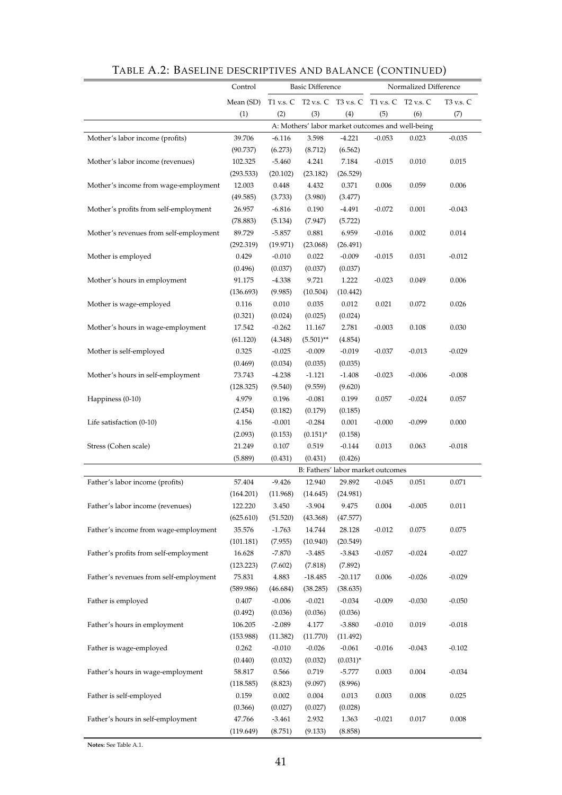|                                        | Control   |                   | <b>Basic Difference</b>                           |                    | Normalized Difference |           |           |  |  |
|----------------------------------------|-----------|-------------------|---------------------------------------------------|--------------------|-----------------------|-----------|-----------|--|--|
|                                        | Mean (SD) |                   | T1 v.s. C T2 v.s. C T3 v.s. C T1 v.s. C T2 v.s. C |                    |                       |           | T3 v.s. C |  |  |
|                                        | (1)       | (2)               | (3)                                               | (4)                | (5)                   | (6)       | (7)       |  |  |
|                                        |           |                   | A: Mothers' labor market outcomes and well-being  |                    |                       |           |           |  |  |
| Mother's labor income (profits)        | 39.706    | $-6.116$          | 3.598                                             | $-4.221$           | $-0.053$              | 0.023     | $-0.035$  |  |  |
|                                        | (90.737)  | (6.273)           | (8.712)                                           | (6.562)            |                       |           |           |  |  |
| Mother's labor income (revenues)       | 102.325   | $-5.460$          | 4.241                                             | 7.184              | $-0.015$              | 0.010     | 0.015     |  |  |
|                                        | (293.533) | (20.102)          | (23.182)                                          | (26.529)           |                       |           |           |  |  |
| Mother's income from wage-employment   | 12.003    | 0.448             | 4.432                                             | 0.371              | 0.006                 | 0.059     | 0.006     |  |  |
|                                        | (49.585)  | (3.733)           | (3.980)                                           | (3.477)            |                       |           |           |  |  |
| Mother's profits from self-employment  | 26.957    | $-6.816$          | 0.190                                             | $-4.491$           | $-0.072$              | 0.001     | $-0.043$  |  |  |
|                                        | (78.883)  | (5.134)           | (7.947)                                           | (5.722)            |                       |           |           |  |  |
| Mother's revenues from self-employment | 89.729    | $-5.857$          | 0.881                                             | 6.959              | $-0.016$              | 0.002     | 0.014     |  |  |
|                                        | (292.319) | (19.971)          | (23.068)                                          | (26.491)           |                       |           |           |  |  |
| Mother is employed                     | 0.429     | $-0.010$          | 0.022                                             | $-0.009$           | $-0.015$              | 0.031     | $-0.012$  |  |  |
|                                        | (0.496)   | (0.037)           | (0.037)                                           | (0.037)            |                       |           |           |  |  |
| Mother's hours in employment           | 91.175    | $-4.338$          | 9.721                                             | 1.222              | $-0.023$              | 0.049     | 0.006     |  |  |
|                                        | (136.693) | (9.985)           | (10.504)                                          | (10.442)           |                       |           |           |  |  |
| Mother is wage-employed                | 0.116     | 0.010             | 0.035                                             | 0.012              | 0.021                 | 0.072     | 0.026     |  |  |
|                                        | (0.321)   | (0.024)           | (0.025)                                           | (0.024)            |                       |           |           |  |  |
| Mother's hours in wage-employment      | 17.542    | $-0.262$          | 11.167                                            | 2.781              | $-0.003$              | 0.108     | 0.030     |  |  |
|                                        | (61.120)  | (4.348)           | $(5.501)$ **                                      | (4.854)            |                       |           |           |  |  |
| Mother is self-employed                | 0.325     | $-0.025$          | $-0.009$                                          | $-0.019$           | $-0.037$              | $-0.013$  | $-0.029$  |  |  |
|                                        | (0.469)   | (0.034)           | (0.035)                                           | (0.035)            |                       |           |           |  |  |
| Mother's hours in self-employment      | 73.743    | $-4.238$          | $-1.121$                                          | $-1.408$           | $-0.023$              | $-0.006$  | $-0.008$  |  |  |
|                                        | (128.325) | (9.540)           | (9.559)                                           | (9.620)            |                       |           |           |  |  |
| Happiness (0-10)                       | 4.979     | 0.196             | $-0.081$                                          | 0.199              | 0.057                 | $-0.024$  | 0.057     |  |  |
|                                        | (2.454)   | (0.182)           | (0.179)                                           | (0.185)            |                       |           |           |  |  |
| Life satisfaction (0-10)               | 4.156     | $-0.001$          | $-0.284$                                          | 0.001              | $-0.000$              | $-0.099$  | 0.000     |  |  |
|                                        | (2.093)   | (0.153)           | $(0.151)^{*}$                                     | (0.158)            |                       |           |           |  |  |
| Stress (Cohen scale)                   | 21.249    | 0.107             | 0.519                                             | $-0.144$           | 0.013                 | 0.063     | $-0.018$  |  |  |
|                                        | (5.889)   | (0.431)           | (0.431)                                           | (0.426)            |                       |           |           |  |  |
|                                        | 57.404    | $-9.426$          | B: Fathers' labor market outcomes                 |                    |                       |           |           |  |  |
| Father's labor income (profits)        | (164.201) |                   | 12.940<br>(14.645)                                | 29.892<br>(24.981) | $-0.045$              | 0.051     | 0.071     |  |  |
| Father's labor income (revenues)       | 122.220   | (11.968)<br>3.450 | $-3.904$                                          | 9.475              | 0.004                 | $-0.005$  | 0.011     |  |  |
|                                        | (625.610) | (51.520)          | (43.368)                                          | (47.577)           |                       |           |           |  |  |
| Father's income from wage-employment   | 35.576    | $-1.763$          | 14.744                                            | 28.128             | $-0.012$              | 0.075     | 0.075     |  |  |
|                                        | (101.181) | (7.955)           | (10.940)                                          | (20.549)           |                       |           |           |  |  |
| Father's profits from self-employment  | 16.628    | $-7.870$          | $-3.485$                                          | $-3.843$           | $-0.057$              | $-0.024$  | $-0.027$  |  |  |
|                                        | (123.223) | (7.602)           | (7.818)                                           | (7.892)            |                       |           |           |  |  |
| Father's revenues from self-employment | 75.831    | 4.883             | $-18.485$                                         | $-20.117$          | 0.006                 | $-0.026$  | $-0.029$  |  |  |
|                                        | (589.986) | (46.684)          | (38.285)                                          | (38.635)           |                       |           |           |  |  |
| Father is employed                     | 0.407     | $-0.006$          | $-0.021$                                          | $-0.034$           | $-0.009$              | $-0.030$  | $-0.050$  |  |  |
|                                        | (0.492)   | (0.036)           | (0.036)                                           | (0.036)            |                       |           |           |  |  |
| Father's hours in employment           | 106.205   | $-2.089$          | 4.177                                             | $-3.880$           | $-0.010$              | 0.019     | $-0.018$  |  |  |
|                                        | (153.988) | (11.382)          | (11.770)                                          | (11.492)           |                       |           |           |  |  |
| Father is wage-employed                | 0.262     | $-0.010$          | $-0.026$                                          | $-0.061$           | $-0.016$              | $-0.043$  | $-0.102$  |  |  |
|                                        | (0.440)   | (0.032)           | (0.032)                                           | $(0.031)^{*}$      |                       |           |           |  |  |
| Father's hours in wage-employment      | 58.817    | 0.566             | 0.719                                             | $-5.777$           | 0.003                 | 0.004     | $-0.034$  |  |  |
|                                        | (118.585) | (8.823)           | (9.097)                                           | (8.996)            |                       |           |           |  |  |
| Father is self-employed                | 0.159     | 0.002             | 0.004                                             | 0.013              | 0.003                 | 0.008     | 0.025     |  |  |
|                                        | (0.366)   | (0.027)           | (0.027)                                           | (0.028)            |                       |           |           |  |  |
| Father's hours in self-employment      | 47.766    | $-3.461$          | 2.932                                             | 1.363              | $-0.021$              | $0.017\,$ | 0.008     |  |  |
|                                        | (119.649) | (8.751)           | (9.133)                                           | (8.858)            |                       |           |           |  |  |

# TABLE A.2: BASELINE DESCRIPTIVES AND BALANCE (CONTINUED)

**Notes:** See Table A.1.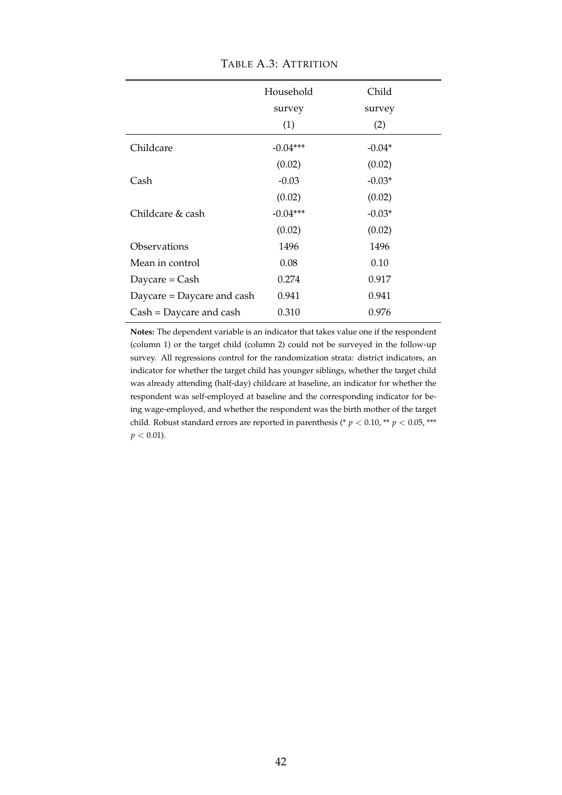|                            | Household  | Child    |
|----------------------------|------------|----------|
|                            | survey     | survey   |
|                            | (1)        | (2)      |
| Childcare                  | $-0.04***$ | $-0.04*$ |
|                            | (0.02)     | (0.02)   |
| Cash                       | $-0.03$    | $-0.03*$ |
|                            | (0.02)     | (0.02)   |
| Childcare & cash           | $-0.04***$ | $-0.03*$ |
|                            | (0.02)     | (0.02)   |
| Observations               | 1496       | 1496     |
| Mean in control            | 0.08       | 0.10     |
| Daycare = $Cash$           | 0.274      | 0.917    |
| Daycare = Daycare and cash | 0.941      | 0.941    |
| $Cash = Daycare$ and cash  | 0.310      | 0.976    |

TABLE A.3: ATTRITION

**Notes:** The dependent variable is an indicator that takes value one if the respondent (column 1) or the target child (column 2) could not be surveyed in the follow-up survey. All regressions control for the randomization strata: district indicators, an indicator for whether the target child has younger siblings, whether the target child was already attending (half-day) childcare at baseline, an indicator for whether the respondent was self-employed at baseline and the corresponding indicator for being wage-employed, and whether the respondent was the birth mother of the target child. Robust standard errors are reported in parenthesis (\*  $p < 0.10$ , \*\*  $p < 0.05$ , \*\*\*  $p < 0.01$ ).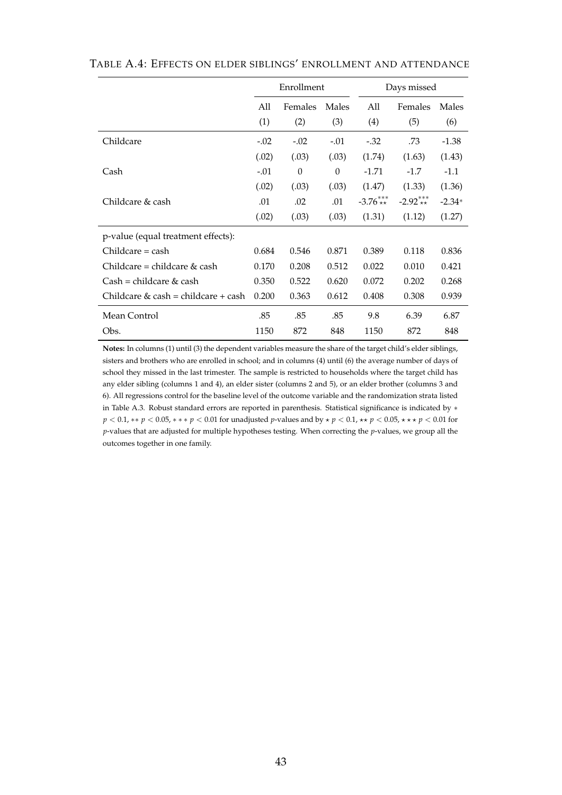|                                     |        | Enrollment |          | Days missed |            |          |  |  |  |  |
|-------------------------------------|--------|------------|----------|-------------|------------|----------|--|--|--|--|
|                                     | All    | Females    | Males    | All         | Females    | Males    |  |  |  |  |
|                                     | (1)    | (2)        | (3)      | (4)         | (5)        | (6)      |  |  |  |  |
| Childcare                           | $-.02$ | $-.02$     | $-.01$   | $-.32$      | .73        | $-1.38$  |  |  |  |  |
|                                     | (.02)  | (.03)      | (.03)    | (1.74)      | (1.63)     | (1.43)   |  |  |  |  |
| Cash                                | $-.01$ | $\theta$   | $\Omega$ | $-1.71$     | $-1.7$     | $-1.1$   |  |  |  |  |
|                                     | (.02)  | (.03)      | (.03)    | (1.47)      | (1.33)     | (1.36)   |  |  |  |  |
| Childcare & cash                    | .01    | .02        | .01      | $-3.76***$  | $-2.92***$ | $-2.34*$ |  |  |  |  |
|                                     | (.02)  | (.03)      | (.03)    | (1.31)      | (1.12)     | (1.27)   |  |  |  |  |
| p-value (equal treatment effects):  |        |            |          |             |            |          |  |  |  |  |
| Childcare = cash                    | 0.684  | 0.546      | 0.871    | 0.389       | 0.118      | 0.836    |  |  |  |  |
| Childcare = childcare & cash        | 0.170  | 0.208      | 0.512    | 0.022       | 0.010      | 0.421    |  |  |  |  |
| Cash = childcare & cash             | 0.350  | 0.522      | 0.620    | 0.072       | 0.202      | 0.268    |  |  |  |  |
| Childcare & cash = childcare + cash | 0.200  | 0.363      | 0.612    | 0.408       | 0.308      | 0.939    |  |  |  |  |
| Mean Control                        | .85    | .85        | .85      | 9.8         | 6.39       | 6.87     |  |  |  |  |
| Obs.                                | 1150   | 872        | 848      | 1150        | 872        | 848      |  |  |  |  |

TABLE A.4: EFFECTS ON ELDER SIBLINGS' ENROLLMENT AND ATTENDANCE

**Notes:** In columns (1) until (3) the dependent variables measure the share of the target child's elder siblings, sisters and brothers who are enrolled in school; and in columns (4) until (6) the average number of days of school they missed in the last trimester. The sample is restricted to households where the target child has any elder sibling (columns 1 and 4), an elder sister (columns 2 and 5), or an elder brother (columns 3 and 6). All regressions control for the baseline level of the outcome variable and the randomization strata listed in Table A.3. Robust standard errors are reported in parenthesis. Statistical significance is indicated by ∗ *p* < 0.1, \*\* *p* < 0.05, \* \* \* *p* < 0.01 for unadjusted *p*-values and by  $\star$  *p* < 0.1,  $\star\star$  *p* < 0.05,  $\star\star\star$  *p* < 0.01 for *p*-values that are adjusted for multiple hypotheses testing. When correcting the *p*-values, we group all the outcomes together in one family.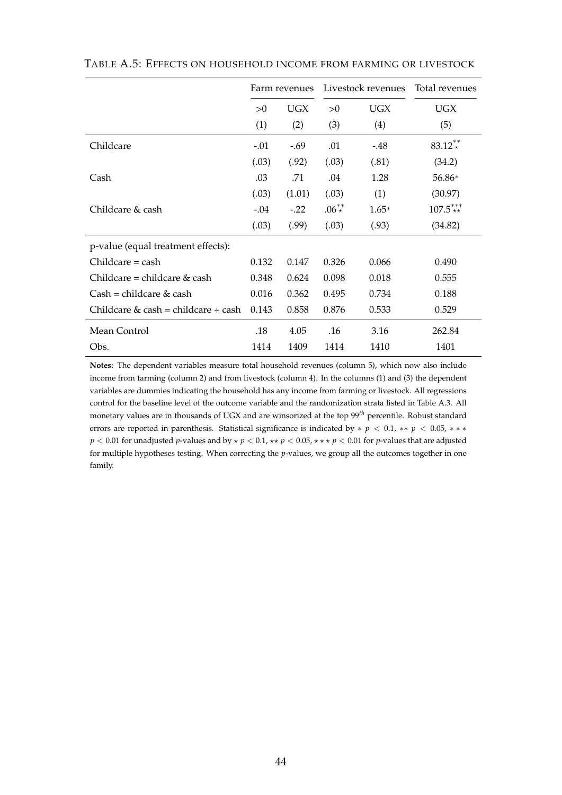|                                        |        | Farm revenues |            | Livestock revenues | Total revenues |
|----------------------------------------|--------|---------------|------------|--------------------|----------------|
|                                        | >0     | <b>UGX</b>    | >0         | UGX                | <b>UGX</b>     |
|                                        | (1)    | (2)           | (3)        | (4)                | (5)            |
| Childcare                              | $-.01$ | $-.69$        | .01        | $-48$              | $83.12**$      |
|                                        | (.03)  | (.92)         | (.03)      | (.81)              | (34.2)         |
| Cash                                   | .03    | .71           | .04        | 1.28               | 56.86*         |
|                                        | (.03)  | (1.01)        | (.03)      | (1)                | (30.97)        |
| Childcare & cash                       | $-.04$ | $-.22$        | $.06^{**}$ | $1.65*$            | $107.5***$     |
|                                        | (.03)  | (.99)         | (.03)      | (.93)              | (34.82)        |
| p-value (equal treatment effects):     |        |               |            |                    |                |
| $Childcare = cash$                     | 0.132  | 0.147         | 0.326      | 0.066              | 0.490          |
| Childcare = childcare $\&$ cash        | 0.348  | 0.624         | 0.098      | 0.018              | 0.555          |
| $Cash = children \& cash$              | 0.016  | 0.362         | 0.495      | 0.734              | 0.188          |
| Childcare $\&$ cash = childcare + cash | 0.143  | 0.858         | 0.876      | 0.533              | 0.529          |
| Mean Control                           | .18    | 4.05          | .16        | 3.16               | 262.84         |
| Obs.                                   | 1414   | 1409          | 1414       | 1410               | 1401           |

TABLE A.5: EFFECTS ON HOUSEHOLD INCOME FROM FARMING OR LIVESTOCK

**Notes:** The dependent variables measure total household revenues (column 5), which now also include income from farming (column 2) and from livestock (column 4). In the columns (1) and (3) the dependent variables are dummies indicating the household has any income from farming or livestock. All regressions control for the baseline level of the outcome variable and the randomization strata listed in Table A.3. All monetary values are in thousands of UGX and are winsorized at the top 99*th* percentile. Robust standard errors are reported in parenthesis. Statistical significance is indicated by ∗ *p* < 0.1, ∗∗ *p* < 0.05, ∗ ∗ ∗ *p* < 0.01 for unadjusted *p*-values and by  $\star$  *p* < 0.1,  $\star\star$  *p* < 0.05,  $\star\star\star$  *p* < 0.01 for *p*-values that are adjusted for multiple hypotheses testing. When correcting the *p*-values, we group all the outcomes together in one family.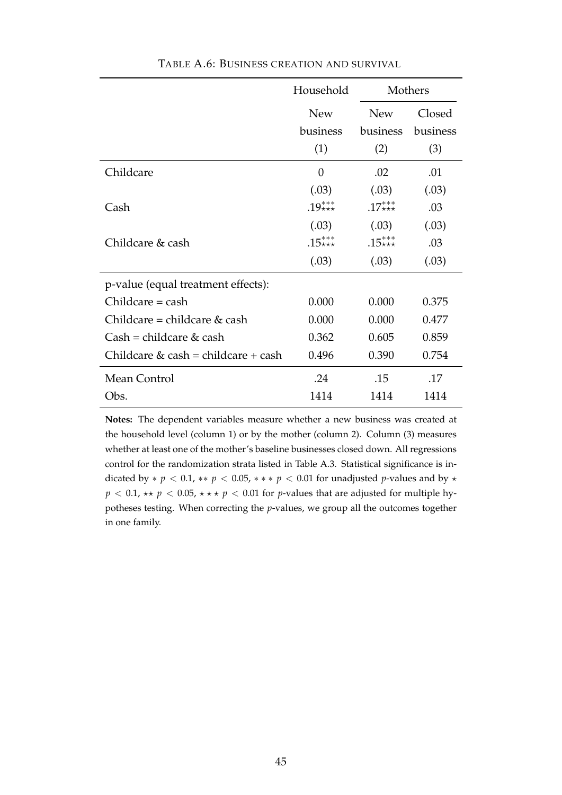|                                     | Household  | Mothers    |          |
|-------------------------------------|------------|------------|----------|
|                                     | <b>New</b> | <b>New</b> | Closed   |
|                                     | business   | business   | business |
|                                     | (1)        | (2)        | (3)      |
| Childcare                           | $\theta$   | .02        | .01      |
|                                     | (.03)      | (.03)      | (.03)    |
| Cash                                | $.19***$   | $.17***$   | .03      |
|                                     | (.03)      | (.03)      | (.03)    |
| Childcare & cash                    | $.15***$   | $.15***$   | .03      |
|                                     | (.03)      | (.03)      | (.03)    |
| p-value (equal treatment effects):  |            |            |          |
| $Children = cash$                   | 0.000      | 0.000      | 0.375    |
| Childcare = childcare $&$ cash      | 0.000      | 0.000      | 0.477    |
| $Cash = children & cash$            | 0.362      | 0.605      | 0.859    |
| Childcare & cash = childcare + cash | 0.496      | 0.390      | 0.754    |
| Mean Control                        | .24        | .15        | .17      |
| Obs.                                | 1414       | 1414       | 1414     |

TABLE A.6: BUSINESS CREATION AND SURVIVAL

**Notes:** The dependent variables measure whether a new business was created at the household level (column 1) or by the mother (column 2). Column (3) measures whether at least one of the mother's baseline businesses closed down. All regressions control for the randomization strata listed in Table A.3. Statistical significance is indicated by  $*$  *p* < 0.1,  $**$  *p* < 0.05,  $* * * p$  < 0.01 for unadjusted *p*-values and by  $*$  $p < 0.1$ , \*\*  $p < 0.05$ , \*\*\*  $p < 0.01$  for *p*-values that are adjusted for multiple hypotheses testing. When correcting the *p*-values, we group all the outcomes together in one family.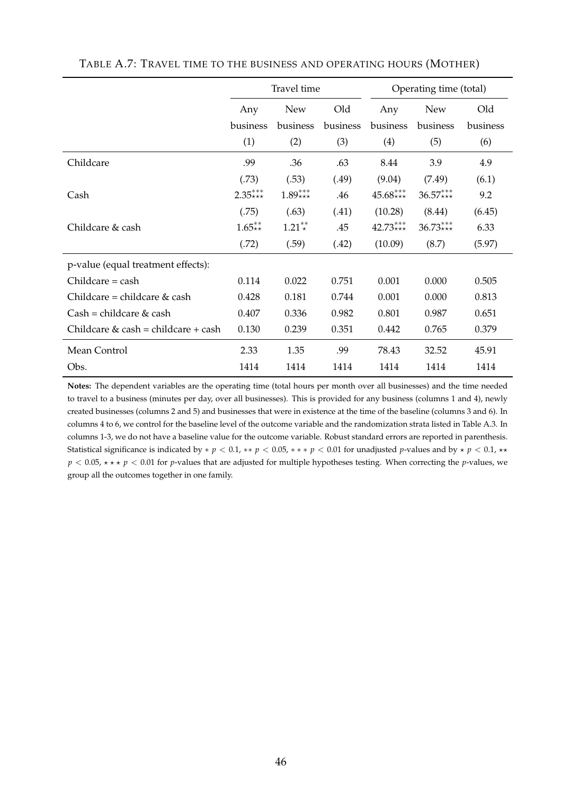|                                     |           | Travel time |          | Operating time (total) |            |          |  |  |  |  |
|-------------------------------------|-----------|-------------|----------|------------------------|------------|----------|--|--|--|--|
|                                     | Any       | <b>New</b>  | Old      | Any                    | <b>New</b> | Old      |  |  |  |  |
|                                     | business  | business    | business | business               | business   | business |  |  |  |  |
|                                     | (1)       | (2)         | (3)      | (4)                    | (5)        | (6)      |  |  |  |  |
| Childcare                           | .99       | .36         | .63      | 8.44                   | 3.9        | 4.9      |  |  |  |  |
|                                     | (.73)     | (.53)       | (.49)    | (9.04)                 | (7.49)     | (6.1)    |  |  |  |  |
| Cash                                | $2.35***$ | $1.89***$   | .46      | $45.68***$             | $36.57***$ | 9.2      |  |  |  |  |
|                                     | (.75)     | (.63)       | (.41)    | (10.28)                | (8.44)     | (6.45)   |  |  |  |  |
| Childcare & cash                    | $1.65**$  | $1.21**$    | .45      | $42.73***$             | $36.73***$ | 6.33     |  |  |  |  |
|                                     | (.72)     | (.59)       | (.42)    | (10.09)                | (8.7)      | (5.97)   |  |  |  |  |
| p-value (equal treatment effects):  |           |             |          |                        |            |          |  |  |  |  |
| $Childcare = cash$                  | 0.114     | 0.022       | 0.751    | 0.001                  | 0.000      | 0.505    |  |  |  |  |
| Childcare = childcare $&$ cash      | 0.428     | 0.181       | 0.744    | 0.001                  | 0.000      | 0.813    |  |  |  |  |
| $Cash = children \& cash$           | 0.407     | 0.336       | 0.982    | 0.801                  | 0.987      | 0.651    |  |  |  |  |
| Childcare & cash = childcare + cash | 0.130     | 0.239       | 0.351    | 0.442                  | 0.765      | 0.379    |  |  |  |  |
| Mean Control                        | 2.33      | 1.35        | .99      | 78.43                  | 32.52      | 45.91    |  |  |  |  |
| Obs.                                | 1414      | 1414        | 1414     | 1414                   | 1414       | 1414     |  |  |  |  |

#### TABLE A.7: TRAVEL TIME TO THE BUSINESS AND OPERATING HOURS (MOTHER)

**Notes:** The dependent variables are the operating time (total hours per month over all businesses) and the time needed to travel to a business (minutes per day, over all businesses). This is provided for any business (columns 1 and 4), newly created businesses (columns 2 and 5) and businesses that were in existence at the time of the baseline (columns 3 and 6). In columns 4 to 6, we control for the baseline level of the outcome variable and the randomization strata listed in Table A.3. In columns 1-3, we do not have a baseline value for the outcome variable. Robust standard errors are reported in parenthesis. Statistical significance is indicated by  $* p < 0.1$ ,  $* p < 0.05$ ,  $* * p < 0.01$  for unadjusted *p*-values and by  $* p < 0.1$ ,  $* * p < 0.1$  $p < 0.05$ ,  $\star \star \star p < 0.01$  for *p*-values that are adjusted for multiple hypotheses testing. When correcting the *p*-values, we group all the outcomes together in one family.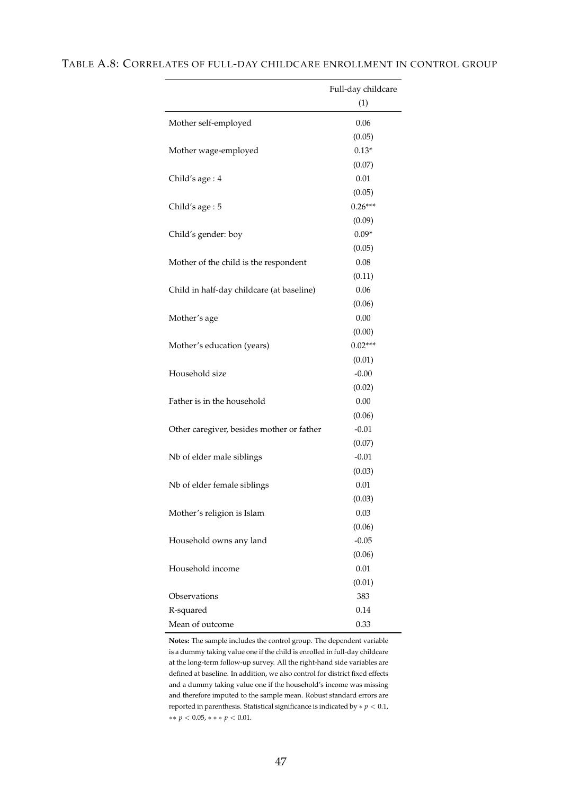|                                           | Full-day childcare |
|-------------------------------------------|--------------------|
|                                           | (1)                |
|                                           |                    |
| Mother self-employed                      | 0.06               |
|                                           | (0.05)             |
| Mother wage-employed                      | $0.13*$<br>(0.07)  |
|                                           | 0.01               |
| Child's age: 4                            | (0.05)             |
| Child's age: 5                            | $0.26***$          |
|                                           | (0.09)             |
| Child's gender: boy                       | $0.09*$            |
|                                           | (0.05)             |
| Mother of the child is the respondent     | 0.08               |
|                                           | (0.11)             |
| Child in half-day childcare (at baseline) | 0.06               |
|                                           | (0.06)             |
| Mother's age                              | 0.00               |
|                                           | (0.00)             |
| Mother's education (years)                | $0.02***$          |
|                                           | (0.01)             |
| Household size                            | $-0.00$            |
|                                           | (0.02)             |
| Father is in the household                | 0.00               |
|                                           | (0.06)             |
| Other caregiver, besides mother or father | $-0.01$            |
|                                           | (0.07)             |
| Nb of elder male siblings                 | $-0.01$            |
|                                           | (0.03)             |
| Nb of elder female siblings               | 0.01               |
|                                           | (0.03)             |
| Mother's religion is Islam                | 0.03               |
|                                           | (0.06)             |
| Household owns any land                   | $-0.05$            |
|                                           | (0.06)             |
| Household income                          | 0.01               |
|                                           | (0.01)             |
| Observations                              | 383                |
| R-squared                                 | 0.14               |
| Mean of outcome                           | 0.33               |

### TABLE A.8: CORRELATES OF FULL-DAY CHILDCARE ENROLLMENT IN CONTROL GROUP

**Notes:** The sample includes the control group. The dependent variable is a dummy taking value one if the child is enrolled in full-day childcare at the long-term follow-up survey. All the right-hand side variables are defined at baseline. In addition, we also control for district fixed effects and a dummy taking value one if the household's income was missing and therefore imputed to the sample mean. Robust standard errors are reported in parenthesis. Statistical significance is indicated by  $\ast$   $p$   $<$   $0.1,$ ∗∗ *p* < 0.05, ∗ ∗ ∗ *p* < 0.01.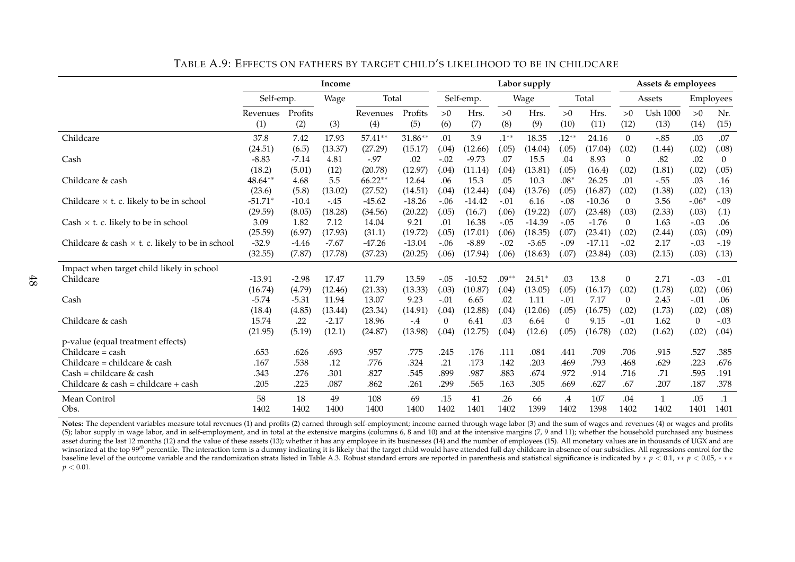|                                                        |            |         |         |           | Labor supply | Assets & employees |           |         |          |                |          |                  |                 |              |           |
|--------------------------------------------------------|------------|---------|---------|-----------|--------------|--------------------|-----------|---------|----------|----------------|----------|------------------|-----------------|--------------|-----------|
|                                                        | Self-emp.  |         | Wage    | Total     |              |                    | Self-emp. |         | Wage     | Total          |          | Assets           |                 |              | Employees |
|                                                        | Revenues   | Profits |         | Revenues  | Profits      | >0                 | Hrs.      | >0      | Hrs.     | >0             | Hrs.     | >0               | <b>Ush 1000</b> | >0           | Nr.       |
|                                                        | (1)        | (2)     | (3)     | (4)       | (5)          | (6)                | (7)       | (8)     | (9)      | (10)           | (11)     | (12)             | (13)            | (14)         | (15)      |
| Childcare                                              | 37.8       | 7.42    | 17.93   | 57.41**   | 31.86**      | .01                | 3.9       | $.1***$ | 18.35    | $.12***$       | 24.16    | $\overline{0}$   | $-.85$          | .03          | .07       |
|                                                        | (24.51)    | (6.5)   | (13.37) | (27.29)   | (15.17)      | (.04)              | (12.66)   | (.05)   | (14.04)  | (.05)          | (17.04)  | (.02)            | (1.44)          | (.02)        | (.08)     |
| Cash                                                   | $-8.83$    | $-7.14$ | 4.81    | $-.97$    | .02          | $-.02$             | $-9.73$   | .07     | 15.5     | .04            | 8.93     | 0                | .82             | .02          | $\theta$  |
|                                                        | (18.2)     | (5.01)  | (12)    | (20.78)   | (12.97)      | (.04)              | (11.14)   | (.04)   | (13.81)  | (.05)          | (16.4)   | (.02)            | (1.81)          | (.02)        | (.05)     |
| Childcare & cash                                       | $48.64***$ | 4.68    | 5.5     | $66.22**$ | 12.64        | .06                | 15.3      | .05     | 10.3     | $.08*$         | 26.25    | .01              | $-.55$          | .03          | .16       |
|                                                        | (23.6)     | (5.8)   | (13.02) | (27.52)   | (14.51)      | (.04)              | (12.44)   | (.04)   | (13.76)  | (.05)          | (16.87)  | (.02)            | (1.38)          | (.02)        | (.13)     |
| Childcare $\times$ t. c. likely to be in school        | $-51.71*$  | $-10.4$ | $-.45$  | $-45.62$  | $-18.26$     | $-.06$             | $-14.42$  | $-.01$  | 6.16     | $-.08$         | $-10.36$ | $\theta$         | 3.56            | $-.06*$      | $-.09$    |
|                                                        | (29.59)    | (8.05)  | (18.28) | (34.56)   | (20.22)      | (.05)              | (16.7)    | (.06)   | (19.22)  | (.07)          | (23.48)  | (.03)            | (2.33)          | (.03)        | (.1)      |
| Cash $\times$ t. c. likely to be in school             | 3.09       | 1.82    | 7.12    | 14.04     | 9.21         | .01                | 16.38     | $-.05$  | $-14.39$ | $-.05$         | $-1.76$  | 0                | 1.63            | $-.03$       | .06       |
|                                                        | (25.59)    | (6.97)  | (17.93) | (31.1)    | (19.72)      | (.05)              | (17.01)   | (.06)   | (18.35)  | (.07)          | (23.41)  | (.02)            | (2.44)          | (.03)        | (.09)     |
| Childcare & cash $\times$ t. c. likely to be in school | $-32.9$    | $-4.46$ | $-7.67$ | $-47.26$  | $-13.04$     | $-.06$             | $-8.89$   | $-.02$  | $-3.65$  | $-.09$         | $-17.11$ | $-.02$           | 2.17            | $-.03$       | $-.19$    |
|                                                        | (32.55)    | (7.87)  | (17.78) | (37.23)   | (20.25)      | (.06)              | (17.94)   | (.06)   | (18.63)  | (.07)          | (23.84)  | (.03)            | (2.15)          | (.03)        | (.13)     |
| Impact when target child likely in school              |            |         |         |           |              |                    |           |         |          |                |          |                  |                 |              |           |
| Childcare                                              | $-13.91$   | $-2.98$ | 17.47   | 11.79     | 13.59        | $-.05$             | $-10.52$  | $.09**$ | $24.51*$ | .03            | 13.8     | $\boldsymbol{0}$ | 2.71            | $-.03$       | $-.01$    |
|                                                        | (16.74)    | (4.79)  | (12.46) | (21.33)   | (13.33)      | (.03)              | (10.87)   | (.04)   | (13.05)  | (.05)          | (16.17)  | (.02)            | (1.78)          | (.02)        | (.06)     |
| Cash                                                   | $-5.74$    | $-5.31$ | 11.94   | 13.07     | 9.23         | $-.01$             | 6.65      | .02     | 1.11     | $-.01$         | 7.17     | 0                | 2.45            | $-.01$       | .06       |
|                                                        | (18.4)     | (4.85)  | (13.44) | (23.34)   | (14.91)      | (.04)              | (12.88)   | (.04)   | (12.06)  | (.05)          | (16.75)  | (.02)            | (1.73)          | (.02)        | (.08)     |
| Childcare & cash                                       | 15.74      | .22     | $-2.17$ | 18.96     | $-.4$        | 0                  | 6.41      | .03     | 6.64     | $\overline{0}$ | 9.15     | $-.01$           | 1.62            | $\mathbf{0}$ | $-.03$    |
|                                                        | (21.95)    | (5.19)  | (12.1)  | (24.87)   | (13.98)      | (.04)              | (12.75)   | (.04)   | (12.6)   | (.05)          | (16.78)  | (.02)            | (1.62)          | (.02)        | (.04)     |
| p-value (equal treatment effects)                      |            |         |         |           |              |                    |           |         |          |                |          |                  |                 |              |           |
| Childcare = cash                                       | .653       | .626    | .693    | .957      | .775         | .245               | .176      | .111    | .084     | .441           | .709     | .706             | .915            | .527         | .385      |
| Childcare = childcare & cash                           | .167       | .538    | .12     | .776      | .324         | .21                | .173      | .142    | .203     | .469           | .793     | .468             | .629            | .223         | .676      |
| $Cash = children & cash$                               | .343       | .276    | .301    | .827      | .545         | .899               | .987      | .883    | .674     | .972           | .914     | .716             | .71             | .595         | .191      |
| Childcare & cash = childcare + cash                    | .205       | .225    | .087    | .862      | .261         | .299               | .565      | .163    | .305     | .669           | .627     | .67              | .207            | .187         | .378      |
| Mean Control                                           | 58         | 18      | 49      | 108       | 69           | .15                | 41        | .26     | 66       | $.4\,$         | 107      | .04              | 1               | .05          | $\cdot$ 1 |
| Obs.                                                   | 1402       | 1402    | 1400    | 1400      | 1400         | 1402               | 1401      | 1402    | 1399     | 1402           | 1398     | 1402             | 1402            | 1401         | 1401      |

TABLE A.9: EFFECTS ON FATHERS BY TARGET CHILD'S LIKELIHOOD TO BE IN CHILDCARE

**Notes:** The dependent variables measure total revenues (1) and profits (2) earned through self-employment; income earned through wage labor (3) and the sum of wages and revenues (4) or wages and profits (5); labor supply in wage labor, and in self-employment, and in total at the extensive margins (columns 6, 8 and 10) and at the intensive margins (7, 9 and 11); whether the household purchased any business asset during the last 12 months (12) and the value of these assets (13); whether it has any employee in its businesses (14) and the number of employees (15). All monetary values are in thousands of UGX and are winsorized at the top 99<sup>th</sup> percentile. The interaction term is a dummy indicating it is likely that the target child would have attended full day childcare in absence of our subsidies. All regressions control for the baseline level of the outcome variable and the randomization strata listed in Table A.3. Robust standard errors are reported in parenthesis and statistical significance is indicated by  $* p \le 0.1, ** p < 0.05, ***$  $p < 0.01$ .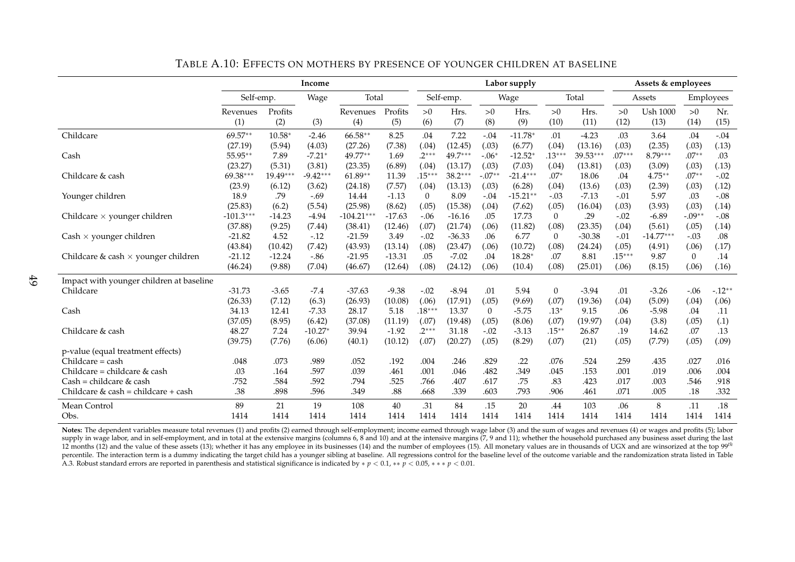|                                            | Income              |                    |                      |                      |                 |                   |                      |                   | Labor supply         |                  | Assets & employees |              |                     |                |                 |
|--------------------------------------------|---------------------|--------------------|----------------------|----------------------|-----------------|-------------------|----------------------|-------------------|----------------------|------------------|--------------------|--------------|---------------------|----------------|-----------------|
|                                            | Self-emp.           |                    | Wage                 | Total                |                 |                   | Self-emp.            |                   | Wage                 |                  | Total              |              | Assets              |                | Employees       |
|                                            | Revenues            | Profits            |                      | Revenues             | Profits         | >0                | Hrs.                 | >0                | Hrs.                 | >0               | Hrs.               | >0           | <b>Ush 1000</b>     | >0             | Nr.             |
|                                            | (1)                 | (2)                | (3)                  | (4)                  | (5)             | (6)               | (7)                  | (8)               | (9)                  | (10)             | (11)               | (12)         | (13)                | (14)           | (15)            |
| Childcare                                  | 69.57**             | $10.58*$           | $-2.46$              | 66.58**              | 8.25            | .04               | 7.22                 | $-.04$            | $-11.78*$            | .01              | $-4.23$            | .03          | 3.64                | .04            | $-.04$          |
|                                            | (27.19)             | (5.94)             | (4.03)               | (27.26)              | (7.38)          | (.04)             | (12.45)              | (.03)             | (6.77)               | (.04)            | (13.16)            | (.03)        | (2.35)              | (.03)          | (.13)           |
| Cash                                       | 55.95**             | 7.89               | $-7.21*$             | 49.77**              | 1.69            | $.2***$           | 49.7***              | $-.06*$           | $-12.52*$            | $.13***$         | $39.53***$         | $.07***$     | 8.79***             | $.07**$        | .03             |
|                                            | (23.27)<br>69.38*** | (5.31)<br>19.49*** | (3.81)<br>$-9.42***$ | (23.35)<br>$61.89**$ | (6.89)          | (.04)<br>$.15***$ | (13.17)<br>$38.2***$ | (.03)<br>$-.07**$ | (7.03)<br>$-21.4***$ | (.04)            | (13.81)            | (.03)        | (3.09)              | (.03)          | (.13)           |
| Childcare & cash                           | (23.9)              | (6.12)             | (3.62)               | (24.18)              | 11.39<br>(7.57) | (.04)             | (13.13)              |                   | (6.28)               | $.07*$<br>(.04)  | 18.06<br>(13.6)    | .04<br>(.03) | $4.75***$<br>(2.39) | $.07**$        | $-.02$<br>(.12) |
| Younger children                           | 18.9                | .79                | $-.69$               | 14.44                | $-1.13$         | $\overline{0}$    | 8.09                 | (.03)<br>$-.04$   | $-15.21**$           | $-.03$           | $-7.13$            | $-.01$       | 5.97                | (.03)<br>.03   | $-.08$          |
|                                            | (25.83)             | (6.2)              | (5.54)               | (25.98)              | (8.62)          | (.05)             | (15.38)              | (.04)             | (7.62)               | (.05)            | (16.04)            | (.03)        | (3.93)              | (.03)          | (.14)           |
| Childcare $\times$ younger children        | $-101.3***$         | $-14.23$           | $-4.94$              | $-104.21***$         | $-17.63$        | $-.06$            | $-16.16$             | .05               | 17.73                | $\theta$         | .29                | $-.02$       | $-6.89$             | $-.09**$       | $-.08$          |
|                                            | (37.88)             | (9.25)             | (7.44)               | (38.41)              | (12.46)         | (.07)             | (21.74)              | (.06)             | (11.82)              | (.08)            | (23.35)            | (.04)        | (5.61)              | (.05)          | (.14)           |
| $Cash \times younger$ children             | $-21.82$            | 4.52               | $-.12$               | $-21.59$             | 3.49            | $-.02$            | $-36.33$             | .06               | 6.77                 | $\overline{0}$   | $-30.38$           | $-.01$       | $-14.77***$         | $-.03$         | .08             |
|                                            | (43.84)             | (10.42)            | (7.42)               | (43.93)              | (13.14)         | (.08)             | (23.47)              | (.06)             | (10.72)              | (.08)            | (24.24)            | (.05)        | (4.91)              | (.06)          | (.17)           |
| Childcare & cash $\times$ younger children | $-21.12$            | $-12.24$           | $-0.86$              | $-21.95$             | $-13.31$        | .05               | $-7.02$              | .04               | 18.28                | .07              | 8.81               | $.15***$     | 9.87                | $\overline{0}$ | .14             |
|                                            | (46.24)             | (9.88)             | (7.04)               | (46.67)              | (12.64)         | (.08)             | (24.12)              | (.06)             | (10.4)               | (.08)            | (25.01)            | (.06)        | (8.15)              | (.06)          | (.16)           |
| Impact with younger children at baseline   |                     |                    |                      |                      |                 |                   |                      |                   |                      |                  |                    |              |                     |                |                 |
| Childcare                                  | $-31.73$            | $-3.65$            | $-7.4$               | $-37.63$             | $-9.38$         | $-.02$            | $-8.94$              | .01               | 5.94                 | $\boldsymbol{0}$ | $-3.94$            | .01          | $-3.26$             | $-.06$         | $-.12**$        |
|                                            | (26.33)             | (7.12)             | (6.3)                | (26.93)              | (10.08)         | (.06)             | (17.91)              | (.05)             | (9.69)               | (.07)            | (19.36)            | (.04)        | (5.09)              | (.04)          | (.06)           |
| Cash                                       | 34.13               | 12.41              | $-7.33$              | 28.17                | 5.18            | $.18***$          | 13.37                | $\overline{0}$    | $-5.75$              | $.13*$           | 9.15               | .06          | $-5.98$             | .04            | .11             |
|                                            | (37.05)             | (8.95)             | (6.42)               | (37.08)              | (11.19)         | (.07)             | (19.48)              | (.05)             | (8.06)               | (.07)            | (19.97)            | (.04)        | (3.8)               | (.05)          | (.1)            |
| Childcare & cash                           | 48.27               | 7.24               | $-10.27*$            | 39.94                | $-1.92$         | $.2***$           | 31.18                | $-.02$            | $-3.13$              | $.15***$         | 26.87              | .19          | 14.62               | .07            | .13             |
|                                            | (39.75)             | (7.76)             | (6.06)               | (40.1)               | (10.12)         | (.07)             | (20.27)              | (.05)             | (8.29)               | (.07)            | (21)               | (.05)        | (7.79)              | (.05)          | (.09)           |
| p-value (equal treatment effects)          |                     |                    |                      |                      |                 |                   |                      |                   |                      |                  |                    |              |                     |                |                 |
| Childcare = cash                           | .048                | .073               | .989                 | .052                 | .192            | .004              | .246                 | .829              | .22                  | .076             | .524               | .259         | .435                | .027           | .016            |
| Childcare = childcare & cash               | .03                 | .164               | .597                 | .039                 | .461            | .001              | .046                 | .482              | .349                 | .045             | .153               | .001         | .019                | .006           | .004            |
| $Cash = children & cash$                   | .752                | .584               | .592                 | .794                 | .525            | .766              | .407                 | .617              | .75                  | .83              | .423               | .017         | .003                | .546           | .918            |
| Childcare & cash = childcare + cash        | .38                 | .898               | .596                 | .349                 | .88             | .668              | .339                 | .603              | .793                 | .906             | .461               | .071         | .005                | .18            | .332            |
| Mean Control                               | 89                  | 21                 | 19                   | 108                  | 40              | .31               | 84                   | .15               | 20                   | .44              | 103                | .06          | 8                   | .11            | .18             |
| Obs.                                       | 1414                | 1414               | 1414                 | 1414                 | 1414            | 1414              | 1414                 | 1414              | 1414                 | 1414             | 1414               | 1414         | 1414                | 1414           | 1414            |

TABLE A.10: EFFECTS ON MOTHERS BY PRESENCE OF YOUNGER CHILDREN AT BASELINE

Notes: The dependent variables measure total revenues (1) and profits (2) earned through self-employment; income earned through wage labor (3) and the sum of wages and revenues (4) or wages and profits (5); labor supply in wage labor, and in self-employment, and in total at the extensive margins (columns 6, 8 and 10) and at the intensive margins (7, 9 and 11); whether the household purchased any business asset during the last suppl  $12$  months (12) and the value of these assets (13); whether it has any employee in its businesses (14) and the number of employees (15). All monetary values are in thousands of UGX and are winsorized at the top  $99<sup>th</sup>$ percentile. The interaction term is a dummy indicating the target child has a younger sibling at baseline. All regressions control for the baseline level of the outcome variable and the randomization strata listed in Table A.3. Robust standard errors are reported in parenthesis and statistical significance is indicated by <sup>∗</sup> *<sup>p</sup>* <sup>&</sup>lt; 0.1, ∗∗ *<sup>p</sup>* <sup>&</sup>lt; 0.05, ∗ ∗ ∗ *<sup>p</sup>* <sup>&</sup>lt; 0.01.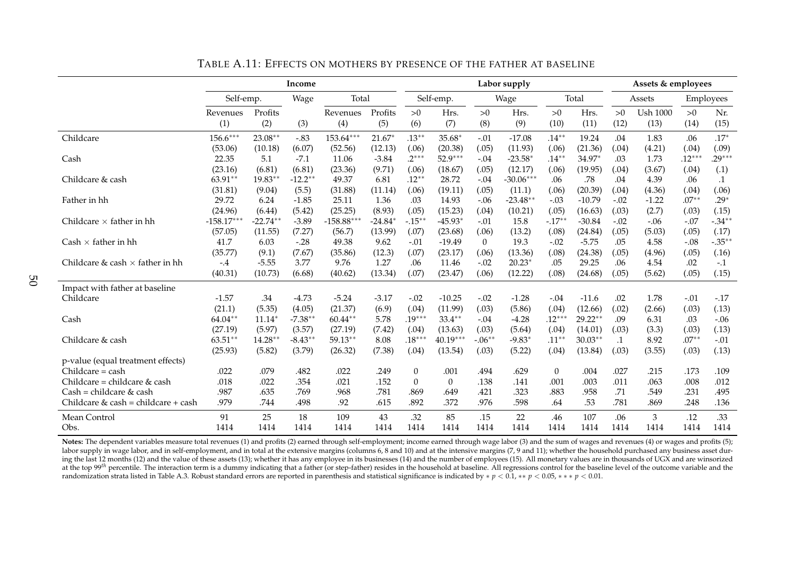|                                        |              | Income     |           |              | Labor supply | Assets & employees |                |                |             |                |           |           |                 |          |           |
|----------------------------------------|--------------|------------|-----------|--------------|--------------|--------------------|----------------|----------------|-------------|----------------|-----------|-----------|-----------------|----------|-----------|
|                                        | Self-emp.    |            | Wage      | Total        |              |                    | Self-emp.      |                | Wage        |                | Total     | Assets    |                 |          | Employees |
|                                        | Revenues     | Profits    |           | Revenues     | Profits      | >0                 | Hrs.           | >0             | Hrs.        | >0             | Hrs.      | >0        | <b>Ush 1000</b> | >0       | Nr.       |
|                                        | (1)          | (2)        | (3)       | (4)          | (5)          | (6)                | (7)            | (8)            | (9)         | (10)           | (11)      | (12)      | (13)            | (14)     | (15)      |
| Childcare                              | $156.6***$   | 23.08**    | $-.83$    | 153.64***    | $21.67*$     | $.13***$           | $35.68*$       | $-.01$         | $-17.08$    | $.14***$       | 19.24     | .04       | 1.83            | .06      | $.17*$    |
|                                        | (53.06)      | (10.18)    | (6.07)    | (52.56)      | (12.13)      | (.06)              | (20.38)        | (.05)          | (11.93)     | (.06)          | (21.36)   | (.04)     | (4.21)          | (.04)    | (.09)     |
| Cash                                   | 22.35        | 5.1        | $-7.1$    | 11.06        | $-3.84$      | $.2***$            | 52.9***        | $-.04$         | $-23.58*$   | $.14**$        | 34.97*    | .03       | 1.73            | $.12***$ | $.29***$  |
|                                        | (23.16)      | (6.81)     | (6.81)    | (23.36)      | (9.71)       | (.06)              | (18.67)        | (.05)          | (12.17)     | (.06)          | (19.95)   | (.04)     | (3.67)          | (.04)    | (.1)      |
| Childcare & cash                       | 63.91**      | $19.83**$  | $-12.2**$ | 49.37        | 6.81         | $.12***$           | 28.72          | $-.04$         | $-30.06***$ | .06            | .78       | .04       | 4.39            | .06      | $\cdot$ 1 |
|                                        | (31.81)      | (9.04)     | (5.5)     | (31.88)      | (11.14)      | (.06)              | (19.11)        | (.05)          | (11.1)      | (.06)          | (20.39)   | (.04)     | (4.36)          | (.04)    | (.06)     |
| Father in hh                           | 29.72        | 6.24       | $-1.85$   | 25.11        | 1.36         | .03                | 14.93          | $-.06$         | $-23.48**$  | $-.03$         | $-10.79$  | $-.02$    | $-1.22$         | $.07**$  | $.29*$    |
|                                        | (24.96)      | (6.44)     | (5.42)    | (25.25)      | (8.93)       | (.05)              | (15.23)        | (.04)          | (10.21)     | (.05)          | (16.63)   | (.03)     | (2.7)           | (.03)    | (.15)     |
| Childcare $\times$ father in hh        | $-158.17***$ | $-22.74**$ | $-3.89$   | $-158.88***$ | $-24.84*$    | $-.15***$          | $-45.93*$      | $-.01$         | 15.8        | $-.17**$       | $-30.84$  | $-.02$    | $-.06$          | $-.07$   | $-.34*$   |
|                                        | (57.05)      | (11.55)    | (7.27)    | (56.7)       | (13.99)      | (.07)              | (23.68)        | (.06)          | (13.2)      | (.08)          | (24.84)   | (.05)     | (5.03)          | (.05)    | (.17)     |
| Cash $\times$ father in hh             | 41.7         | 6.03       | $-.28$    | 49.38        | 9.62         | $-.01$             | $-19.49$       | $\overline{0}$ | 19.3        | $-.02$         | $-5.75$   | .05       | 4.58            | $-.08$   | $-.35**$  |
|                                        | (35.77)      | (9.1)      | (7.67)    | (35.86)      | (12.3)       | (.07)              | (23.17)        | (.06)          | (13.36)     | (.08)          | (24.38)   | (.05)     | (4.96)          | (.05)    | (.16)     |
| Childcare & cash $\times$ father in hh | $-.4$        | $-5.55$    | 3.77      | 9.76         | 1.27         | .06                | 11.46          | $-.02$         | $20.23*$    | .05            | 29.25     | .06       | 4.54            | .02      | $-.1$     |
|                                        | (40.31)      | (10.73)    | (6.68)    | (40.62)      | (13.34)      | (.07)              | (23.47)        | (.06)          | (12.22)     | (.08)          | (24.68)   | (.05)     | (5.62)          | (.05)    | (.15)     |
| Impact with father at baseline         |              |            |           |              |              |                    |                |                |             |                |           |           |                 |          |           |
| Childcare                              | $-1.57$      | .34        | $-4.73$   | $-5.24$      | $-3.17$      | $-.02$             | $-10.25$       | $-.02$         | $-1.28$     | $-.04$         | $-11.6$   | .02       | 1.78            | $-.01$   | $-17$     |
|                                        | (21.1)       | (5.35)     | (4.05)    | (21.37)      | (6.9)        | (.04)              | (11.99)        | (.03)          | (5.86)      | (.04)          | (12.66)   | (.02)     | (2.66)          | (.03)    | (.13)     |
| Cash                                   | 64.04**      | $11.14*$   | $-7.38**$ | $60.44**$    | 5.78         | $.19***$           | $33.4***$      | $-.04$         | $-4.28$     | $.12***$       | 29.22**   | .09       | 6.31            | .03      | $-.06$    |
|                                        | (27.19)      | (5.97)     | (3.57)    | (27.19)      | (7.42)       | (.04)              | (13.63)        | (.03)          | (5.64)      | (.04)          | (14.01)   | (.03)     | (3.3)           | (.03)    | (.13)     |
| Childcare & cash                       | $63.51**$    | $14.28**$  | $-8.43**$ | 59.13**      | 8.08         | $.18***$           | 40.19***       | $-.06**$       | $-9.83*$    | $.11***$       | $30.03**$ | $\cdot$ 1 | 8.92            | $.07**$  | $-.01$    |
|                                        | (25.93)      | (5.82)     | (3.79)    | (26.32)      | (7.38)       | (.04)              | (13.54)        | (.03)          | (5.22)      | (.04)          | (13.84)   | (.03)     | (3.55)          | (.03)    | (.13)     |
| p-value (equal treatment effects)      |              |            |           |              |              |                    |                |                |             |                |           |           |                 |          |           |
| Childcare = cash                       | .022         | .079       | .482      | .022         | .249         | $\boldsymbol{0}$   | .001           | .494           | .629        | $\overline{0}$ | .004      | .027      | .215            | .173     | .109      |
| Childcare = childcare & cash           | .018         | .022       | .354      | .021         | .152         | $\boldsymbol{0}$   | $\overline{0}$ | .138           | .141        | .001           | .003      | .011      | .063            | .008     | .012      |
| $Cash = children & cash$               | .987         | .635       | .769      | .968         | .781         | .869               | .649           | .421           | .323        | .883           | .958      | .71       | .549            | .231     | .495      |
| Childcare & cash = childcare + cash    | .979         | .744       | .498      | .92          | .615         | .892               | .372           | .976           | .598        | .64            | .53       | .781      | .869            | .248     | .136      |
| Mean Control                           | 91           | 25         | 18        | 109          | 43           | .32                | 85             | .15            | 22          | .46            | 107       | .06       | 3               | .12      | .33       |
| Obs.                                   | 1414         | 1414       | 1414      | 1414         | 1414         | 1414               | 1414           | 1414           | 1414        | 1414           | 1414      | 1414      | 1414            | 1414     | 1414      |

TABLE A.11: EFFECTS ON MOTHERS BY PRESENCE OF THE FATHER AT BASELINE

**Notes:** The dependent variables measure total revenues (1) and profits (2) earned through self-employment; income earned through wage labor (3) and the sum of wages and revenues (4) or wages and profits (5); labor supply in wage labor, and in self-employment, and in total at the extensive margins (columns 6, 8 and 10) and at the intensive margins (7, 9 and 11); whether the household purchased any business asset during the last 12 months (12) and the value of these assets (13); whether it has any employee in its businesses (14) and the number of employees (15). All monetary values are in thousands of UGX and are winsorized ing the la at the top 99<sup>th</sup> percentile. The interaction term is a dummy indicating that a father (or step-father) resides in the household at baseline. All regressions control for the baseline level of the outcome variable and the randomization strata listed in Table A.3. Robust standard errors are reported in parenthesis and statistical significance is indicated by ∗ *<sup>p</sup>* < 0.1, ∗∗ *<sup>p</sup>* < 0.05, ∗ ∗ ∗ *<sup>p</sup>* < 0.01.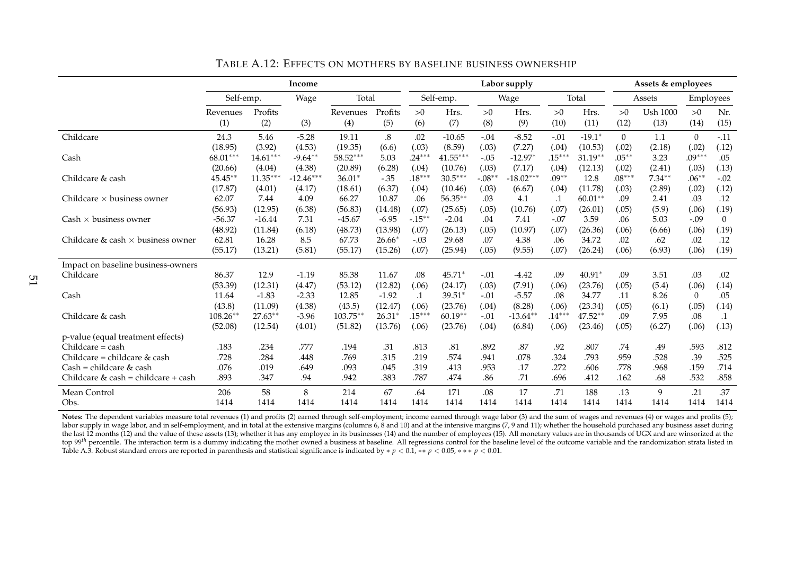|                                          |            |            | Income      |             |          |           |            |          | Labor supply |           |           |          | Assets & employees |           |           |
|------------------------------------------|------------|------------|-------------|-------------|----------|-----------|------------|----------|--------------|-----------|-----------|----------|--------------------|-----------|-----------|
|                                          | Self-emp.  |            | Wage        | Total       |          |           | Self-emp.  |          | Wage         |           | Total     |          | Assets             | Employees |           |
|                                          | Revenues   | Profits    |             | Revenues    | Profits  | >0        | Hrs.       | >0       | Hrs.         | >0        | Hrs.      | >0       | <b>Ush 1000</b>    | >0        | Nr.       |
|                                          | (1)        | (2)        | (3)         | (4)         | (5)      | (6)       | (7)        | (8)      | (9)          | (10)      | (11)      | (12)     | (13)               | (14)      | (15)      |
| Childcare                                | 24.3       | 5.46       | $-5.28$     | 19.11       | $.8\,$   | .02       | $-10.65$   | $-.04$   | $-8.52$      | $-.01$    | $-19.1*$  | $\theta$ | 1.1                | $\theta$  | $-.11$    |
|                                          | (18.95)    | (3.92)     | (4.53)      | (19.35)     | (6.6)    | (.03)     | (8.59)     | (.03)    | (7.27)       | (.04)     | (10.53)   | (.02)    | (2.18)             | (.02)     | (.12)     |
| Cash                                     | 68.01***   | $14.61***$ | $-9.64**$   | 58.52***    | 5.03     | $.24***$  | $41.55***$ | $-.05$   | $-12.97*$    | $.15***$  | $31.19**$ | $.05***$ | 3.23               | $.09***$  | .05       |
|                                          | (20.66)    | (4.04)     | (4.38)      | (20.89)     | (6.28)   | (.04)     | (10.76)    | (.03)    | (7.17)       | (.04)     | (12.13)   | (.02)    | (2.41)             | (.03)     | (.13)     |
| Childcare & cash                         | 45.45**    | $11.35***$ | $-12.46***$ | $36.01*$    | $-.35$   | $.18***$  | $30.5***$  | $-.08**$ | $-18.02***$  | $.09**$   | 12.8      | $.08***$ | $7.34**$           | $.06**$   | $-.02$    |
|                                          | (17.87)    | (4.01)     | (4.17)      | (18.61)     | (6.37)   | (.04)     | (10.46)    | (.03)    | (6.67)       | (.04)     | (11.78)   | (.03)    | (2.89)             | (.02)     | (.12)     |
| Childcare $\times$ business owner        | 62.07      | 7.44       | 4.09        | 66.27       | 10.87    | .06       | $56.35**$  | .03      | 4.1          | $\cdot$ 1 | $60.01**$ | .09      | 2.41               | .03       | .12       |
|                                          | (56.93)    | (12.95)    | (6.38)      | (56.83)     | (14.48)  | (.07)     | (25.65)    | (.05)    | (10.76)      | (.07)     | (26.01)   | (.05)    | (5.9)              | (.06)     | (.19)     |
| $Cash \times business$ owner             | $-56.37$   | $-16.44$   | 7.31        | $-45.67$    | $-6.95$  | $-.15***$ | $-2.04$    | .04      | 7.41         | $-.07$    | 3.59      | .06      | 5.03               | $-.09$    | $\theta$  |
|                                          | (48.92)    | (11.84)    | (6.18)      | (48.73)     | (13.98)  | (.07)     | (26.13)    | (.05)    | (10.97)      | (.07)     | (26.36)   | (.06)    | (6.66)             | (.06)     | (.19)     |
| Childcare & cash $\times$ business owner | 62.81      | 16.28      | 8.5         | 67.73       | $26.66*$ | $-.03$    | 29.68      | .07      | 4.38         | .06       | 34.72     | .02      | .62                | .02       | .12       |
|                                          | (55.17)    | (13.21)    | (5.81)      | (55.17)     | (15.26)  | (.07)     | (25.94)    | (.05)    | (9.55)       | (.07)     | (26.24)   | (.06)    | (6.93)             | (.06)     | (.19)     |
| Impact on baseline business-owners       |            |            |             |             |          |           |            |          |              |           |           |          |                    |           |           |
| Childcare                                | 86.37      | 12.9       | $-1.19$     | 85.38       | 11.67    | .08       | $45.71*$   | $-.01$   | $-4.42$      | .09       | $40.91*$  | .09      | 3.51               | .03       | .02       |
|                                          | (53.39)    | (12.31)    | (4.47)      | (53.12)     | (12.82)  | (.06)     | (24.17)    | (.03)    | (7.91)       | (.06)     | (23.76)   | (.05)    | (5.4)              | (.06)     | (.14)     |
| Cash                                     | 11.64      | $-1.83$    | $-2.33$     | 12.85       | $-1.92$  | $\cdot$ 1 | $39.51*$   | $-.01$   | $-5.57$      | .08       | 34.77     | .11      | 8.26               | $\theta$  | .05       |
|                                          | (43.8)     | (11.09)    | (4.38)      | (43.5)      | (12.47)  | (.06)     | (23.76)    | (.04)    | (8.28)       | (.06)     | (23.34)   | (.05)    | (6.1)              | (.05)     | (.14)     |
| Childcare & cash                         | $108.26**$ | $27.63**$  | $-3.96$     | $103.75***$ | $26.31*$ | $.15***$  | $60.19**$  | $-.01$   | $-13.64*$    | $.14***$  | $47.52**$ | .09      | 7.95               | .08       | $\cdot$ 1 |
|                                          | (52.08)    | (12.54)    | (4.01)      | (51.82)     | (13.76)  | (.06)     | (23.76)    | (.04)    | (6.84)       | (.06)     | (23.46)   | (.05)    | (6.27)             | (.06)     | (.13)     |
| p-value (equal treatment effects)        |            |            |             |             |          |           |            |          |              |           |           |          |                    |           |           |
| Childcare = cash                         | .183       | .234       | .777        | .194        | .31      | .813      | .81        | .892     | .87          | .92       | .807      | .74      | .49                | .593      | .812      |
| Childcare = childcare & cash             | .728       | .284       | .448        | .769        | .315     | .219      | .574       | .941     | .078         | .324      | .793      | .959     | .528               | .39       | .525      |
| $Cash = children & cash$                 | .076       | .019       | .649        | .093        | .045     | .319      | .413       | .953     | .17          | .272      | .606      | .778     | .968               | .159      | .714      |
| Childcare & cash = childcare + cash      | .893       | .347       | .94         | .942        | .383     | .787      | .474       | .86      | .71          | .696      | .412      | .162     | .68                | .532      | .858      |
| Mean Control                             | 206        | 58         | 8           | 214         | 67       | .64       | 171        | .08      | 17           | .71       | 188       | .13      | 9                  | .21       | .37       |
| Obs.                                     | 1414       | 1414       | 1414        | 1414        | 1414     | 1414      | 1414       | 1414     | 1414         | 1414      | 1414      | 1414     | 1414               | 1414      | 1414      |

TABLE A.12: EFFECTS ON MOTHERS BY BASELINE BUSINESS OWNERSHIP

**Notes:** The dependent variables measure total revenues (1) and profits (2) earned through self-employment; income earned through wage labor (3) and the sum of wages and revenues (4) or wages and profits (5); labor supply in wage labor, and in self-employment, and in total at the extensive margins (columns 6, 8 and 10) and at the intensive margins (7, 9 and 11); whether the household purchased any business asset during the last 12 months (12) and the value of these assets (13); whether it has any employee in its businesses (14) and the number of employees (15). All monetary values are in thousands of UGX and are winsorized at the top 99<sup>th</sup> percentile. The interaction term is a dummy indicating the mother owned a business at baseline. All regressions control for the baseline level of the outcome variable and the randomization strata listed in Table A.3. Robust standard errors are reported in parenthesis and statistical significance is indicated by ∗ *<sup>p</sup>* < 0.1, ∗∗ *<sup>p</sup>* < 0.05, ∗ ∗ ∗ *<sup>p</sup>* < 0.01.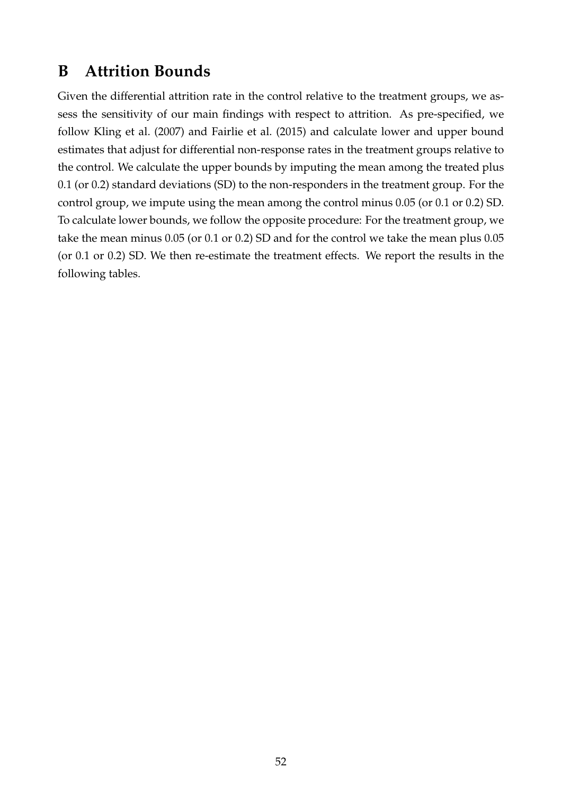# **B Attrition Bounds**

Given the differential attrition rate in the control relative to the treatment groups, we assess the sensitivity of our main findings with respect to attrition. As pre-specified, we follow Kling et al. (2007) and Fairlie et al. (2015) and calculate lower and upper bound estimates that adjust for differential non-response rates in the treatment groups relative to the control. We calculate the upper bounds by imputing the mean among the treated plus 0.1 (or 0.2) standard deviations (SD) to the non-responders in the treatment group. For the control group, we impute using the mean among the control minus 0.05 (or 0.1 or 0.2) SD. To calculate lower bounds, we follow the opposite procedure: For the treatment group, we take the mean minus 0.05 (or 0.1 or 0.2) SD and for the control we take the mean plus 0.05 (or 0.1 or 0.2) SD. We then re-estimate the treatment effects. We report the results in the following tables.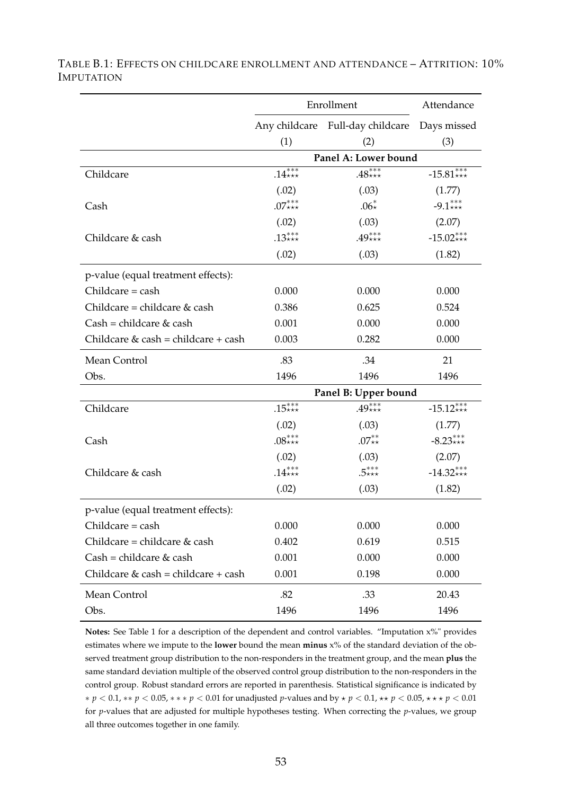|                                       |          | Enrollment                                   | Attendance  |
|---------------------------------------|----------|----------------------------------------------|-------------|
|                                       |          | Any childcare Full-day childcare Days missed |             |
|                                       | (1)      | (2)                                          | (3)         |
|                                       |          | Panel A: Lower bound                         |             |
| Childcare                             | $.14***$ | $.48***$                                     | $-15.81***$ |
|                                       | (.02)    | (.03)                                        | (1.77)      |
| Cash                                  | $.07***$ | $.06*$                                       | $-9.1***$   |
|                                       | (.02)    | (.03)                                        | (2.07)      |
| Childcare & cash                      | $.13***$ | $.49***$                                     | $-15.02***$ |
|                                       | (.02)    | (.03)                                        | (1.82)      |
| p-value (equal treatment effects):    |          |                                              |             |
| $Childcare = cash$                    | 0.000    | 0.000                                        | 0.000       |
| Childcare = childcare $&$ cash        | 0.386    | 0.625                                        | 0.524       |
| $Cash = children & cash$              | 0.001    | 0.000                                        | 0.000       |
| Childcare $&$ cash = childcare + cash | 0.003    | 0.282                                        | 0.000       |
| Mean Control                          | .83      | .34                                          | 21          |
| Obs.                                  | 1496     | 1496                                         | 1496        |
|                                       |          | Panel B: Upper bound                         |             |
| Childcare                             | $.15***$ | $.49***$                                     | $-15.12***$ |
|                                       | (.02)    | (.03)                                        | (1.77)      |
| Cash                                  | $.08***$ | $.07^{**}_{**}$                              | $-8.23***$  |
|                                       | (.02)    | (.03)                                        | (2.07)      |
| Childcare & cash                      | $.14***$ | $.5***$                                      | $-14.32***$ |
|                                       | (.02)    | (.03)                                        | (1.82)      |
| p-value (equal treatment effects):    |          |                                              |             |
| Childcare = cash                      | 0.000    | 0.000                                        | 0.000       |
| Childcare = childcare $&$ cash        | 0.402    | 0.619                                        | 0.515       |
| $Cash = children & cash$              | 0.001    | 0.000                                        | 0.000       |
| Childcare $&$ cash = childcare + cash | 0.001    | 0.198                                        | 0.000       |
| Mean Control                          | .82      | .33                                          | 20.43       |
| Obs.                                  | 1496     | 1496                                         | 1496        |

TABLE B.1: EFFECTS ON CHILDCARE ENROLLMENT AND ATTENDANCE – ATTRITION: 10% IMPUTATION

**Notes:** See Table 1 for a description of the dependent and control variables. "Imputation x%" provides estimates where we impute to the **lower** bound the mean **minus** x% of the standard deviation of the observed treatment group distribution to the non-responders in the treatment group, and the mean **plus** the same standard deviation multiple of the observed control group distribution to the non-responders in the control group. Robust standard errors are reported in parenthesis. Statistical significance is indicated by ∗ *p* < 0.1, ∗∗ *p* < 0.05, ∗ ∗ ∗ *p* < 0.01 for unadjusted *p*-values and by ⋆ *p* < 0.1, ⋆⋆ *p* < 0.05, ⋆ ⋆ ⋆ *p* < 0.01 for *p*-values that are adjusted for multiple hypotheses testing. When correcting the *p*-values, we group all three outcomes together in one family.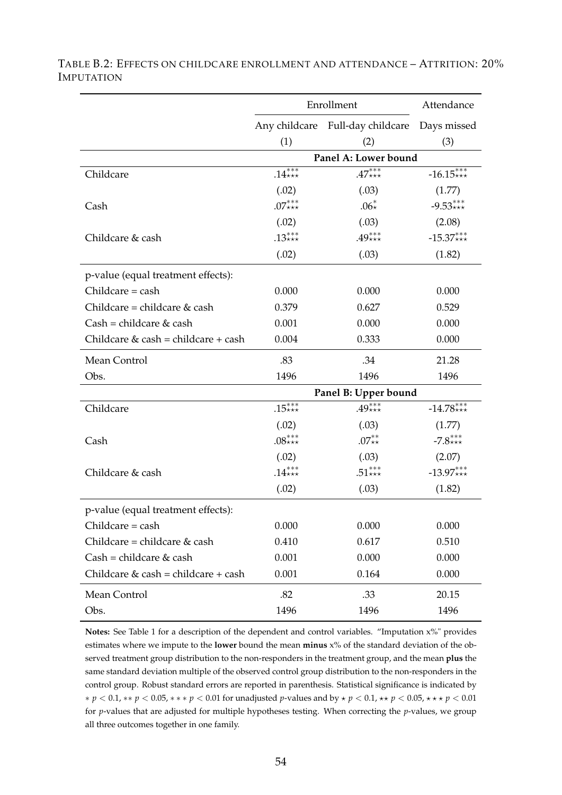|                                       |          | Enrollment                                   | Attendance  |
|---------------------------------------|----------|----------------------------------------------|-------------|
|                                       |          | Any childcare Full-day childcare Days missed |             |
|                                       | (1)      | (2)                                          | (3)         |
|                                       |          | Panel A: Lower bound                         |             |
| Childcare                             | $.14***$ | $.47***$                                     | $-16.15***$ |
|                                       | (.02)    | (.03)                                        | (1.77)      |
| Cash                                  | $.07***$ | $.06*$                                       | $-9.53***$  |
|                                       | (.02)    | (.03)                                        | (2.08)      |
| Childcare & cash                      | .13***   | $.49***$                                     | $-15.37***$ |
|                                       | (.02)    | (.03)                                        | (1.82)      |
| p-value (equal treatment effects):    |          |                                              |             |
| $Childcare = cash$                    | 0.000    | 0.000                                        | 0.000       |
| Childcare = childcare $&$ cash        | 0.379    | 0.627                                        | 0.529       |
| $Cash = children & cash$              | 0.001    | 0.000                                        | 0.000       |
| Childcare $&$ cash = childcare + cash | 0.004    | 0.333                                        | 0.000       |
| Mean Control                          | .83      | .34                                          | 21.28       |
| Obs.                                  | 1496     | 1496                                         | 1496        |
|                                       |          | Panel B: Upper bound                         |             |
| Childcare                             | $.15***$ | $.49^{***}_{***}$                            | $-14.78***$ |
|                                       | (.02)    | (.03)                                        | (1.77)      |
| Cash                                  | $.08***$ | $.07^{**}_{**}$                              | $-7.8***$   |
|                                       | (.02)    | (.03)                                        | (2.07)      |
| Childcare & cash                      | $.14***$ | $.51***$                                     | $-13.97***$ |
|                                       | (.02)    | (.03)                                        | (1.82)      |
| p-value (equal treatment effects):    |          |                                              |             |
| Childcare = cash                      | 0.000    | 0.000                                        | 0.000       |
| Childcare = childcare $&$ cash        | 0.410    | 0.617                                        | 0.510       |
| $Cash = children & cash$              | 0.001    | 0.000                                        | 0.000       |
| Childcare $&$ cash = childcare + cash | 0.001    | 0.164                                        | 0.000       |
| Mean Control                          | .82      | .33                                          | 20.15       |
| Obs.                                  | 1496     | 1496                                         | 1496        |

TABLE B.2: EFFECTS ON CHILDCARE ENROLLMENT AND ATTENDANCE – ATTRITION: 20% IMPUTATION

**Notes:** See Table 1 for a description of the dependent and control variables. "Imputation x%" provides estimates where we impute to the **lower** bound the mean **minus** x% of the standard deviation of the observed treatment group distribution to the non-responders in the treatment group, and the mean **plus** the same standard deviation multiple of the observed control group distribution to the non-responders in the control group. Robust standard errors are reported in parenthesis. Statistical significance is indicated by ∗ *p* < 0.1, ∗∗ *p* < 0.05, ∗ ∗ ∗ *p* < 0.01 for unadjusted *p*-values and by ⋆ *p* < 0.1, ⋆⋆ *p* < 0.05, ⋆ ⋆ ⋆ *p* < 0.01 for *p*-values that are adjusted for multiple hypotheses testing. When correcting the *p*-values, we group all three outcomes together in one family.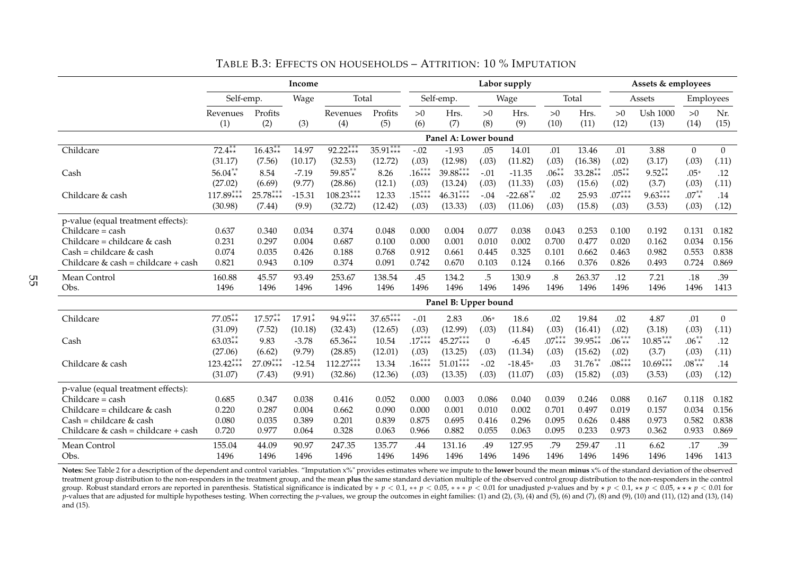|                                       |             |                   | Income   |             |            |          |                      |                | Labor supply |          |           |          | Assets & employees |                |                  |
|---------------------------------------|-------------|-------------------|----------|-------------|------------|----------|----------------------|----------------|--------------|----------|-----------|----------|--------------------|----------------|------------------|
|                                       | Self-emp.   |                   | Wage     | Total       |            |          | Self-emp.            |                | Wage         |          | Total     |          | Assets             | Employees      |                  |
|                                       | Revenues    | Profits           |          | Revenues    | Profits    | >0       | Hrs.                 | >0             | Hrs.         | >0       | Hrs.      | >0       | <b>Ush 1000</b>    | >0             | Nr.              |
|                                       | (1)         | (2)               | (3)      | (4)         | (5)        | (6)      | (7)                  | (8)            | (9)          | (10)     | (11)      | (12)     | (13)               | (14)           | (15)             |
|                                       |             |                   |          |             |            |          | Panel A: Lower bound |                |              |          |           |          |                    |                |                  |
| Childcare                             | $72.4**$    | $16.43**$         | 14.97    | 92.22***    | $35.91***$ | $-.02$   | $-1.93$              | .05            | 14.01        | .01      | 13.46     | .01      | 3.88               | $\overline{0}$ | $\theta$         |
|                                       | (31.17)     | (7.56)            | (10.17)  | (32.53)     | (12.72)    | (.03)    | (12.98)              | (.03)          | (11.82)      | (.03)    | (16.38)   | (.02)    | (3.17)             | (.03)          | (.11)            |
| Cash                                  | $56.04**$   | 8.54              | $-7.19$  | $59.85**$   | 8.26       | $.16***$ | 39.88 ***            | $-.01$         | $-11.35$     | .06 $**$ | $33.28**$ | $.05**$  | $9.52**$           | $.05*$         | .12              |
|                                       | (27.02)     | (6.69)            | (9.77)   | (28.86)     | (12.1)     | (.03)    | (13.24)              | (.03)          | (11.33)      | (.03)    | (15.6)    | (.02)    | (3.7)              | (.03)          | (.11)            |
| Childcare & cash                      | $117.89***$ | $25.78***$        | $-15.31$ | $108.23***$ | 12.33      | $.15***$ | $46.31***$           | $-.04$         | $-22.68**$   | .02      | 25.93     | $.07***$ | $9.63***$          | $.07^{**}$     | .14              |
|                                       | (30.98)     | (7.44)            | (9.9)    | (32.72)     | (12.42)    | (.03)    | (13.33)              | (.03)          | (11.06)      | (.03)    | (15.8)    | (.03)    | (3.53)             | (.03)          | (.12)            |
| p-value (equal treatment effects):    |             |                   |          |             |            |          |                      |                |              |          |           |          |                    |                |                  |
| $Childcare = cash$                    | 0.637       | 0.340             | 0.034    | 0.374       | 0.048      | 0.000    | 0.004                | 0.077          | 0.038        | 0.043    | 0.253     | 0.100    | 0.192              | 0.131          | 0.182            |
| Childcare = childcare & cash          | 0.231       | 0.297             | 0.004    | 0.687       | 0.100      | 0.000    | 0.001                | 0.010          | 0.002        | 0.700    | 0.477     | 0.020    | 0.162              | 0.034          | 0.156            |
| $Cash = children & cash$              | 0.074       | 0.035             | 0.426    | 0.188       | 0.768      | 0.912    | 0.661                | 0.445          | 0.325        | 0.101    | 0.662     | 0.463    | 0.982              | 0.553          | 0.838            |
| Childcare $&$ cash = childcare + cash | 0.821       | 0.943             | 0.109    | 0.374       | 0.091      | 0.742    | 0.670                | 0.103          | 0.124        | 0.166    | 0.376     | 0.826    | 0.493              | 0.724          | 0.869            |
| Mean Control                          | 160.88      | 45.57             | 93.49    | 253.67      | 138.54     | .45      | 134.2                | .5             | 130.9        | $.8\,$   | 263.37    | .12      | 7.21               | .18            | .39              |
| Obs.                                  | 1496        | 1496              | 1496     | 1496        | 1496       | 1496     | 1496                 | 1496           | 1496         | 1496     | 1496      | 1496     | 1496               | 1496           | 1413             |
|                                       |             |                   |          |             |            |          | Panel B: Upper bound |                |              |          |           |          |                    |                |                  |
| Childcare                             | $77.05**$   | $17.57^{**}_{**}$ | $17.91*$ | $94.9***$   | $37.65***$ | $-.01$   | 2.83                 | $.06*$         | 18.6         | .02      | 19.84     | .02      | 4.87               | .01            | $\boldsymbol{0}$ |
|                                       | (31.09)     | (7.52)            | (10.18)  | (32.43)     | (12.65)    | (.03)    | (12.99)              | (.03)          | (11.84)      | (.03)    | (16.41)   | (.02)    | (3.18)             | (.03)          | (.11)            |
| Cash                                  | $63.03**$   | 9.83              | $-3.78$  | $65.36**$   | 10.54      | $.17***$ | $45.27***$           | $\overline{0}$ | $-6.45$      | $.07***$ | $39.95**$ | $.06***$ | $10.85***$         | $.06^{**}$     | .12              |
|                                       | (27.06)     | (6.62)            | (9.79)   | (28.85)     | (12.01)    | (.03)    | (13.25)              | (.03)          | (11.34)      | (.03)    | (15.62)   | (.02)    | (3.7)              | (.03)          | (.11)            |
| Childcare & cash                      | $123.42***$ | $27.09***$        | $-12.54$ | $112.27***$ | 13.34      | $.16***$ | $51.01***$           | $-.02$         | $-18.45*$    | .03      | $31.76**$ | $.08***$ | $10.69***$         | $.08***$       | .14              |
|                                       | (31.07)     | (7.43)            | (9.91)   | (32.86)     | (12.36)    | (.03)    | (13.35)              | (.03)          | (11.07)      | (.03)    | (15.82)   | (.03)    | (3.53)             | (.03)          | (.12)            |
| p-value (equal treatment effects):    |             |                   |          |             |            |          |                      |                |              |          |           |          |                    |                |                  |
| Childcare = cash                      | 0.685       | 0.347             | 0.038    | 0.416       | 0.052      | 0.000    | 0.003                | 0.086          | 0.040        | 0.039    | 0.246     | 0.088    | 0.167              | 0.118          | 0.182            |
| Childcare = childcare $&$ cash        | 0.220       | 0.287             | 0.004    | 0.662       | 0.090      | 0.000    | 0.001                | 0.010          | 0.002        | 0.701    | 0.497     | 0.019    | 0.157              | 0.034          | 0.156            |
| $Cash = children & cash$              | 0.080       | 0.035             | 0.389    | 0.201       | 0.839      | 0.875    | 0.695                | 0.416          | 0.296        | 0.095    | 0.626     | 0.488    | 0.973              | 0.582          | 0.838            |
| Childcare & cash = childcare + cash   | 0.720       | 0.977             | 0.064    | 0.328       | 0.063      | 0.966    | 0.882                | 0.055          | 0.063        | 0.095    | 0.233     | 0.973    | 0.362              | 0.933          | 0.869            |
| Mean Control                          | 155.04      | 44.09             | 90.97    | 247.35      | 135.77     | .44      | 131.16               | .49            | 127.95       | .79      | 259.47    | .11      | 6.62               | .17            | .39              |
| Obs.                                  | 1496        | 1496              | 1496     | 1496        | 1496       | 1496     | 1496                 | 1496           | 1496         | 1496     | 1496      | 1496     | 1496               | 1496           | 1413             |

TABLE B.3: EFFECTS ON HOUSEHOLDS – ATTRITION: 10 % IMPUTATION

Notes: See Table 2 for a description of the dependent and control variables. "Imputation x%" provides estimates where we impute to the lower bound the mean minus x% of the standard deviation of the observed treatment group distribution to the non-responders in the treatment group, and the mean **plus** the same standard deviation multiple of the observed control group distribution to the non-responders in the control group. Robust standard errors are reported in parenthesis. Statistical significance is indicated by \* p < 0.1, \*\* p < 0.05, \*\*\* p < 0.01 for unadjusted p-values and by \* p < 0.1, \*\* p < 0.05, \*\*\* p < 0.05, \*\*\* p < 0.05, \*  $p$ -values that are adjusted for multiple hypotheses testing. When correcting the p-values, we group the outcomes in eight families: (1) and (2), (3), (4) and (5), (6) and (7), (8) and (7), (8) and (11), (12) and (11), (1 and (15).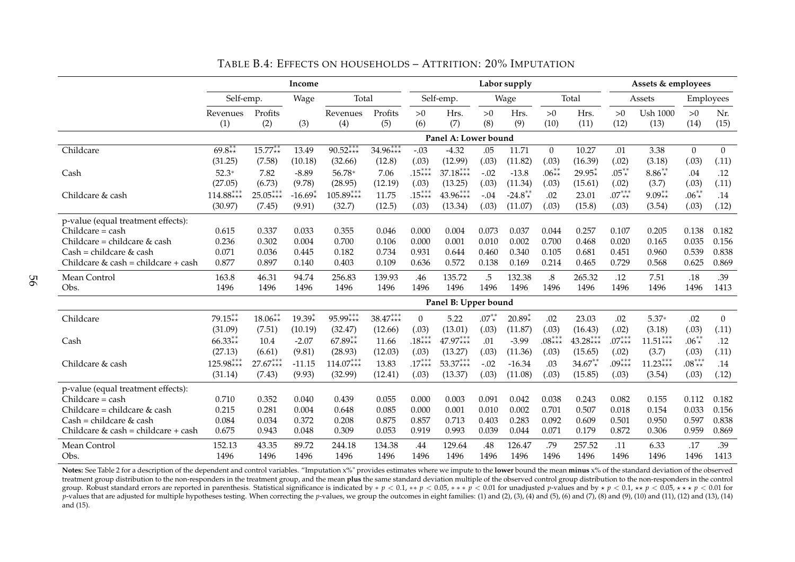|                                       | Income<br>Total<br>Self-emp. |            |           |             |            | Labor supply   |                      |            |           |                   |              | Assets & employees |                 |                |                  |
|---------------------------------------|------------------------------|------------|-----------|-------------|------------|----------------|----------------------|------------|-----------|-------------------|--------------|--------------------|-----------------|----------------|------------------|
|                                       |                              |            | Wage      |             |            |                | Self-emp.            |            | Wage      |                   | Total        |                    | Assets          | Employees      |                  |
|                                       | Revenues                     | Profits    |           | Revenues    | Profits    | >0             | Hrs.                 | >0         | Hrs.      | >0                | Hrs.         | >0                 | <b>Ush 1000</b> | >0             | Nr.              |
|                                       | (1)                          | (2)        | (3)       | (4)         | (5)        | (6)            | (7)                  | (8)        | (9)       | (10)              | (11)         | (12)               | (13)            | (14)           | (15)             |
|                                       |                              |            |           |             |            |                | Panel A: Lower bound |            |           |                   |              |                    |                 |                |                  |
| Childcare                             | $69.8**$                     | $15.77**$  | 13.49     | $90.52***$  | $34.96***$ | $-.03$         | $-4.32$              | .05        | 11.71     | $\theta$          | 10.27        | .01                | 3.38            | $\overline{0}$ | $\theta$         |
|                                       | (31.25)                      | (7.58)     | (10.18)   | (32.66)     | (12.8)     | (.03)          | (12.99)              | (.03)      | (11.82)   | (.03)             | (16.39)      | (.02)              | (3.18)          | (.03)          | (.11)            |
| Cash                                  | $52.3*$                      | 7.82       | $-8.89$   | 56.78*      | 7.06       | $.15***$       | $37.18***$           | $-.02$     | $-13.8$   | $.06**$           | $29.95*$     | $.05**$            | $8.86**$        | .04            | .12              |
|                                       | (27.05)                      | (6.73)     | (9.78)    | (28.95)     | (12.19)    | (.03)          | (13.25)              | (.03)      | (11.34)   | (.03)             | (15.61)      | (.02)              | (3.7)           | (.03)          | (.11)            |
| Childcare & cash                      | $114.88***$                  | $25.05***$ | $-16.69*$ | $105.89***$ | 11.75      | $.15***$       | $43.96***$           | $-.04$     | $-24.8**$ | .02               | 23.01        | $.07***$           | $9.09**$        | $.06^{**}$     | .14              |
|                                       | (30.97)                      | (7.45)     | (9.91)    | (32.7)      | (12.5)     | (.03)          | (13.34)              | (.03)      | (11.07)   | (.03)             | (15.8)       | (.03)              | (3.54)          | (.03)          | (.12)            |
| p-value (equal treatment effects):    |                              |            |           |             |            |                |                      |            |           |                   |              |                    |                 |                |                  |
| $Childcare = cash$                    | 0.615                        | 0.337      | 0.033     | 0.355       | 0.046      | 0.000          | 0.004                | 0.073      | 0.037     | 0.044             | 0.257        | 0.107              | 0.205           | 0.138          | 0.182            |
| Childcare = childcare & cash          | 0.236                        | 0.302      | 0.004     | 0.700       | 0.106      | 0.000          | 0.001                | 0.010      | 0.002     | 0.700             | 0.468        | 0.020              | 0.165           | 0.035          | 0.156            |
| $Cash = children & cash$              | 0.071                        | 0.036      | 0.445     | 0.182       | 0.734      | 0.931          | 0.644                | 0.460      | 0.340     | 0.105             | 0.681        | 0.451              | 0.960           | 0.539          | 0.838            |
| Childcare $&$ cash = childcare + cash | 0.877                        | 0.897      | 0.140     | 0.403       | 0.109      | 0.636          | 0.572                | 0.138      | 0.169     | 0.214             | 0.465        | 0.729              | 0.568           | 0.625          | 0.869            |
| Mean Control                          | 163.8                        | 46.31      | 94.74     | 256.83      | 139.93     | .46            | 135.72               | .5         | 132.38    | $\boldsymbol{.8}$ | 265.32       | .12                | 7.51            | .18            | .39              |
| Obs.                                  | 1496                         | 1496       | 1496      | 1496        | 1496       | 1496           | 1496                 | 1496       | 1496      | 1496              | 1496         | 1496               | 1496            | 1496           | 1413             |
|                                       |                              |            |           |             |            |                | Panel B: Upper bound |            |           |                   |              |                    |                 |                |                  |
| Childcare                             | $79.15**$                    | $18.06**$  | $19.39*$  | 95.99 ***   | $38.47***$ | $\overline{0}$ | 5.22                 | $.07^{**}$ | $20.89*$  | .02               | 23.03        | .02                | $5.37*$         | .02            | $\boldsymbol{0}$ |
|                                       | (31.09)                      | (7.51)     | (10.19)   | (32.47)     | (12.66)    | (.03)          | (13.01)              | (.03)      | (11.87)   | (.03)             | (16.43)      | (.02)              | (3.18)          | (.03)          | (.11)            |
| Cash                                  | $66.33**$                    | 10.4       | $-2.07$   | $67.89**$   | 11.66      | $.18***$       | $47.97***$           | .01        | $-3.99$   | $.08***$          | $43.28***$   | $.07***$           | $11.51***$      | $.06^{**}$     | .12              |
|                                       | (27.13)                      | (6.61)     | (9.81)    | (28.93)     | (12.03)    | (.03)          | (13.27)              | (.03)      | (11.36)   | (.03)             | (15.65)      | (.02)              | (3.7)           | (.03)          | (.11)            |
| Childcare & cash                      | $125.98***$                  | $27.67***$ | $-11.15$  | $114.07***$ | 13.83      | $.17***$       | $53.37***$           | $-.02$     | $-16.34$  | .03               | $34.67^{**}$ | $.09***$           | $11.23***$      | $.08***$       | .14              |
|                                       | (31.14)                      | (7.43)     | (9.93)    | (32.99)     | (12.41)    | (.03)          | (13.37)              | (.03)      | (11.08)   | (.03)             | (15.85)      | (.03)              | (3.54)          | (.03)          | (.12)            |
| p-value (equal treatment effects):    |                              |            |           |             |            |                |                      |            |           |                   |              |                    |                 |                |                  |
| Childcare = cash                      | 0.710                        | 0.352      | 0.040     | 0.439       | 0.055      | 0.000          | 0.003                | 0.091      | 0.042     | 0.038             | 0.243        | 0.082              | 0.155           | 0.112          | 0.182            |
| Childcare = childcare $&$ cash        | 0.215                        | 0.281      | 0.004     | 0.648       | 0.085      | 0.000          | 0.001                | 0.010      | 0.002     | 0.701             | 0.507        | 0.018              | 0.154           | 0.033          | 0.156            |
| $Cash = children & cash$              | 0.084                        | 0.034      | 0.372     | 0.208       | 0.875      | 0.857          | 0.713                | 0.403      | 0.283     | 0.092             | 0.609        | 0.501              | 0.950           | 0.597          | 0.838            |
| Childcare & cash = childcare + cash   | 0.675                        | 0.943      | 0.048     | 0.309       | 0.053      | 0.919          | 0.993                | 0.039      | 0.044     | 0.071             | 0.179        | 0.872              | 0.306           | 0.959          | 0.869            |
| Mean Control                          | 152.13                       | 43.35      | 89.72     | 244.18      | 134.38     | .44            | 129.64               | .48        | 126.47    | .79               | 257.52       | .11                | 6.33            | .17            | .39              |
| Obs.                                  | 1496                         | 1496       | 1496      | 1496        | 1496       | 1496           | 1496                 | 1496       | 1496      | 1496              | 1496         | 1496               | 1496            | 1496           | 1413             |

TABLE B.4: EFFECTS ON HOUSEHOLDS – ATTRITION: 20% IMPUTATION

Notes: See Table 2 for a description of the dependent and control variables. "Imputation x%" provides estimates where we impute to the lower bound the mean minus x% of the standard deviation of the observed treatment group distribution to the non-responders in the treatment group, and the mean **plus** the same standard deviation multiple of the observed control group distribution to the non-responders in the control group. Robust standard errors are reported in parenthesis. Statistical significance is indicated by \* p < 0.1, \*\* p < 0.05, \*\*\* p < 0.01 for unadjusted p-values and by \* p < 0.1, \*\* p < 0.05, \*\*\* p < 0.05, \*\*\* p < 0.05, \*  $p$ -values that are adjusted for multiple hypotheses testing. When correcting the p-values, we group the outcomes in eight families: (1) and (2), (3), (4) and (5), (6) and (7), (8) and (7), (8) and (11), (12) and (11), (1 and (15).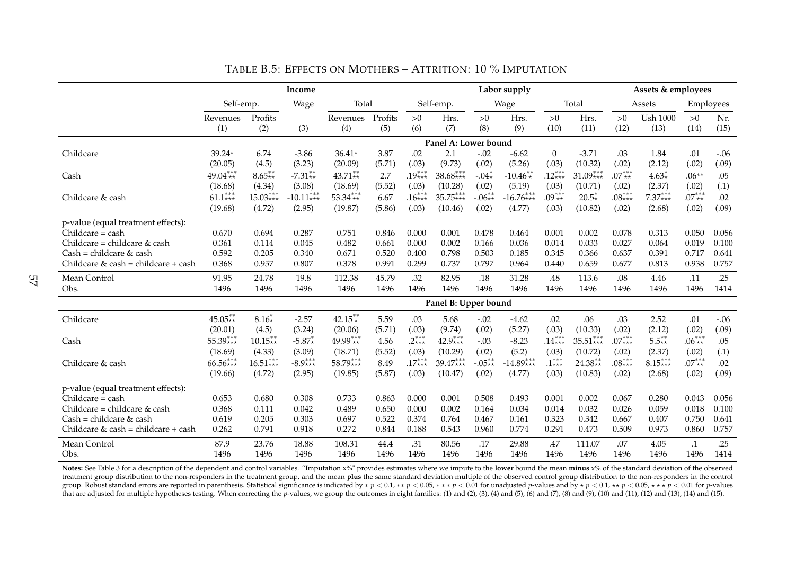|                                     |                 |                  | Income      |                 |                |           |                      |           | Labor supply |                |              |            | Assets & employees      |            |             |
|-------------------------------------|-----------------|------------------|-------------|-----------------|----------------|-----------|----------------------|-----------|--------------|----------------|--------------|------------|-------------------------|------------|-------------|
|                                     | Self-emp.       |                  | Wage        | Total           |                |           | Self-emp.            |           | Wage         |                | Total        |            | Assets                  | Employees  |             |
|                                     | Revenues<br>(1) | Profits<br>(2)   | (3)         | Revenues<br>(4) | Profits<br>(5) | >0<br>(6) | Hrs.<br>(7)          | >0<br>(8) | Hrs.<br>(9)  | >0<br>(10)     | Hrs.<br>(11) | >0<br>(12) | <b>Ush 1000</b><br>(13) | >0<br>(14) | Nr.<br>(15) |
|                                     |                 |                  |             |                 |                |           | Panel A: Lower bound |           |              |                |              |            |                         |            |             |
| Childcare                           | 39.24*          | 6.74             | $-3.86$     | $36.41*$        | 3.87           | .02       | 2.1                  | $-.02$    | $-6.62$      | $\overline{0}$ | $-3.71$      | .03        | 1.84                    | .01        | $-.06$      |
|                                     | (20.05)         | (4.5)            | (3.23)      | (20.09)         | (5.71)         | (.03)     | (9.73)               | (.02)     | (5.26)       | (.03)          | (10.32)      | (.02)      | (2.12)                  | (.02)      | (.09)       |
| Cash                                | 49.04***        | $8.65^{**}_{**}$ | $-7.31**$   | $43.71**$       | 2.7            | $.19***$  | $38.68***$           | $-.04*$   | $-10.46**$   | $.12***$       | $31.09***$   | $.07***$   | $4.63*$                 | $.06**$    | .05         |
|                                     | (18.68)         | (4.34)           | (3.08)      | (18.69)         | (5.52)         | (.03)     | (10.28)              | (.02)     | (5.19)       | (.03)          | (10.71)      | (.02)      | (2.37)                  | (.02)      | (.1)        |
| Childcare & cash                    | $61.1***$       | $15.03***$       | $-10.11***$ | $53.34***$      | 6.67           | $.16***$  | $35.75***$           | $-.06**$  | $-16.76***$  | $.09***$       | $20.5*$      | $.08***$   | $7.37***$               | $.07***$   | .02         |
|                                     | (19.68)         | (4.72)           | (2.95)      | (19.87)         | (5.86)         | (.03)     | (10.46)              | (.02)     | (4.77)       | (.03)          | (10.82)      | (.02)      | (2.68)                  | (.02)      | (.09)       |
| p-value (equal treatment effects):  |                 |                  |             |                 |                |           |                      |           |              |                |              |            |                         |            |             |
| Childcare = cash                    | 0.670           | 0.694            | 0.287       | 0.751           | 0.846          | 0.000     | 0.001                | 0.478     | 0.464        | 0.001          | 0.002        | 0.078      | 0.313                   | 0.050      | 0.056       |
| Childcare = childcare & cash        | 0.361           | 0.114            | 0.045       | 0.482           | 0.661          | 0.000     | 0.002                | 0.166     | 0.036        | 0.014          | 0.033        | 0.027      | 0.064                   | 0.019      | 0.100       |
| $Cash = children & cash$            | 0.592           | 0.205            | 0.340       | 0.671           | 0.520          | 0.400     | 0.798                | 0.503     | 0.185        | 0.345          | 0.366        | 0.637      | 0.391                   | 0.717      | 0.641       |
| Childcare & cash = childcare + cash | 0.368           | 0.957            | 0.807       | 0.378           | 0.991          | 0.299     | 0.737                | 0.797     | 0.964        | 0.440          | 0.659        | 0.677      | 0.813                   | 0.938      | 0.757       |
| Mean Control                        | 91.95           | 24.78            | 19.8        | 112.38          | 45.79          | .32       | 82.95                | $.18\,$   | 31.28        | .48            | 113.6        | $.08\,$    | 4.46                    | .11        | .25         |
| Obs.                                | 1496            | 1496             | 1496        | 1496            | 1496           | 1496      | 1496                 | 1496      | 1496         | 1496           | 1496         | 1496       | 1496                    | 1496       | 1414        |
|                                     |                 |                  |             |                 |                |           | Panel B: Upper bound |           |              |                |              |            |                         |            |             |
| Childcare                           | $45.05**$       | $8.16*$          | $-2.57$     | $42.15**$       | 5.59           | .03       | 5.68                 | $-.02$    | $-4.62$      | .02            | .06          | .03        | 2.52                    | .01        | $-.06$      |
|                                     | (20.01)         | (4.5)            | (3.24)      | (20.06)         | (5.71)         | (.03)     | (9.74)               | (.02)     | (5.27)       | (.03)          | (10.33)      | (.02)      | (2.12)                  | (.02)      | (.09)       |
| Cash                                | $55.39***$      | $10.15**$        | $-5.87*$    | $49.99***$      | 4.56           | $2***$    | 42.9***              | $-.03$    | $-8.23$      | $.14***$       | $35.51***$   | $.07***$   | $5.5**$                 | $.06***$   | .05         |
|                                     | (18.69)         | (4.33)           | (3.09)      | (18.71)         | (5.52)         | (.03)     | (10.29)              | (.02)     | (5.2)        | (.03)          | (10.72)      | (.02)      | (2.37)                  | (.02)      | (.1)        |
| Childcare & cash                    | $66.56***$      | $16.51***$       | $-8.9***$   | 58.79***        | 8.49           | $.17***$  | $39.47***$           | $-.05**$  | $-14.89***$  | $.1***$        | $24.38**$    | $.08***$   | $8.15***$               | $.07***$   | .02         |
|                                     | (19.66)         | (4.72)           | (2.95)      | (19.85)         | (5.87)         | (.03)     | (10.47)              | (.02)     | (4.77)       | (.03)          | (10.83)      | (.02)      | (2.68)                  | (.02)      | (.09)       |
| p-value (equal treatment effects):  |                 |                  |             |                 |                |           |                      |           |              |                |              |            |                         |            |             |
| Childcare = cash                    | 0.653           | 0.680            | 0.308       | 0.733           | 0.863          | 0.000     | 0.001                | 0.508     | 0.493        | 0.001          | 0.002        | 0.067      | 0.280                   | 0.043      | 0.056       |
| Childcare = childcare & cash        | 0.368           | 0.111            | 0.042       | 0.489           | 0.650          | 0.000     | 0.002                | 0.164     | 0.034        | 0.014          | 0.032        | 0.026      | 0.059                   | 0.018      | 0.100       |
| $Cash = children & cash$            | 0.619           | 0.205            | 0.303       | 0.697           | 0.522          | 0.374     | 0.764                | 0.467     | 0.161        | 0.323          | 0.342        | 0.667      | 0.407                   | 0.750      | 0.641       |
| Childcare & cash = childcare + cash | 0.262           | 0.791            | 0.918       | 0.272           | 0.844          | 0.188     | 0.543                | 0.960     | 0.774        | 0.291          | 0.473        | 0.509      | 0.973                   | 0.860      | 0.757       |
| Mean Control                        | 87.9            | 23.76            | 18.88       | 108.31          | 44.4           | .31       | 80.56                | .17       | 29.88        | .47            | 111.07       | .07        | 4.05                    | $\cdot$    | .25         |
| Obs.                                | 1496            | 1496             | 1496        | 1496            | 1496           | 1496      | 1496                 | 1496      | 1496         | 1496           | 1496         | 1496       | 1496                    | 1496       | 1414        |

### TABLE B.5: EFFECTS ON MOTHERS – ATTRITION: 10 % IMPUTATION

Notes: See Table 3 for a description of the dependent and control variables. "Imputation x%" provides estimates where we impute to the lower bound the mean minus x% of the standard deviation of the observed treatment group distribution to the non-responders in the treatment group, and the mean **plus** the same standard deviation multiple of the observed control group distribution to the non-responders in the control group. Robust standard errors are reported in parenthesis. Statistical significance is indicated by  $* p < 0.1$ ,  $* p < 0.05$ ,  $* * p < 0.05$ ,  $* * p < 0.01$  for unadjusted p-values and by  $* p < 0.1$ ,  $* * p < 0.05$ ,  $* * p < 0.05$ ,  $* * p <$ that are adjusted for multiple hypotheses testing. When correcting the p-values, we group the outcomes in eight families: (1) and (2), (3), (4) and (5), (6) and (7), (8) and (7), (8) and (9), (10) and (11), (12) and (13),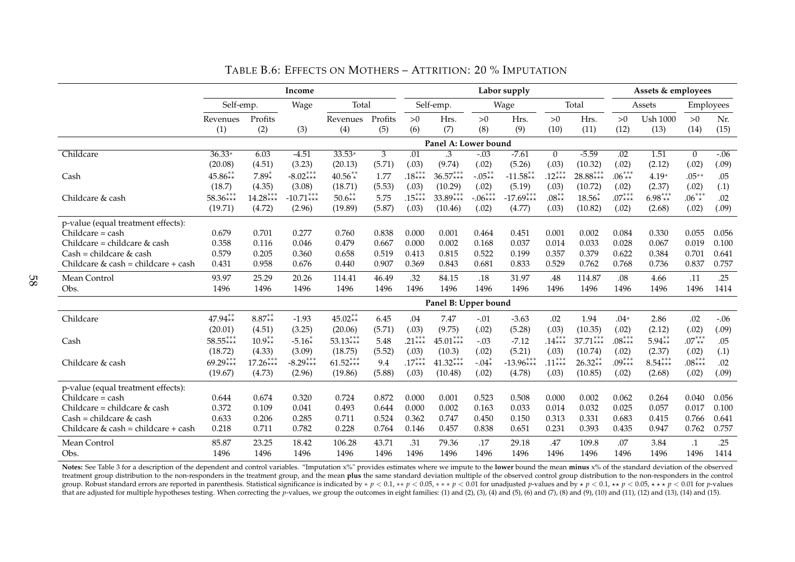|                                     |            |                          | Income      |            |         |          |                      |           | Labor supply |              |            |          | Assets & employees |                |        |
|-------------------------------------|------------|--------------------------|-------------|------------|---------|----------|----------------------|-----------|--------------|--------------|------------|----------|--------------------|----------------|--------|
|                                     | Self-emp.  |                          | Wage        | Total      |         |          | Self-emp.            |           | Wage         |              | Total      |          | Assets             | Employees      |        |
|                                     | Revenues   | Profits                  |             | Revenues   | Profits | >0       | Hrs.                 | >0        | Hrs.         | >0           | Hrs.       | >0       | <b>Ush 1000</b>    | >0             | Nr.    |
|                                     | (1)        | (2)                      | (3)         | (4)        | (5)     | (6)      | (7)                  | (8)       | (9)          | (10)         | (11)       | (12)     | (13)               | (14)           | (15)   |
|                                     |            |                          |             |            |         |          | Panel A: Lower bound |           |              |              |            |          |                    |                |        |
| Childcare                           | $36.33*$   | 6.03                     | $-4.51$     | $33.53*$   | 3       | .01      | $\cdot$ 3            | $-.03$    | $-7.61$      | $\mathbf{0}$ | $-5.59$    | .02      | 1.51               | $\overline{0}$ | $-.06$ |
|                                     | (20.08)    | (4.51)                   | (3.23)      | (20.13)    | (5.71)  | (.03)    | (9.74)               | (.02)     | (5.26)       | (.03)        | (10.32)    | (.02)    | (2.12)             | (.02)          | (.09)  |
| Cash                                | $45.86**$  | $7.89*$                  | $-8.02***$  | $40.56**$  | 1.77    | $.18***$ | $36.57***$           | $-.05**$  | $-11.58**$   | $.12***$     | $28.88***$ | $.06***$ | $4.19*$            | $.05**$        | .05    |
|                                     | (18.7)     | (4.35)                   | (3.08)      | (18.71)    | (5.53)  | (.03)    | (10.29)              | (.02)     | (5.19)       | (.03)        | (10.72)    | (.02)    | (2.37)             | (.02)          | (.1)   |
| Childcare & cash                    | $58.36***$ | $14.28***$               | $-10.71***$ | $50.6**$   | 5.75    | $.15***$ | $33.89***$           | $-.06***$ | $-17.69***$  | $.08**$      | $18.56*$   | $.07***$ | $6.98***$          | $.06^{***}$    | .02    |
|                                     | (19.71)    | (4.72)                   | (2.96)      | (19.89)    | (5.87)  | (.03)    | (10.46)              | (.02)     | (4.77)       | (.03)        | (10.82)    | (.02)    | (2.68)             | (.02)          | (.09)  |
| p-value (equal treatment effects):  |            |                          |             |            |         |          |                      |           |              |              |            |          |                    |                |        |
| Childcare = cash                    | 0.679      | 0.701                    | 0.277       | 0.760      | 0.838   | 0.000    | 0.001                | 0.464     | 0.451        | 0.001        | 0.002      | 0.084    | 0.330              | 0.055          | 0.056  |
| Childcare = childcare $&$ cash      | 0.358      | 0.116                    | 0.046       | 0.479      | 0.667   | 0.000    | 0.002                | 0.168     | 0.037        | 0.014        | 0.033      | 0.028    | 0.067              | 0.019          | 0.100  |
| $Cash = children & cash$            | 0.579      | 0.205                    | 0.360       | 0.658      | 0.519   | 0.413    | 0.815                | 0.522     | 0.199        | 0.357        | 0.379      | 0.622    | 0.384              | 0.701          | 0.641  |
| Childcare & cash = childcare + cash | 0.431      | 0.958                    | 0.676       | 0.440      | 0.907   | 0.369    | 0.843                | 0.681     | 0.833        | 0.529        | 0.762      | 0.768    | 0.736              | 0.837          | 0.757  |
| Mean Control                        | 93.97      | 25.29                    | 20.26       | 114.41     | 46.49   | .32      | 84.15                | .18       | 31.97        | .48          | 114.87     | $.08\,$  | 4.66               | .11            | .25    |
| Obs.                                | 1496       | 1496                     | 1496        | 1496       | 1496    | 1496     | 1496                 | 1496      | 1496         | 1496         | 1496       | 1496     | 1496               | 1496           | 1414   |
|                                     |            |                          |             |            |         |          | Panel B: Upper bound |           |              |              |            |          |                    |                |        |
| Childcare                           | $47.94**$  | $8.87^{**}_{\star\star}$ | $-1.93$     | $45.02**$  | 6.45    | .04      | 7.47                 | $-.01$    | $-3.63$      | .02          | 1.94       | $.04*$   | 2.86               | .02            | $-.06$ |
|                                     | (20.01)    | (4.51)                   | (3.25)      | (20.06)    | (5.71)  | (.03)    | (9.75)               | (.02)     | (5.28)       | (.03)        | (10.35)    | (.02)    | (2.12)             | (.02)          | (.09)  |
| Cash                                | $58.55***$ | $10.9**$                 | $-5.16*$    | $53.13***$ | 5.48    | .21***   | $45.01***$           | $-.03$    | $-7.12$      | $.14***$     | $37.71***$ | $.08***$ | $5.94**$           | $.07***$       | .05    |
|                                     | (18.72)    | (4.33)                   | (3.09)      | (18.75)    | (5.52)  | (.03)    | (10.3)               | (.02)     | (5.21)       | (.03)        | (10.74)    | (.02)    | (2.37)             | (.02)          | (.1)   |
| Childcare & cash                    | $69.29***$ | $17.26***$               | $-8.29***$  | $61.52***$ | 9.4     | $.17***$ | 41.32***             | $-.04*$   | $-13.96***$  | $.11***$     | $26.32**$  | $.09***$ | $8.54***$          | $.08***$       | .02    |
|                                     | (19.67)    | (4.73)                   | (2.96)      | (19.86)    | (5.88)  | (.03)    | (10.48)              | (.02)     | (4.78)       | (.03)        | (10.85)    | (.02)    | (2.68)             | (.02)          | (.09)  |
| p-value (equal treatment effects):  |            |                          |             |            |         |          |                      |           |              |              |            |          |                    |                |        |
| $Childcare = cash$                  | 0.644      | 0.674                    | 0.320       | 0.724      | 0.872   | 0.000    | 0.001                | 0.523     | 0.508        | 0.000        | 0.002      | 0.062    | 0.264              | 0.040          | 0.056  |
| Childcare = childcare & cash        | 0.372      | 0.109                    | 0.041       | 0.493      | 0.644   | 0.000    | 0.002                | 0.163     | 0.033        | 0.014        | 0.032      | 0.025    | 0.057              | 0.017          | 0.100  |
| $Cash = children & cash$            | 0.633      | 0.206                    | 0.285       | 0.711      | 0.524   | 0.362    | 0.747                | 0.450     | 0.150        | 0.313        | 0.331      | 0.683    | 0.415              | 0.766          | 0.641  |
| Childcare & cash = childcare + cash | 0.218      | 0.711                    | 0.782       | 0.228      | 0.764   | 0.146    | 0.457                | 0.838     | 0.651        | 0.231        | 0.393      | 0.435    | 0.947              | 0.762          | 0.757  |
| Mean Control                        | 85.87      | 23.25                    | 18.42       | 106.28     | 43.71   | .31      | 79.36                | .17       | 29.18        | .47          | 109.8      | .07      | 3.84               | $\cdot$ 1      | .25    |
| Obs.                                | 1496       | 1496                     | 1496        | 1496       | 1496    | 1496     | 1496                 | 1496      | 1496         | 1496         | 1496       | 1496     | 1496               | 1496           | 1414   |

## TABLE B.6: EFFECTS ON MOTHERS – ATTRITION: 20 % IMPUTATION

Notes: See Table 3 for a description of the dependent and control variables. "Imputation x%" provides estimates where we impute to the lower bound the mean minus x% of the standard deviation of the observed treatment group distribution to the non-responders in the treatment group, and the mean **plus** the same standard deviation multiple of the observed control group distribution to the non-responders in the control group. Robust standard errors are reported in parenthesis. Statistical significance is indicated by  $p < 0.1$ ,  $\ast p < 0.05$ ,  $\ast \ast p < 0.05$  for unadjusted p-values and by  $\ast p < 0.1$ ,  $\ast \ast p < 0.05$ ,  $\ast \ast p < 0.05$ ,  $\ast \ast p < 0.0$ that are adjusted for multiple hypotheses testing. When correcting the p-values, we group the outcomes in eight families: (1) and (2), (3), (4) and (5), (6) and (7), (8) and (9), (10) and (11), (12) and (13), (14) and (15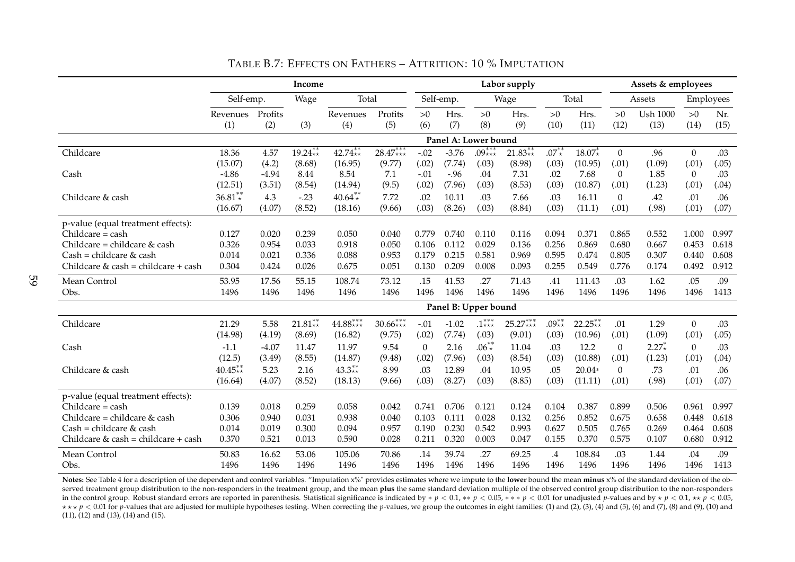|                                     |           |         | Income    |            |            |              |                      |            | Labor supply |         |           |                | Assets & employees |                |           |
|-------------------------------------|-----------|---------|-----------|------------|------------|--------------|----------------------|------------|--------------|---------|-----------|----------------|--------------------|----------------|-----------|
|                                     | Self-emp. |         | Wage      | Total      |            |              | Self-emp.            |            | Wage         |         | Total     |                | Assets             |                | Employees |
|                                     | Revenues  | Profits |           | Revenues   | Profits    | >0           | Hrs.                 | >0         | Hrs.         | >0      | Hrs.      | >0             | <b>Ush 1000</b>    | $>0$           | Nr.       |
|                                     | (1)       | (2)     | (3)       | (4)        | (5)        | (6)          | (7)                  | (8)        | (9)          | (10)    | (11)      | (12)           | (13)               | (14)           | (15)      |
|                                     |           |         |           |            |            |              | Panel A: Lower bound |            |              |         |           |                |                    |                |           |
| Childcare                           | 18.36     | 4.57    | $19.24**$ | $42.74**$  | $28.47***$ | $-.02$       | $-3.76$              | $.09***$   | $21.83**$    | $.07**$ | $18.07*$  | $\mathbf{0}$   | .96                | $\theta$       | .03       |
|                                     | (15.07)   | (4.2)   | (8.68)    | (16.95)    | (9.77)     | (.02)        | (7.74)               | (.03)      | (8.98)       | (.03)   | (10.95)   | (.01)          | (1.09)             | (.01)          | (.05)     |
| Cash                                | $-4.86$   | $-4.94$ | 8.44      | 8.54       | 7.1        | $-.01$       | $-.96$               | .04        | 7.31         | .02     | 7.68      | $\overline{0}$ | 1.85               | $\overline{0}$ | .03       |
|                                     | (12.51)   | (3.51)  | (8.54)    | (14.94)    | (9.5)      | (.02)        | (7.96)               | (.03)      | (8.53)       | (.03)   | (10.87)   | (.01)          | (1.23)             | (.01)          | (.04)     |
| Childcare & cash                    | $36.81**$ | 4.3     | $-.23$    | $40.64**$  | 7.72       | .02          | 10.11                | .03        | 7.66         | .03     | 16.11     | $\overline{0}$ | .42                | .01            | .06       |
|                                     | (16.67)   | (4.07)  | (8.52)    | (18.16)    | (9.66)     | (.03)        | (8.26)               | (.03)      | (8.84)       | (.03)   | (11.1)    | (.01)          | (.98)              | (.01)          | (.07)     |
| p-value (equal treatment effects):  |           |         |           |            |            |              |                      |            |              |         |           |                |                    |                |           |
| Childcare = cash                    | 0.127     | 0.020   | 0.239     | 0.050      | 0.040      | 0.779        | 0.740                | 0.110      | 0.116        | 0.094   | 0.371     | 0.865          | 0.552              | 1.000          | 0.997     |
| Childcare = childcare & cash        | 0.326     | 0.954   | 0.033     | 0.918      | 0.050      | 0.106        | 0.112                | 0.029      | 0.136        | 0.256   | 0.869     | 0.680          | 0.667              | 0.453          | 0.618     |
| $Cash = children & cash$            | 0.014     | 0.021   | 0.336     | 0.088      | 0.953      | 0.179        | 0.215                | 0.581      | 0.969        | 0.595   | 0.474     | 0.805          | 0.307              | 0.440          | 0.608     |
| Childcare & cash = childcare + cash | 0.304     | 0.424   | 0.026     | 0.675      | 0.051      | 0.130        | 0.209                | 0.008      | 0.093        | 0.255   | 0.549     | 0.776          | 0.174              | 0.492          | 0.912     |
| Mean Control                        | 53.95     | 17.56   | 55.15     | 108.74     | 73.12      | .15          | 41.53                | .27        | 71.43        | .41     | 111.43    | .03            | 1.62               | .05            | .09       |
| Obs.                                | 1496      | 1496    | 1496      | 1496       | 1496       | 1496         | 1496                 | 1496       | 1496         | 1496    | 1496      | 1496           | 1496               | 1496           | 1413      |
|                                     |           |         |           |            |            |              | Panel B: Upper bound |            |              |         |           |                |                    |                |           |
| Childcare                           | 21.29     | 5.58    | $21.81**$ | $44.88***$ | $30.66***$ | $-.01$       | $-1.02$              | $.1***$    | $25.27***$   | .09 **  | $22.25**$ | .01            | 1.29               | $\overline{0}$ | .03       |
|                                     | (14.98)   | (4.19)  | (8.69)    | (16.82)    | (9.75)     | (.02)        | (7.74)               | (.03)      | (9.01)       | (.03)   | (10.96)   | (.01)          | (1.09)             | (.01)          | (.05)     |
| Cash                                | $-1.1$    | $-4.07$ | 11.47     | 11.97      | 9.54       | $\mathbf{0}$ | 2.16                 | $.06^{**}$ | 11.04        | .03     | 12.2      | $\overline{0}$ | $2.27*$            | $\overline{0}$ | .03       |
|                                     | (12.5)    | (3.49)  | (8.55)    | (14.87)    | (9.48)     | (.02)        | (7.96)               | (.03)      | (8.54)       | (.03)   | (10.88)   | (.01)          | (1.23)             | (.01)          | (.04)     |
| Childcare & cash                    | $40.45**$ | 5.23    | 2.16      | $43.3**$   | 8.99       | .03          | 12.89                | .04        | 10.95        | .05     | $20.04*$  | $\Omega$       | .73                | .01            | .06       |
|                                     | (16.64)   | (4.07)  | (8.52)    | (18.13)    | (9.66)     | (.03)        | (8.27)               | (.03)      | (8.85)       | (.03)   | (11.11)   | (.01)          | (.98)              | (.01)          | (.07)     |
| p-value (equal treatment effects):  |           |         |           |            |            |              |                      |            |              |         |           |                |                    |                |           |
| $Childcare = cash$                  | 0.139     | 0.018   | 0.259     | 0.058      | 0.042      | 0.741        | 0.706                | 0.121      | 0.124        | 0.104   | 0.387     | 0.899          | 0.506              | 0.961          | 0.997     |
| Childcare = childcare $&$ cash      | 0.306     | 0.940   | 0.031     | 0.938      | 0.040      | 0.103        | 0.111                | 0.028      | 0.132        | 0.256   | 0.852     | 0.675          | 0.658              | 0.448          | 0.618     |
| $Cash = children \& cash$           | 0.014     | 0.019   | 0.300     | 0.094      | 0.957      | 0.190        | 0.230                | 0.542      | 0.993        | 0.627   | 0.505     | 0.765          | 0.269              | 0.464          | 0.608     |
| Childcare & cash = childcare + cash | 0.370     | 0.521   | 0.013     | 0.590      | 0.028      | 0.211        | 0.320                | 0.003      | 0.047        | 0.155   | 0.370     | 0.575          | 0.107              | 0.680          | 0.912     |
| Mean Control                        | 50.83     | 16.62   | 53.06     | 105.06     | 70.86      | .14          | 39.74                | .27        | 69.25        | $.4\,$  | 108.84    | .03            | 1.44               | .04            | .09       |
| Obs.                                | 1496      | 1496    | 1496      | 1496       | 1496       | 1496         | 1496                 | 1496       | 1496         | 1496    | 1496      | 1496           | 1496               | 1496           | 1413      |

TABLE B.7: EFFECTS ON FATHERS – ATTRITION: 10 % IMPUTATION

**Notes:** See Table 4 for a description of the dependent and control variables. "Imputation x%" provides estimates where we impute to the **lower** bound the mean **minus** x% of the standard deviation of the observed treatment group distribution to the non-responders in the treatment group, and the mean **plus** the same standard deviation multiple of the observed control group distribution to the non-responders in the control group. Robust standard errors are reported in parenthesis. Statistical significance is indicated by  $*$   $p$   $<$  0.1,  $**$   $p$   $<$  0.05,  $**$   $*$   $p$   $<$  0.01 for unadjusted p-values and by  $*$   $p$   $<$  0.1,  $\star\star\star p < 0.01$  for p-values that are adjusted for multiple hypotheses testing. When correcting the p-values, we group the outcomes in eight families: (1) and (2), (3), (4) and (5), (6) and (7), (8) and (9), (10) and (11), (12) and (13), (14) and (15).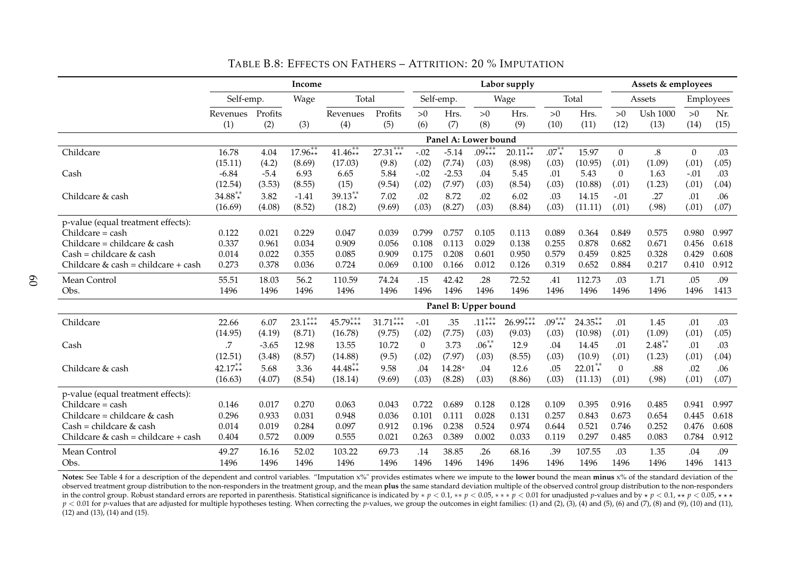|                                       |           |         | Income    |            |            |          |                      |            | Labor supply |            |                           |                | Assets & employees |                  |           |
|---------------------------------------|-----------|---------|-----------|------------|------------|----------|----------------------|------------|--------------|------------|---------------------------|----------------|--------------------|------------------|-----------|
|                                       | Self-emp. |         | Wage      | Total      |            |          | Self-emp.            |            | Wage         |            | Total                     |                | Assets             |                  | Employees |
|                                       | Revenues  | Profits |           | Revenues   | Profits    | >0       | Hrs.                 | >0         | Hrs.         | >0         | Hrs.                      | >0             | <b>Ush 1000</b>    | >0               | Nr.       |
|                                       | (1)       | (2)     | (3)       | (4)        | (5)        | (6)      | (7)                  | (8)        | (9)          | (10)       | (11)                      | (12)           | (13)               | (14)             | (15)      |
|                                       |           |         |           |            |            |          | Panel A: Lower bound |            |              |            |                           |                |                    |                  |           |
| Childcare                             | 16.78     | 4.04    | $17.96**$ | $41.46**$  | $27.31***$ | $-.02$   | $-5.14$              | $.09***$   | $20.11**$    | $.07^{**}$ | 15.97                     | $\mathbf{0}$   | $.8\,$             | $\boldsymbol{0}$ | .03       |
|                                       | (15.11)   | (4.2)   | (8.69)    | (17.03)    | (9.8)      | (.02)    | (7.74)               | (.03)      | (8.98)       | (.03)      | (10.95)                   | (.01)          | (1.09)             | (.01)            | (.05)     |
| Cash                                  | $-6.84$   | $-5.4$  | 6.93      | 6.65       | 5.84       | $-.02$   | $-2.53$              | .04        | 5.45         | .01        | 5.43                      | $\overline{0}$ | 1.63               | $-.01$           | .03       |
|                                       | (12.54)   | (3.53)  | (8.55)    | (15)       | (9.54)     | (.02)    | (7.97)               | (.03)      | (8.54)       | (.03)      | (10.88)                   | (.01)          | (1.23)             | (.01)            | (.04)     |
| Childcare & cash                      | $34.88**$ | 3.82    | $-1.41$   | $39.13**$  | 7.02       | .02      | 8.72                 | .02        | 6.02         | .03        | 14.15                     | $-.01$         | .27                | .01              | .06       |
|                                       | (16.69)   | (4.08)  | (8.52)    | (18.2)     | (9.69)     | (.03)    | (8.27)               | (.03)      | (8.84)       | (.03)      | (11.11)                   | (.01)          | (.98)              | (.01)            | (.07)     |
| p-value (equal treatment effects):    |           |         |           |            |            |          |                      |            |              |            |                           |                |                    |                  |           |
| $Children = cash$                     | 0.122     | 0.021   | 0.229     | 0.047      | 0.039      | 0.799    | 0.757                | 0.105      | 0.113        | 0.089      | 0.364                     | 0.849          | 0.575              | 0.980            | 0.997     |
| Childcare = childcare & cash          | 0.337     | 0.961   | 0.034     | 0.909      | 0.056      | 0.108    | 0.113                | 0.029      | 0.138        | 0.255      | 0.878                     | 0.682          | 0.671              | 0.456            | 0.618     |
| $Cash = children & cash$              | 0.014     | 0.022   | 0.355     | 0.085      | 0.909      | 0.175    | 0.208                | 0.601      | 0.950        | 0.579      | 0.459                     | 0.825          | 0.328              | 0.429            | 0.608     |
| Childcare & cash = childcare + cash   | 0.273     | 0.378   | 0.036     | 0.724      | 0.069      | 0.100    | 0.166                | 0.012      | 0.126        | 0.319      | 0.652                     | 0.884          | 0.217              | 0.410            | 0.912     |
| Mean Control                          | 55.51     | 18.03   | 56.2      | 110.59     | 74.24      | .15      | 42.42                | .28        | 72.52        | .41        | 112.73                    | .03            | 1.71               | .05              | .09       |
| Obs.                                  | 1496      | 1496    | 1496      | 1496       | 1496       | 1496     | 1496                 | 1496       | 1496         | 1496       | 1496                      | 1496           | 1496               | 1496             | 1413      |
|                                       |           |         |           |            |            |          | Panel B: Upper bound |            |              |            |                           |                |                    |                  |           |
| Childcare                             | 22.66     | 6.07    | $23.1***$ | $45.79***$ | $31.71***$ | $-.01$   | .35                  | $.11***$   | $26.99***$   | $.09***$   | $24.35^{**}_{\star\star}$ | .01            | 1.45               | .01              | .03       |
|                                       | (14.95)   | (4.19)  | (8.71)    | (16.78)    | (9.75)     | (.02)    | (7.75)               | (.03)      | (9.03)       | (.03)      | (10.98)                   | (.01)          | (1.09)             | (.01)            | (.05)     |
| Cash                                  | .7        | $-3.65$ | 12.98     | 13.55      | 10.72      | $\theta$ | 3.73                 | $.06^{**}$ | 12.9         | .04        | 14.45                     | .01            | $2.48**$           | .01              | .03       |
|                                       | (12.51)   | (3.48)  | (8.57)    | (14.88)    | (9.5)      | (.02)    | (7.97)               | (.03)      | (8.55)       | (.03)      | (10.9)                    | (.01)          | (1.23)             | (.01)            | (.04)     |
| Childcare & cash                      | $42.17**$ | 5.68    | 3.36      | $44.48**$  | 9.58       | .04      | 14.28*               | .04        | 12.6         | .05        | $22.01**$                 | $\Omega$       | .88                | .02              | .06       |
|                                       | (16.63)   | (4.07)  | (8.54)    | (18.14)    | (9.69)     | (.03)    | (8.28)               | (.03)      | (8.86)       | (.03)      | (11.13)                   | (.01)          | (.98)              | (.01)            | (.07)     |
| p-value (equal treatment effects):    |           |         |           |            |            |          |                      |            |              |            |                           |                |                    |                  |           |
| Childcare = cash                      | 0.146     | 0.017   | 0.270     | 0.063      | 0.043      | 0.722    | 0.689                | 0.128      | 0.128        | 0.109      | 0.395                     | 0.916          | 0.485              | 0.941            | 0.997     |
| Childcare = childcare $&$ cash        | 0.296     | 0.933   | 0.031     | 0.948      | 0.036      | 0.101    | 0.111                | 0.028      | 0.131        | 0.257      | 0.843                     | 0.673          | 0.654              | 0.445            | 0.618     |
| $Cash = children & cash$              | 0.014     | 0.019   | 0.284     | 0.097      | 0.912      | 0.196    | 0.238                | 0.524      | 0.974        | 0.644      | 0.521                     | 0.746          | 0.252              | 0.476            | 0.608     |
| Childcare $&$ cash = childcare + cash | 0.404     | 0.572   | 0.009     | 0.555      | 0.021      | 0.263    | 0.389                | 0.002      | 0.033        | 0.119      | 0.297                     | 0.485          | 0.083              | 0.784            | 0.912     |
| Mean Control                          | 49.27     | 16.16   | 52.02     | 103.22     | 69.73      | .14      | 38.85                | .26        | 68.16        | .39        | 107.55                    | .03            | 1.35               | .04              | .09       |
| Obs.                                  | 1496      | 1496    | 1496      | 1496       | 1496       | 1496     | 1496                 | 1496       | 1496         | 1496       | 1496                      | 1496           | 1496               | 1496             | 1413      |

TABLE B.8: EFFECTS ON FATHERS – ATTRITION: 20 % IMPUTATION

**Notes:** See Table 4 for a description of the dependent and control variables. "Imputation x%" provides estimates where we impute to the **lower** bound the mean **minus** x% of the standard deviation of the observed treatment group distribution to the non-responders in the treatment group, and the mean **plus** the same standard deviation multiple of the observed control group distribution to the non-responders in the control group. Robust standard errors are reported in parenthesis. Statistical significance is indicated by  $p < 0.1$ ,  $\ast p < 0.05$ ,  $\ast \ast p < 0.01$  for unadjusted p-values and by  $\ast p < 0.1$ ,  $\ast \ast p < 0.05$ ,  $\star \ast \ast p$  $p < 0.01$  for p-values that are adjusted for multiple hypotheses testing. When correcting the p-values, we group the outcomes in eight families: (1) and (2), (3), (4) and (5), (6) and (7), (8) and (9), (10) and (11),  $(12)$  and  $(13)$ ,  $(14)$  and  $(15)$ .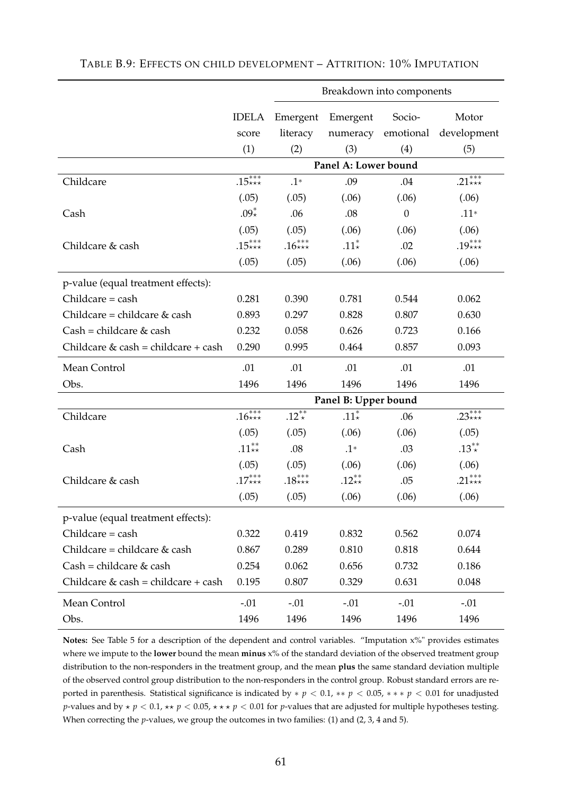|                                       |                  |            | Breakdown into components |                  |             |
|---------------------------------------|------------------|------------|---------------------------|------------------|-------------|
|                                       | <b>IDELA</b>     | Emergent   | Emergent                  | Socio-           | Motor       |
|                                       | score            | literacy   | numeracy                  | emotional        | development |
|                                       | (1)              | (2)        | (3)                       | (4)              | (5)         |
|                                       |                  |            | Panel A: Lower bound      |                  |             |
| Childcare                             | $.15***$         | $.1*$      | .09                       | .04              | $.21***$    |
|                                       | (.05)            | (.05)      | (.06)                     | (.06)            | (.06)       |
| Cash                                  | $.09*$           | .06        | .08                       | $\boldsymbol{0}$ | $.11*$      |
|                                       | (.05)            | (.05)      | (.06)                     | (.06)            | (.06)       |
| Childcare & cash                      | $.15***$         | $.16***$   | $.11*$                    | .02              | .19***      |
|                                       | (.05)            | (.05)      | (.06)                     | (.06)            | (.06)       |
|                                       |                  |            |                           |                  |             |
| p-value (equal treatment effects):    |                  |            |                           |                  |             |
| $Children = cash$                     | 0.281            | 0.390      | 0.781                     | 0.544            | 0.062       |
| Childcare = childcare $&$ cash        | 0.893            | 0.297      | 0.828                     | 0.807            | 0.630       |
| $Cash = children & cash$              | 0.232            | 0.058      | 0.626                     | 0.723            | 0.166       |
| Childcare $&$ cash = childcare + cash | 0.290            | 0.995      | 0.464                     | 0.857            | 0.093       |
| Mean Control                          | .01              | .01        | .01                       | .01              | .01         |
| Obs.                                  | 1496             | 1496       | 1496                      | 1496             | 1496        |
|                                       |                  |            | Panel B: Upper bound      |                  |             |
| Childcare                             | $.16***$         | $.12^{**}$ | .11 $*$                   | .06              | .23***      |
|                                       | (.05)            | (.05)      | (.06)                     | (.06)            | (.05)       |
| Cash                                  | .11 $^{**}_{**}$ | .08        | $.1*$                     | .03              | $.13^{**}$  |
|                                       | (.05)            | (.05)      | (.06)                     | (.06)            | (.06)       |
| Childcare & cash                      | $.17***$         | $.18***$   | $.12**$                   | .05              | .21 ***     |
|                                       | (.05)            | (.05)      | (.06)                     | (.06)            | (.06)       |
| p-value (equal treatment effects):    |                  |            |                           |                  |             |
| Childcare = cash                      | 0.322            | 0.419      | 0.832                     | 0.562            | 0.074       |
| Childcare = childcare & cash          | 0.867            | 0.289      | 0.810                     | 0.818            | 0.644       |
| $Cash = children & cash$              | 0.254            | 0.062      | 0.656                     | 0.732            | 0.186       |
| Childcare & cash = childcare + cash   | 0.195            | 0.807      | 0.329                     | 0.631            | 0.048       |
| Mean Control                          | $-.01$           | $-.01$     | $-.01$                    | $-.01$           | $-.01$      |
| Obs.                                  | 1496             | 1496       | 1496                      | 1496             | 1496        |

**Notes:** See Table 5 for a description of the dependent and control variables. "Imputation x%" provides estimates where we impute to the **lower** bound the mean **minus** x% of the standard deviation of the observed treatment group distribution to the non-responders in the treatment group, and the mean **plus** the same standard deviation multiple of the observed control group distribution to the non-responders in the control group. Robust standard errors are reported in parenthesis. Statistical significance is indicated by ∗ *p* < 0.1, ∗∗ *p* < 0.05, ∗ ∗ ∗ *p* < 0.01 for unadjusted *p*-values and by  $\star$  *p* < 0.1,  $\star\star$  *p* < 0.05,  $\star\star\star$  *p* < 0.01 for *p*-values that are adjusted for multiple hypotheses testing. When correcting the *p*-values, we group the outcomes in two families: (1) and (2, 3, 4 and 5).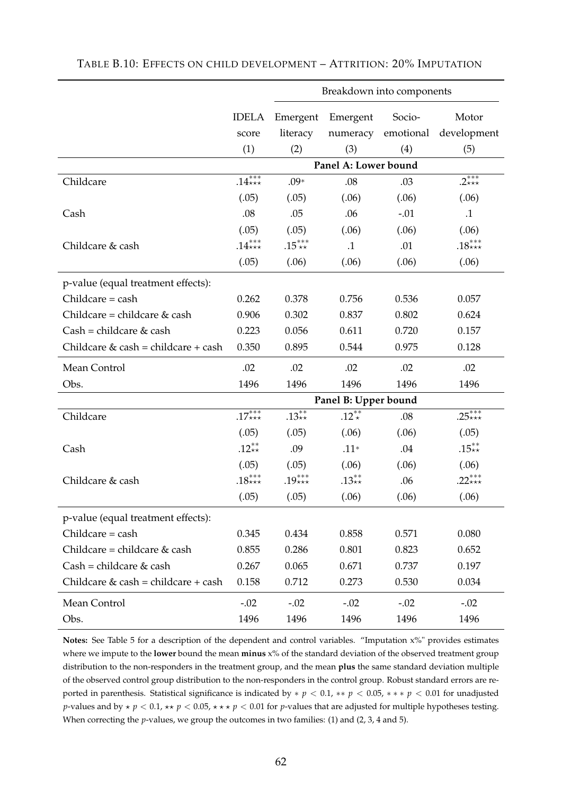|                                       |              |          | Breakdown into components |           |             |
|---------------------------------------|--------------|----------|---------------------------|-----------|-------------|
|                                       | <b>IDELA</b> | Emergent | Emergent                  | Socio-    | Motor       |
|                                       | score        | literacy | numeracy                  | emotional | development |
|                                       | (1)          | (2)      | (3)                       | (4)       | (5)         |
|                                       |              |          | Panel A: Lower bound      |           |             |
| Childcare                             | $.14***$     | $.09*$   | .08                       | .03       | $.2***$     |
|                                       | (.05)        | (.05)    | (.06)                     | (.06)     | (.06)       |
| Cash                                  | .08          | .05      | .06                       | $-.01$    | $\cdot$ 1   |
|                                       | (.05)        | (.05)    | (.06)                     | (.06)     | (.06)       |
| Childcare & cash                      | $.14***$     | $.15***$ | $\cdot$ 1                 | .01       | $.18***$    |
|                                       | (.05)        | (.06)    | (.06)                     | (.06)     | (.06)       |
| p-value (equal treatment effects):    |              |          |                           |           |             |
| $Children = cash$                     | 0.262        | 0.378    | 0.756                     | 0.536     | 0.057       |
| Childcare = childcare $&$ cash        | 0.906        | 0.302    | 0.837                     | 0.802     | 0.624       |
| $Cash = children & cash$              | 0.223        | 0.056    | 0.611                     | 0.720     | 0.157       |
| Childcare $&$ cash = childcare + cash | 0.350        | 0.895    | 0.544                     | 0.975     | 0.128       |
| Mean Control                          | .02          | .02      | .02                       | .02       | .02         |
| Obs.                                  | 1496         | 1496     | 1496                      | 1496      | 1496        |
|                                       |              |          | Panel B: Upper bound      |           |             |
| Childcare                             | $.17***$     | $.13**$  | $.12^{**}$                | .08       | $.25***$    |
|                                       | (.05)        | (.05)    | (.06)                     | (.06)     | (.05)       |
| Cash                                  | .12**        | .09      | $.11*$                    | .04       | $.15**$     |
|                                       | (.05)        | (.05)    | (.06)                     | (.06)     | (.06)       |
| Childcare & cash                      | $.18***$     | $.19***$ | $.13**$                   | .06       | .22 ***     |
|                                       | (.05)        | (.05)    | (.06)                     | (.06)     | (.06)       |
| p-value (equal treatment effects):    |              |          |                           |           |             |
| $Children = cash$                     | 0.345        | 0.434    | 0.858                     | 0.571     | 0.080       |
| Childcare = childcare & cash          | 0.855        | 0.286    | 0.801                     | 0.823     | 0.652       |
| $Cash = children & cash$              | 0.267        | 0.065    | 0.671                     | 0.737     | 0.197       |
| Childcare & cash = childcare + cash   | 0.158        | 0.712    | 0.273                     | 0.530     | 0.034       |
| Mean Control                          | $-.02$       | $-.02$   | $-.02$                    | $-.02$    | $-.02$      |
| Obs.                                  | 1496         | 1496     | 1496                      | 1496      | 1496        |

TABLE B.10: EFFECTS ON CHILD DEVELOPMENT – ATTRITION: 20% IMPUTATION

**Notes:** See Table 5 for a description of the dependent and control variables. "Imputation x%" provides estimates where we impute to the **lower** bound the mean **minus** x% of the standard deviation of the observed treatment group distribution to the non-responders in the treatment group, and the mean **plus** the same standard deviation multiple of the observed control group distribution to the non-responders in the control group. Robust standard errors are reported in parenthesis. Statistical significance is indicated by ∗ *p* < 0.1, ∗∗ *p* < 0.05, ∗ ∗ ∗ *p* < 0.01 for unadjusted *p*-values and by  $\star$  *p* < 0.1,  $\star\star$  *p* < 0.05,  $\star\star\star$  *p* < 0.01 for *p*-values that are adjusted for multiple hypotheses testing. When correcting the *p*-values, we group the outcomes in two families: (1) and (2, 3, 4 and 5).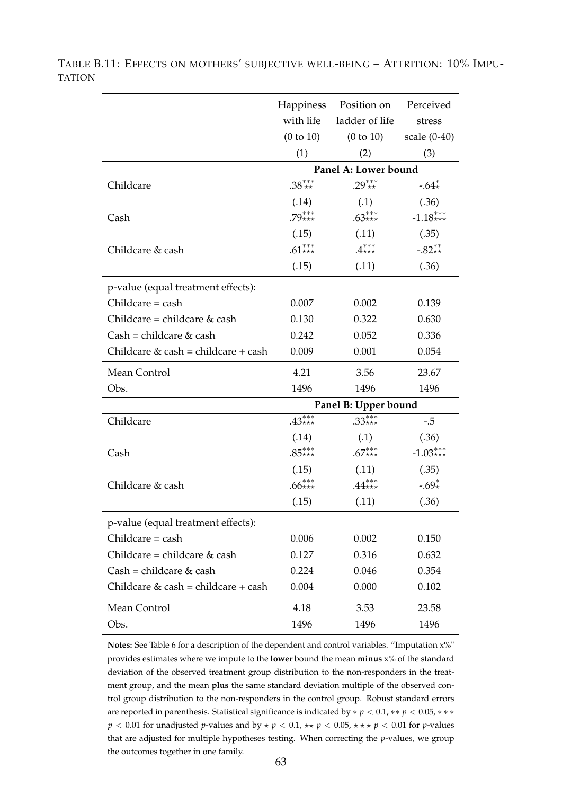|                                       | Happiness | Position on          | Perceived         |
|---------------------------------------|-----------|----------------------|-------------------|
|                                       | with life | ladder of life       | stress            |
|                                       | (0 to 10) | (0 to 10)            | scale $(0-40)$    |
|                                       | (1)       | (2)                  | (3)               |
|                                       |           | Panel A: Lower bound |                   |
| Childcare                             | $.38***$  | $.29***$             | -.64 $_{\star}^*$ |
|                                       | (.14)     | (.1)                 | (.36)             |
| Cash                                  | $.79***$  | $.63***$             | $-1.18***$        |
|                                       | (.15)     | (.11)                | (.35)             |
| Childcare & cash                      | $.61***$  | $.4***$              | $-.82**$          |
|                                       | (.15)     | (.11)                | (.36)             |
| p-value (equal treatment effects):    |           |                      |                   |
| $Children = cash$                     | 0.007     | 0.002                | 0.139             |
| Childcare = childcare $&$ cash        | 0.130     | 0.322                | 0.630             |
| $Cash = children & cash$              | 0.242     | 0.052                | 0.336             |
| Childcare $&$ cash = childcare + cash | 0.009     | 0.001                | 0.054             |
| Mean Control                          | 4.21      | 3.56                 | 23.67             |
| Obs.                                  | 1496      | 1496                 | 1496              |
|                                       |           | Panel B: Upper bound |                   |
| Childcare                             | $.43***$  | $.33***$             | $-.5$             |
|                                       | (.14)     | (.1)                 | (.36)             |
| Cash                                  | $.85***$  | $.67***$             | $-1.03***$        |
|                                       | (.15)     | (.11)                | (.35)             |
| Childcare & cash                      | $.66***$  | $.44***$             | $-.69*$           |
|                                       | (.15)     | (.11)                | (.36)             |
| p-value (equal treatment effects):    |           |                      |                   |
| $Children = cash$                     | 0.006     | 0.002                | 0.150             |
| Childcare = childcare $&$ cash        | 0.127     | 0.316                | 0.632             |
| $Cash = children & cash$              | 0.224     | 0.046                | 0.354             |
| Childcare $&$ cash = childcare + cash | 0.004     | 0.000                | 0.102             |
| Mean Control                          | 4.18      | 3.53                 | 23.58             |
| Obs.                                  | 1496      | 1496                 | 1496              |

TABLE B.11: EFFECTS ON MOTHERS' SUBJECTIVE WELL-BEING – ATTRITION: 10% IMPU-TATION

> **Notes:** See Table 6 for a description of the dependent and control variables. "Imputation x%" provides estimates where we impute to the **lower** bound the mean **minus** x% of the standard deviation of the observed treatment group distribution to the non-responders in the treatment group, and the mean **plus** the same standard deviation multiple of the observed control group distribution to the non-responders in the control group. Robust standard errors are reported in parenthesis. Statistical significance is indicated by ∗ *p* < 0.1, ∗∗ *p* < 0.05, ∗ ∗ ∗  $p < 0.01$  for unadjusted *p*-values and by  $\star$   $p < 0.1$ ,  $\star \star$   $p < 0.05$ ,  $\star \star \star$   $p < 0.01$  for *p*-values that are adjusted for multiple hypotheses testing. When correcting the *p*-values, we group the outcomes together in one family.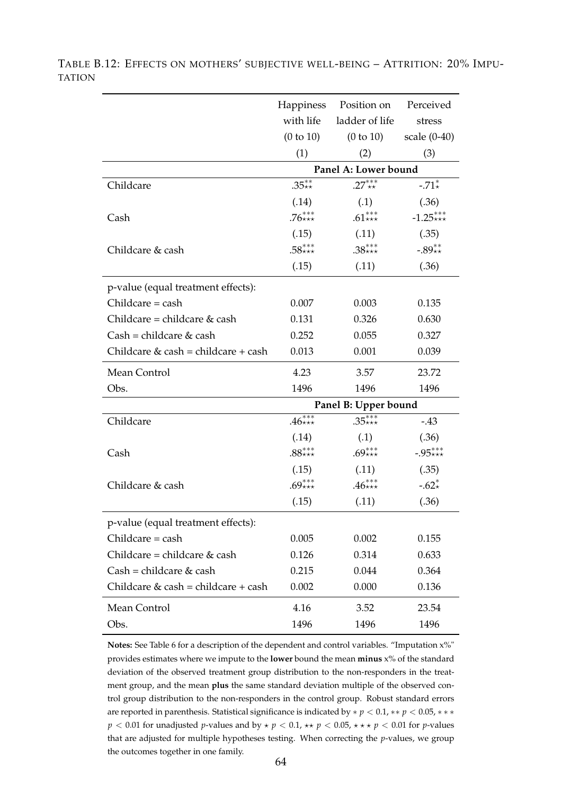|                                       | Happiness            | Position on          | Perceived    |  |  |  |  |
|---------------------------------------|----------------------|----------------------|--------------|--|--|--|--|
|                                       | with life            | ladder of life       | stress       |  |  |  |  |
|                                       | (0 to 10)            | (0 to 10)            | scale (0-40) |  |  |  |  |
|                                       | (1)                  | (2)                  | (3)          |  |  |  |  |
|                                       |                      | Panel A: Lower bound |              |  |  |  |  |
| Childcare                             | $.35**$              | $27***$              | $-.71*$      |  |  |  |  |
|                                       | (.14)                | (.1)                 | (.36)        |  |  |  |  |
| Cash                                  | $.76***$             | $.61***$             | $-1.25***$   |  |  |  |  |
|                                       | (.15)                | (.11)                | (.35)        |  |  |  |  |
| Childcare & cash                      | $.58***$             | $.38***$             | $-.89**$     |  |  |  |  |
|                                       | (.15)                | (.11)                | (.36)        |  |  |  |  |
| p-value (equal treatment effects):    |                      |                      |              |  |  |  |  |
| Childcare = cash                      | 0.007                | 0.003                | 0.135        |  |  |  |  |
| Childcare = childcare & cash          | 0.131                | 0.326                | 0.630        |  |  |  |  |
| $Cash = children & cash$              | 0.252                | 0.055                | 0.327        |  |  |  |  |
| Childcare $&$ cash = childcare + cash | 0.013                | 0.001                | 0.039        |  |  |  |  |
| Mean Control                          | 4.23                 | 3.57                 | 23.72        |  |  |  |  |
| Obs.                                  | 1496                 | 1496                 | 1496         |  |  |  |  |
|                                       | Panel B: Upper bound |                      |              |  |  |  |  |
| Childcare                             | $.46***$             | $.35***$             | $-43$        |  |  |  |  |
|                                       | (.14)                | (.1)                 | (.36)        |  |  |  |  |
| Cash                                  | $.88***$             | $.69***$             | $-.95***$    |  |  |  |  |
|                                       | (.15)                | (.11)                | (.35)        |  |  |  |  |
| Childcare & cash                      | $.69***$             | $.46***$             | $-.62*$      |  |  |  |  |
|                                       | (.15)                | (.11)                | (.36)        |  |  |  |  |
| p-value (equal treatment effects):    |                      |                      |              |  |  |  |  |
| Childcare = cash                      | 0.005                | 0.002                | 0.155        |  |  |  |  |
| Childcare = childcare & cash          | 0.126                | 0.314                | 0.633        |  |  |  |  |
| $Cash = children & cash$              | 0.215                | 0.044                | 0.364        |  |  |  |  |
| Childcare & cash = childcare + cash   | 0.002                | 0.000                | 0.136        |  |  |  |  |
| Mean Control                          | 4.16                 | 3.52                 | 23.54        |  |  |  |  |
| Obs.                                  | 1496                 | 1496                 | 1496         |  |  |  |  |

TABLE B.12: EFFECTS ON MOTHERS' SUBJECTIVE WELL-BEING – ATTRITION: 20% IMPU-TATION

> **Notes:** See Table 6 for a description of the dependent and control variables. "Imputation x%" provides estimates where we impute to the **lower** bound the mean **minus** x% of the standard deviation of the observed treatment group distribution to the non-responders in the treatment group, and the mean **plus** the same standard deviation multiple of the observed control group distribution to the non-responders in the control group. Robust standard errors are reported in parenthesis. Statistical significance is indicated by ∗ *p* < 0.1, ∗∗ *p* < 0.05, ∗ ∗ ∗  $p < 0.01$  for unadjusted *p*-values and by  $\star$   $p < 0.1$ ,  $\star \star$   $p < 0.05$ ,  $\star \star \star$   $p < 0.01$  for *p*-values that are adjusted for multiple hypotheses testing. When correcting the *p*-values, we group the outcomes together in one family.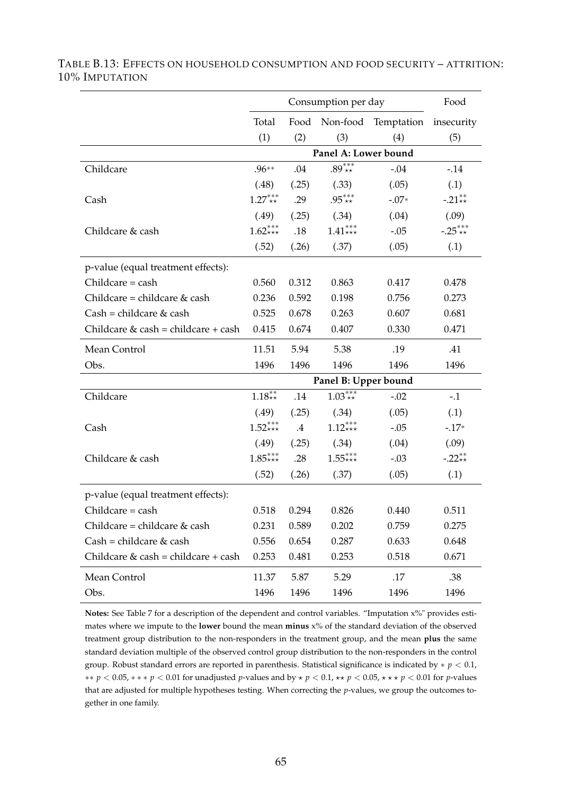|                                       |                      | Food                 |                             |         |           |  |  |  |
|---------------------------------------|----------------------|----------------------|-----------------------------|---------|-----------|--|--|--|
|                                       | Total                |                      | Food Non-food<br>Temptation |         |           |  |  |  |
|                                       | (1)                  | (2)                  | (3)                         | (4)     | (5)       |  |  |  |
|                                       |                      | Panel A: Lower bound |                             |         |           |  |  |  |
| Childcare                             | $.96**$              | .04                  | $.89***$                    | $-.04$  | $-14$     |  |  |  |
|                                       | (.48)                | (.25)                | (.33)                       | (.05)   | (.1)      |  |  |  |
| Cash                                  | $1.27***$            | .29                  | $.95***$                    | $-.07*$ | $-.21**$  |  |  |  |
|                                       | (.49)                | (.25)                | (.34)                       | (.04)   | (.09)     |  |  |  |
| Childcare & cash                      | $1.62***$            | .18                  | $1.41***$                   | $-.05$  | $-.25***$ |  |  |  |
|                                       | (.52)                | (.26)                | (.37)                       | (.05)   | (.1)      |  |  |  |
| p-value (equal treatment effects):    |                      |                      |                             |         |           |  |  |  |
| Childcare = cash                      | 0.560                | 0.312                | 0.863                       | 0.417   | 0.478     |  |  |  |
| Childcare = childcare $&$ cash        | 0.236                | 0.592                | 0.198                       | 0.756   | 0.273     |  |  |  |
| $Cash = children & cash$              | 0.525                | 0.678                | 0.263                       | 0.607   | 0.681     |  |  |  |
| Childcare $&$ cash = childcare + cash | 0.415                | 0.674                | 0.407                       | 0.330   | 0.471     |  |  |  |
| Mean Control                          | 11.51                | 5.94                 | 5.38                        | .19     | .41       |  |  |  |
| Obs.                                  | 1496                 | 1496                 | 1496                        | 1496    | 1496      |  |  |  |
|                                       | Panel B: Upper bound |                      |                             |         |           |  |  |  |
| Childcare                             | $1.18^{**}_{**}$     | .14                  | $1.03^{***}_{**}$           | $-.02$  | $-.1$     |  |  |  |
|                                       | (.49)                | (.25)                | (.34)                       | (.05)   | (.1)      |  |  |  |
| Cash                                  | $1.52***$            | $.4\,$               | $1.12^{***}_{***}$          | $-.05$  | $-17*$    |  |  |  |
|                                       | (.49)                | (.25)                | (.34)                       | (.04)   | (.09)     |  |  |  |
| Childcare & cash                      | $1.85***$            | .28                  | $1.55***$                   | $-.03$  | $-.22**$  |  |  |  |
|                                       | (.52)                | (.26)                | (.37)                       | (.05)   | (.1)      |  |  |  |
| p-value (equal treatment effects):    |                      |                      |                             |         |           |  |  |  |
| Childcare = cash                      | 0.518                | 0.294                | 0.826                       | 0.440   | 0.511     |  |  |  |
| Childcare = childcare & cash          | 0.231                | 0.589                | 0.202                       | 0.759   | 0.275     |  |  |  |
| $Cash = children & cash$              | 0.556                | 0.654                | 0.287                       | 0.633   | 0.648     |  |  |  |
| Childcare $&$ cash = childcare + cash | 0.253                | 0.481                | 0.253                       | 0.518   | 0.671     |  |  |  |
| Mean Control                          | 11.37                | 5.87                 | 5.29                        | .17     | .38       |  |  |  |
| Obs.                                  | 1496                 | 1496                 | 1496                        | 1496    | 1496      |  |  |  |

TABLE B.13: EFFECTS ON HOUSEHOLD CONSUMPTION AND FOOD SECURITY – ATTRITION: 10% IMPUTATION

**Notes:** See Table 7 for a description of the dependent and control variables. "Imputation x%" provides estimates where we impute to the **lower** bound the mean **minus** x% of the standard deviation of the observed treatment group distribution to the non-responders in the treatment group, and the mean **plus** the same standard deviation multiple of the observed control group distribution to the non-responders in the control group. Robust standard errors are reported in parenthesis. Statistical significance is indicated by ∗ *p* < 0.1, ∗∗ *p* < 0.05, ∗ ∗ ∗ *p* < 0.01 for unadjusted *p*-values and by ⋆ *p* < 0.1, ⋆⋆ *p* < 0.05, ⋆ ⋆ ⋆ *p* < 0.01 for *p*-values that are adjusted for multiple hypotheses testing. When correcting the *p*-values, we group the outcomes together in one family.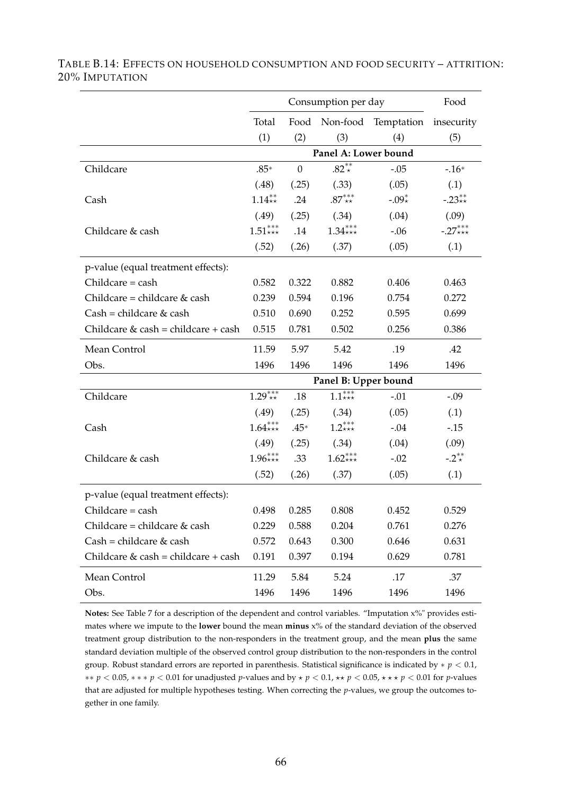|                                       |                      | Food                 |                       |         |           |  |  |  |
|---------------------------------------|----------------------|----------------------|-----------------------|---------|-----------|--|--|--|
|                                       | Total                | Food Non-food        | Temptation insecurity |         |           |  |  |  |
|                                       | (1)                  | (2)                  | (3)                   | (4)     | (5)       |  |  |  |
|                                       |                      | Panel A: Lower bound |                       |         |           |  |  |  |
| Childcare                             | $.85*$               | $\overline{0}$       | .82 $*$               | $-.05$  | $-16*$    |  |  |  |
|                                       | (.48)                | (.25)                | (.33)                 | (.05)   | (.1)      |  |  |  |
| Cash                                  | $1.14**$             | .24                  | $.87^{***}_{**}$      | $-.09*$ | $-.23**$  |  |  |  |
|                                       | (.49)                | (.25)                | (.34)                 | (.04)   | (.09)     |  |  |  |
| Childcare & cash                      | $1.51***$            | .14                  | $1.34***$             | $-.06$  | $-.27***$ |  |  |  |
|                                       | (.52)                | (.26)                | (.37)                 | (.05)   | (.1)      |  |  |  |
| p-value (equal treatment effects):    |                      |                      |                       |         |           |  |  |  |
| Childcare = cash                      | 0.582                | 0.322                | 0.882                 | 0.406   | 0.463     |  |  |  |
| Childcare = childcare & cash          | 0.239                | 0.594                | 0.196                 | 0.754   | 0.272     |  |  |  |
| $Cash = children & cash$              | 0.510                | 0.690                | 0.252                 | 0.595   | 0.699     |  |  |  |
| Childcare $&$ cash = childcare + cash | 0.515                | 0.781                | 0.502                 | 0.256   | 0.386     |  |  |  |
| Mean Control                          | 11.59                | 5.97                 | 5.42                  | .19     | .42       |  |  |  |
| Obs.                                  | 1496                 | 1496                 | 1496                  | 1496    | 1496      |  |  |  |
|                                       | Panel B: Upper bound |                      |                       |         |           |  |  |  |
| Childcare                             | $1.29^{***}$         | .18                  | $1.1***$              | $-.01$  | $-.09$    |  |  |  |
|                                       | (.49)                | (.25)                | (.34)                 | (.05)   | (.1)      |  |  |  |
| Cash                                  | $1.64***$            | $.45*$               | $1.2***$              | $-.04$  | $-0.15$   |  |  |  |
|                                       | (.49)                | (.25)                | (.34)                 | (.04)   | (.09)     |  |  |  |
| Childcare & cash                      | $1.96***$            | .33                  | $1.62***$             | $-.02$  | $-.2**$   |  |  |  |
|                                       | (.52)                | (.26)                | (.37)                 | (.05)   | (.1)      |  |  |  |
| p-value (equal treatment effects):    |                      |                      |                       |         |           |  |  |  |
| Childcare = cash                      | 0.498                | 0.285                | 0.808                 | 0.452   | 0.529     |  |  |  |
| Childcare = childcare $&$ cash        | 0.229                | 0.588                | 0.204                 | 0.761   | 0.276     |  |  |  |
| $Cash = children & cash$              | 0.572                | 0.643                | 0.300                 | 0.646   | 0.631     |  |  |  |
| Childcare $&$ cash = childcare + cash | 0.191                | 0.397                | 0.194                 | 0.629   | 0.781     |  |  |  |
| Mean Control                          | 11.29                | 5.84                 | 5.24                  | .17     | .37       |  |  |  |
| Obs.                                  | 1496                 | 1496                 | 1496                  | 1496    | 1496      |  |  |  |

TABLE B.14: EFFECTS ON HOUSEHOLD CONSUMPTION AND FOOD SECURITY – ATTRITION: 20% IMPUTATION

**Notes:** See Table 7 for a description of the dependent and control variables. "Imputation x%" provides estimates where we impute to the **lower** bound the mean **minus** x% of the standard deviation of the observed treatment group distribution to the non-responders in the treatment group, and the mean **plus** the same standard deviation multiple of the observed control group distribution to the non-responders in the control group. Robust standard errors are reported in parenthesis. Statistical significance is indicated by ∗ *p* < 0.1, ∗∗ *p* < 0.05, ∗ ∗ ∗ *p* < 0.01 for unadjusted *p*-values and by ⋆ *p* < 0.1, ⋆⋆ *p* < 0.05, ⋆ ⋆ ⋆ *p* < 0.01 for *p*-values that are adjusted for multiple hypotheses testing. When correcting the *p*-values, we group the outcomes together in one family.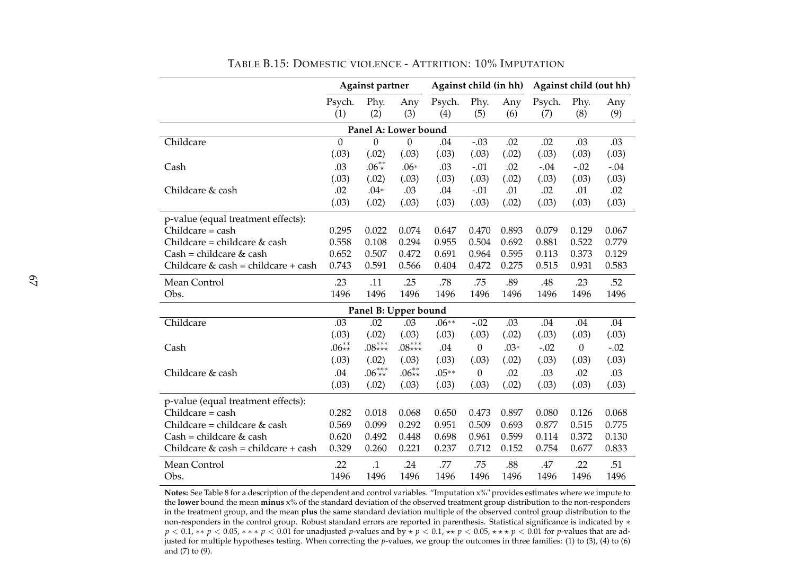|                                     | <b>Against partner</b> |                      | Against child (in hh) |               |                  | Against child (out hh) |               |                  |            |
|-------------------------------------|------------------------|----------------------|-----------------------|---------------|------------------|------------------------|---------------|------------------|------------|
|                                     | Psych.<br>(1)          | Phy.<br>(2)          | Any<br>(3)            | Psych.<br>(4) | Phy.<br>(5)      | Any<br>(6)             | Psych.<br>(7) | Phy.<br>(8)      | Any<br>(9) |
|                                     |                        | Panel A: Lower bound |                       |               |                  |                        |               |                  |            |
| Childcare                           | $\overline{0}$         | $\overline{0}$       | $\overline{0}$        | .04           | $-0.03$          | .02                    | .02           | .03              | .03        |
|                                     | (.03)                  | (.02)                | (.03)                 | (.03)         | (.03)            | (.02)                  | (.03)         | (.03)            | (.03)      |
| Cash                                | .03                    | $.06^{**}$           | $.06*$                | .03           | $-.01$           | .02                    | $-.04$        | $-.02$           | $-.04$     |
|                                     | (.03)                  | (.02)                | (.03)                 | (.03)         | (.03)            | (.02)                  | (.03)         | (.03)            | (.03)      |
| Childcare & cash                    | .02                    | $.04*$               | .03                   | .04           | $-.01$           | .01                    | .02           | .01              | .02        |
|                                     | (.03)                  | (.02)                | (.03)                 | (.03)         | (.03)            | (.02)                  | (.03)         | (.03)            | (.03)      |
| p-value (equal treatment effects):  |                        |                      |                       |               |                  |                        |               |                  |            |
| $Children = cash$                   | 0.295                  | 0.022                | 0.074                 | 0.647         | 0.470            | 0.893                  | 0.079         | 0.129            | 0.067      |
| Childcare = childcare & cash        | 0.558                  | 0.108                | 0.294                 | 0.955         | 0.504            | 0.692                  | 0.881         | 0.522            | 0.779      |
| Cash = childcare & cash             | 0.652                  | 0.507                | 0.472                 | 0.691         | 0.964            | 0.595                  | 0.113         | 0.373            | 0.129      |
| Childcare & cash = childcare + cash | 0.743                  | 0.591                | 0.566                 | $0.404\,$     | 0.472            | 0.275                  | 0.515         | 0.931            | 0.583      |
| Mean Control                        | .23                    | .11                  | .25                   | .78           | .75              | .89                    | .48           | .23              | .52        |
| Obs.                                | 1496                   | 1496                 | 1496                  | 1496          | 1496             | 1496                   | 1496          | 1496             | 1496       |
|                                     |                        | Panel B: Upper bound |                       |               |                  |                        |               |                  |            |
| Childcare                           | .03                    | .02                  | .03                   | $.06**$       | $-.02$           | .03                    | .04           | .04              | .04        |
|                                     | (.03)                  | (.02)                | (.03)                 | (.03)         | (.03)            | (.02)                  | (.03)         | (.03)            | (.03)      |
| Cash                                | $.06**$                | $.08^{***}_{***}$    | $.08***$              | .04           | $\boldsymbol{0}$ | $.03*$                 | $-.02$        | $\boldsymbol{0}$ | $-.02$     |
|                                     | (.03)                  | (.02)                | (.03)                 | (.03)         | (.03)            | (.02)                  | (.03)         | (.03)            | (.03)      |
| Childcare & cash                    | .04                    | $.06***$             | $.06**$               | $.05**$       | $\boldsymbol{0}$ | .02                    | .03           | .02              | .03        |
|                                     | (.03)                  | (.02)                | (.03)                 | (.03)         | (.03)            | (.02)                  | (.03)         | (.03)            | (.03)      |
| p-value (equal treatment effects):  |                        |                      |                       |               |                  |                        |               |                  |            |
| Childcare = cash                    | 0.282                  | 0.018                | 0.068                 | 0.650         | 0.473            | 0.897                  | 0.080         | 0.126            | 0.068      |
| Childcare = childcare & cash        | 0.569                  | 0.099                | 0.292                 | 0.951         | 0.509            | 0.693                  | 0.877         | 0.515            | 0.775      |
| $Cash = children & cash$            | 0.620                  | 0.492                | 0.448                 | 0.698         | 0.961            | 0.599                  | 0.114         | 0.372            | 0.130      |
| Childcare & cash = childcare + cash | 0.329                  | 0.260                | 0.221                 | 0.237         | 0.712            | 0.152                  | 0.754         | 0.677            | 0.833      |
| Mean Control                        | .22                    | $\cdot$ 1            | .24                   | .77           | .75              | .88                    | .47           | .22              | .51        |
| Obs.                                | 1496                   | 1496                 | 1496                  | 1496          | 1496             | 1496                   | 1496          | 1496             | 1496       |

TABLE B.15: DOMESTIC VIOLENCE - ATTRITION: 10% IMPUTATION

**Notes:** See Table 8 for a description of the dependent and control variables. "Imputation x%" provides estimates where we impute to the **lower** bound the mean **minus** x% of the standard deviation of the observed treatment group distribution to the non-responders in the treatment group, and the mean **plus** the same standard deviation multiple of the observed control group distribution to the non-responders in the control group. Robust standard errors are reported in parenthesis. Statistical significance is indicated by ∗ *p* < 0.1, ∗\* *p* < 0.05, \*\*\* *p* < 0.01 for unadjusted *p*-values and by  $\star$  *p* < 0.1,  $\star$  *x p* < 0.05,  $\star$  *x x p* < 0.01 for *p*-values that are adjusted for multiple hypotheses testing. When correcting the *p*-values, we group the outcomes in three families: (1) to (3), (4) to (6) and (7) to (9).